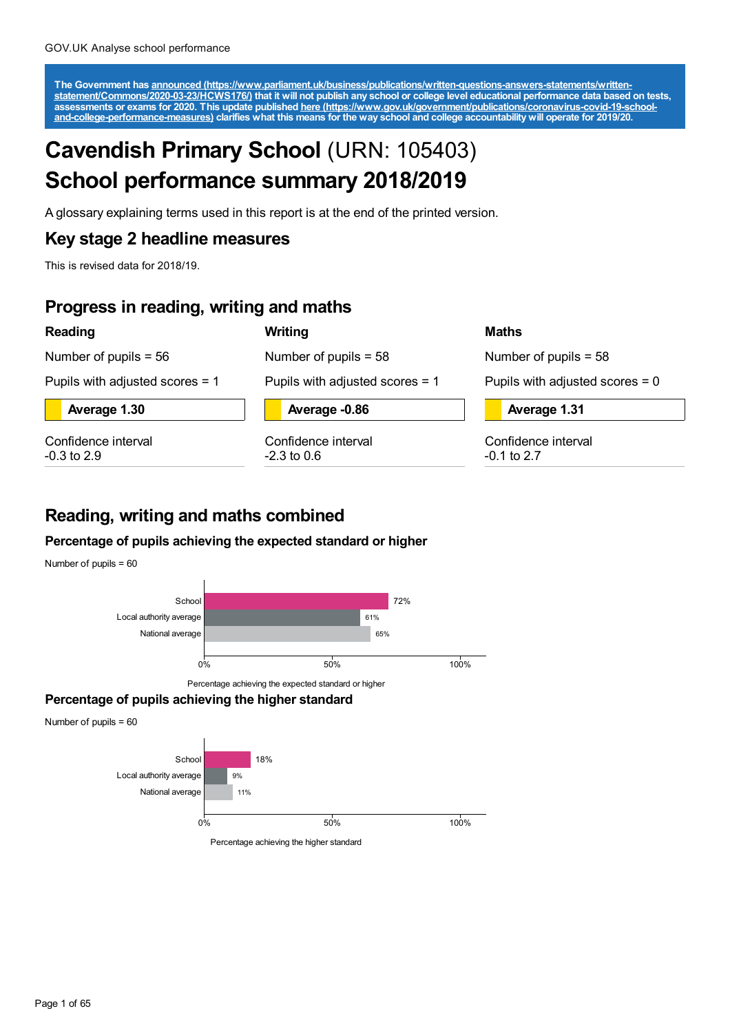The Government has announced [\(https://www.parliament.uk/business/publications/written-questions-answers-statements/written-](https://www.parliament.uk/business/publications/written-questions-answers-statements/written-statement/Commons/2020-03-23/HCWS176/)<br>statement/Commons/2020-03-23/HCWS176/) that it will not publish any school or college level educat

# **Cavendish Primary School** (URN: 105403) **School performance summary 2018/2019**

A glossary explaining terms used in this report is at the end of the printed version.

**Writing**

## **Key stage 2 headline measures**

This is revised data for 2018/19.

## **Progress in reading, writing and maths**

## **Reading**

Number of pupils = 56

Number of pupils = 58

Pupils with adjusted scores = 1

**Average 1.30**

Confidence interval -0.3 to 2.9

**Average -0.86**

Pupils with adjusted scores = 1

Confidence interval  $-2.3$  to 0.6

## **Maths**

Number of pupils = 58

Pupils with adjusted scores  $= 0$ 

**Average 1.31**

Confidence interval -0.1 to 2.7

## **Reading, writing and maths combined**

## **Percentage of pupils achieving the expected standard or higher**

Number of pupils = 60



## **Percentage of pupils achieving the higher standard**

Number of pupils = 60

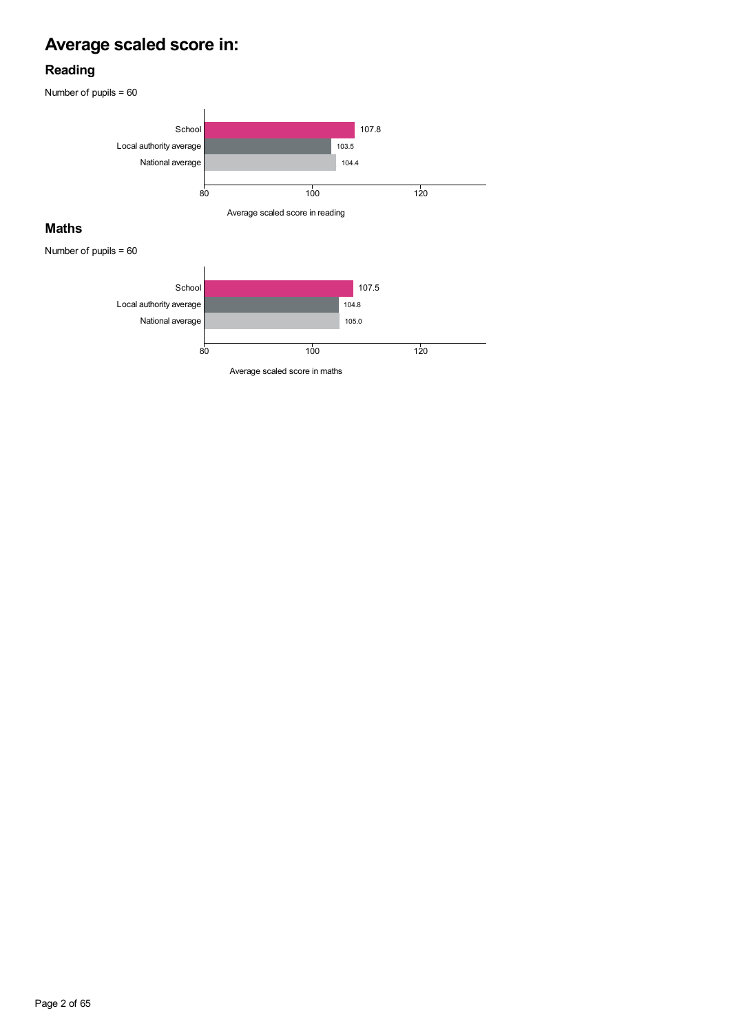# **Average scaled score in:**

## **Reading**

Number of pupils = 60





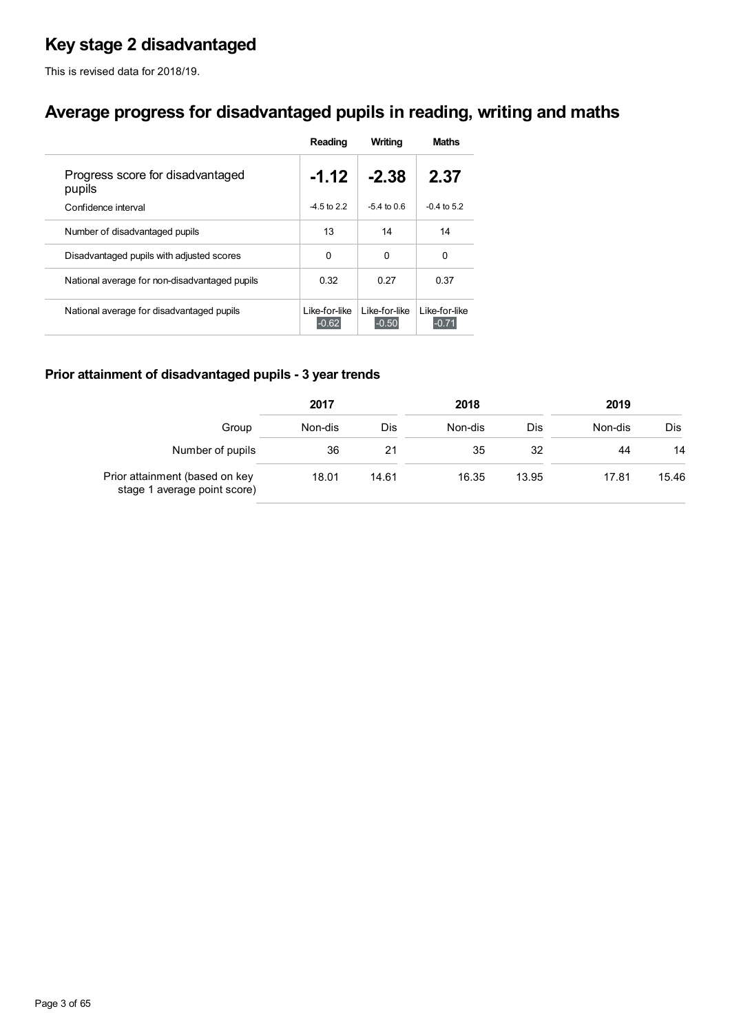## **Key stage 2 disadvantaged**

This is revised data for 2018/19.

## **Average progress for disadvantaged pupils in reading, writing and maths**

|                                               | Reading                  | Writing                  | <b>Maths</b>             |
|-----------------------------------------------|--------------------------|--------------------------|--------------------------|
| Progress score for disadvantaged<br>pupils    | $-1.12$                  | $-2.38$                  | 2.37                     |
| Confidence interval                           | $-4.5$ to 2.2            | $-54$ to 0.6             | $-0.4$ to 5.2            |
| Number of disadvantaged pupils                | 13                       | 14                       | 14                       |
| Disadvantaged pupils with adjusted scores     | 0                        | 0                        | 0                        |
| National average for non-disadvantaged pupils | 0.32                     | 0.27                     | 0.37                     |
| National average for disadvantaged pupils     | Like-for-like<br>$-0.62$ | Like-for-like<br>$-0.50$ | Like-for-like<br>$-0.71$ |

## **Prior attainment of disadvantaged pupils - 3 year trends**

|                                                                | 2017    |       | 2018    |       | 2019    |       |  |
|----------------------------------------------------------------|---------|-------|---------|-------|---------|-------|--|
| Group                                                          | Non-dis | Dis   | Non-dis | Dis   | Non-dis | Dis   |  |
| Number of pupils                                               | 36      | 21    | 35      | 32    | 44      | 14    |  |
| Prior attainment (based on key<br>stage 1 average point score) | 18.01   | 14.61 | 16.35   | 13.95 | 17.81   | 15.46 |  |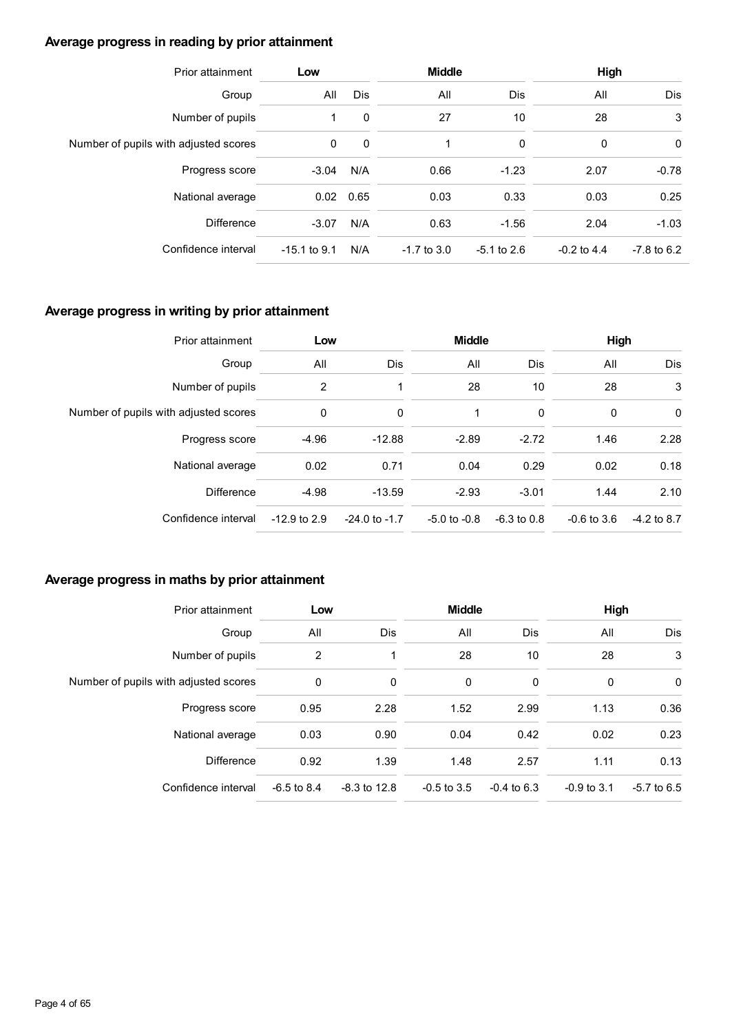## **Average progress in reading by prior attainment**

| Prior attainment                      | Low            |              | <b>Middle</b> |               | <b>High</b>   |               |  |
|---------------------------------------|----------------|--------------|---------------|---------------|---------------|---------------|--|
| Group                                 | All            | <b>Dis</b>   | All           | Dis           | All           | Dis           |  |
| Number of pupils                      |                | 0            | 27            | 10            | 28            | 3             |  |
| Number of pupils with adjusted scores | $\mathbf{0}$   | $\mathbf{0}$ | 1             | 0             | 0             | 0             |  |
| Progress score                        | $-3.04$        | N/A          | 0.66          | $-1.23$       | 2.07          | $-0.78$       |  |
| National average                      |                | $0.02$ 0.65  | 0.03          | 0.33          | 0.03          | 0.25          |  |
| <b>Difference</b>                     | $-3.07$        | N/A          | 0.63          | $-1.56$       | 2.04          | $-1.03$       |  |
| Confidence interval                   | $-15.1$ to 9.1 | N/A          | $-1.7$ to 3.0 | $-5.1$ to 2.6 | $-0.2$ to 4.4 | $-7.8$ to 6.2 |  |

## **Average progress in writing by prior attainment**

| Prior attainment                      | Low            |                   | <b>Middle</b>    |               | High          |               |  |
|---------------------------------------|----------------|-------------------|------------------|---------------|---------------|---------------|--|
| Group                                 | All            | Dis               | All              | Dis           | All           | Dis           |  |
| Number of pupils                      | 2              |                   | 28               | 10            | 28            | 3             |  |
| Number of pupils with adjusted scores | 0              | 0                 | 1                | 0             | 0             | 0             |  |
| Progress score                        | $-4.96$        | $-12.88$          | $-2.89$          | $-2.72$       | 1.46          | 2.28          |  |
| National average                      | 0.02           | 0.71              | 0.04             | 0.29          | 0.02          | 0.18          |  |
| <b>Difference</b>                     | $-4.98$        | $-13.59$          | $-2.93$          | $-3.01$       | 1.44          | 2.10          |  |
| Confidence interval                   | $-12.9$ to 2.9 | $-24.0$ to $-1.7$ | $-5.0$ to $-0.8$ | $-6.3$ to 0.8 | $-0.6$ to 3.6 | $-4.2$ to 8.7 |  |

## **Average progress in maths by prior attainment**

| Prior attainment                      | Low           |                | <b>Middle</b> |               | High          |               |  |
|---------------------------------------|---------------|----------------|---------------|---------------|---------------|---------------|--|
| Group                                 | All           | <b>Dis</b>     | All           | Dis           | All           | Dis           |  |
| Number of pupils                      | 2             | 1              | 28            | 10            | 28            | 3             |  |
| Number of pupils with adjusted scores | 0             | 0              | 0             | 0             | 0             | 0             |  |
| Progress score                        | 0.95          | 2.28           | 1.52          | 2.99          | 1.13          | 0.36          |  |
| National average                      | 0.03          | 0.90           | 0.04          | 0.42          | 0.02          | 0.23          |  |
| <b>Difference</b>                     | 0.92          | 1.39           | 1.48          | 2.57          | 1.11          | 0.13          |  |
| Confidence interval                   | $-6.5$ to 8.4 | $-8.3$ to 12.8 | $-0.5$ to 3.5 | $-0.4$ to 6.3 | $-0.9$ to 3.1 | $-5.7$ to 6.5 |  |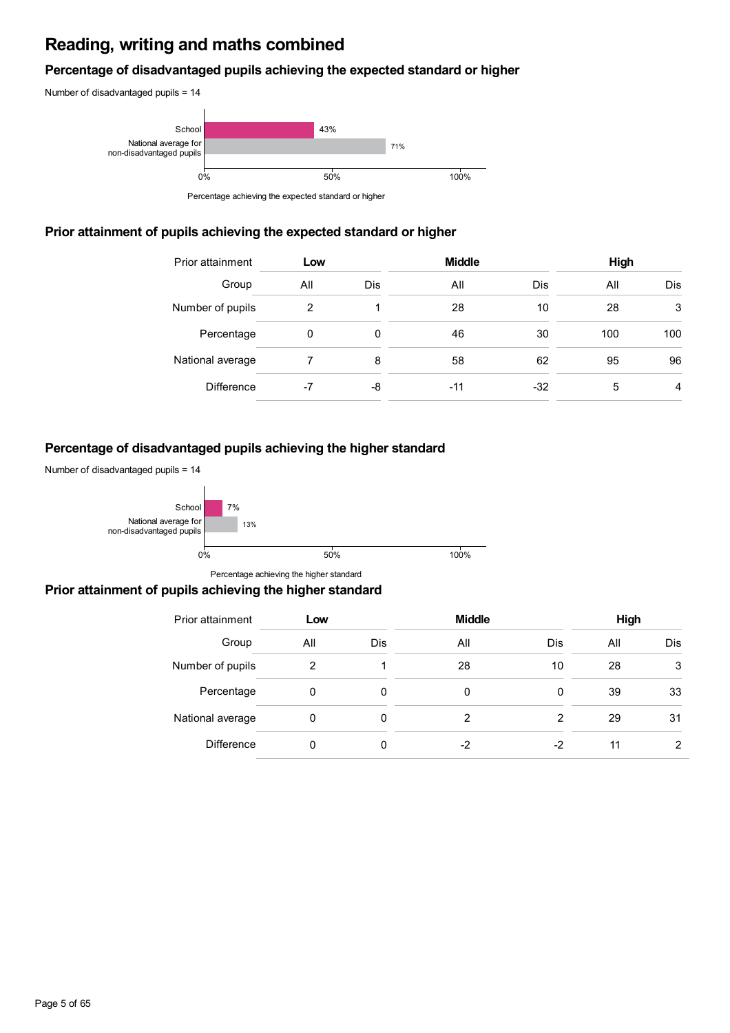## **Reading, writing and maths combined**

## **Percentage of disadvantaged pupils achieving the expected standard or higher**





Percentage achieving the expected standard or higher

## **Prior attainment of pupils achieving the expected standard or higher**

| Prior attainment  | Low |     | <b>Middle</b> |       | High |     |  |
|-------------------|-----|-----|---------------|-------|------|-----|--|
| Group             | All | Dis | All           | Dis   | All  | Dis |  |
| Number of pupils  | 2   |     | 28            | 10    | 28   | 3   |  |
| Percentage        | 0   | 0   | 46            | 30    | 100  | 100 |  |
| National average  |     | 8   | 58            | 62    | 95   | 96  |  |
| <b>Difference</b> | -7  | -8  | -11           | $-32$ | 5    | 4   |  |

## **Percentage of disadvantaged pupils achieving the higher standard**

Number of disadvantaged pupils = 14



Percentage achieving the higher standard

## **Prior attainment of pupils achieving the higher standard**

| Prior attainment  | Low |     | <b>Middle</b> |     | High |            |  |
|-------------------|-----|-----|---------------|-----|------|------------|--|
| Group             | All | Dis | All           | Dis | All  | <b>Dis</b> |  |
| Number of pupils  | 2   |     | 28            | 10  | 28   | 3          |  |
| Percentage        | 0   | 0   | 0             | 0   | 39   | 33         |  |
| National average  | 0   | 0   | 2             | 2   | 29   | 31         |  |
| <b>Difference</b> | 0   | 0   | -2            | -2  | 11   | 2          |  |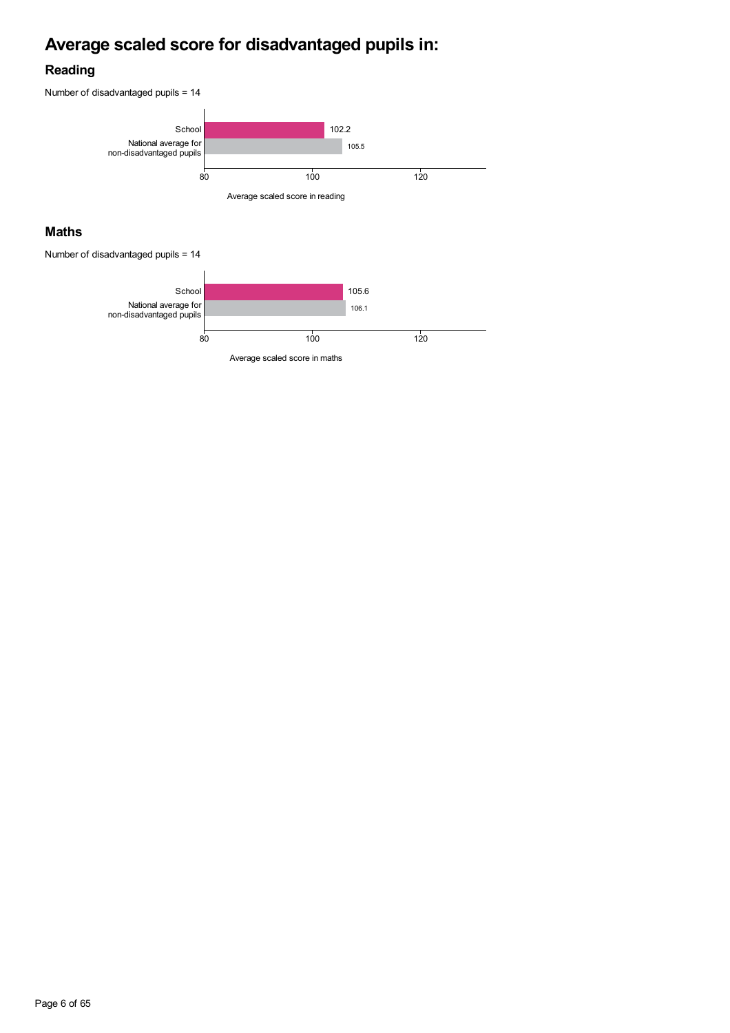# **Average scaled score for disadvantaged pupils in:**

## **Reading**



## **Maths**

Number of disadvantaged pupils = 14

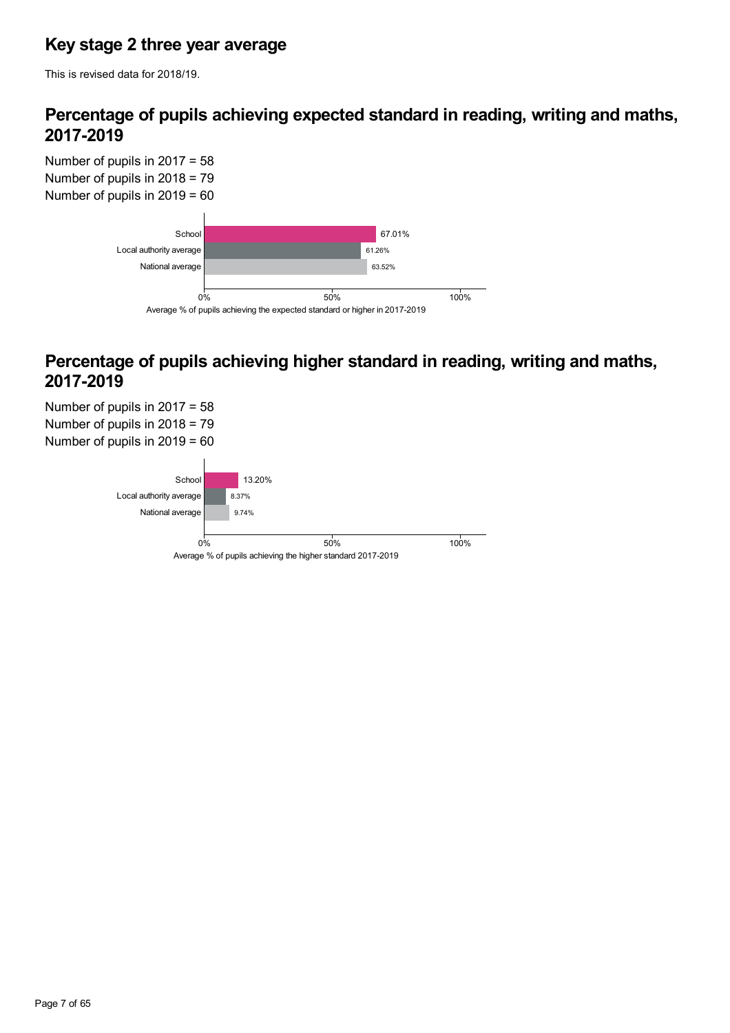## **Key stage 2 three year average**

This is revised data for 2018/19.

## **Percentage of pupils achieving expected standard in reading, writing and maths, 2017-2019**

Number of pupils in 2017 = 58 Number of pupils in 2018 = 79 Number of pupils in 2019 = 60



## **Percentage of pupils achieving higher standard in reading, writing and maths, 2017-2019**

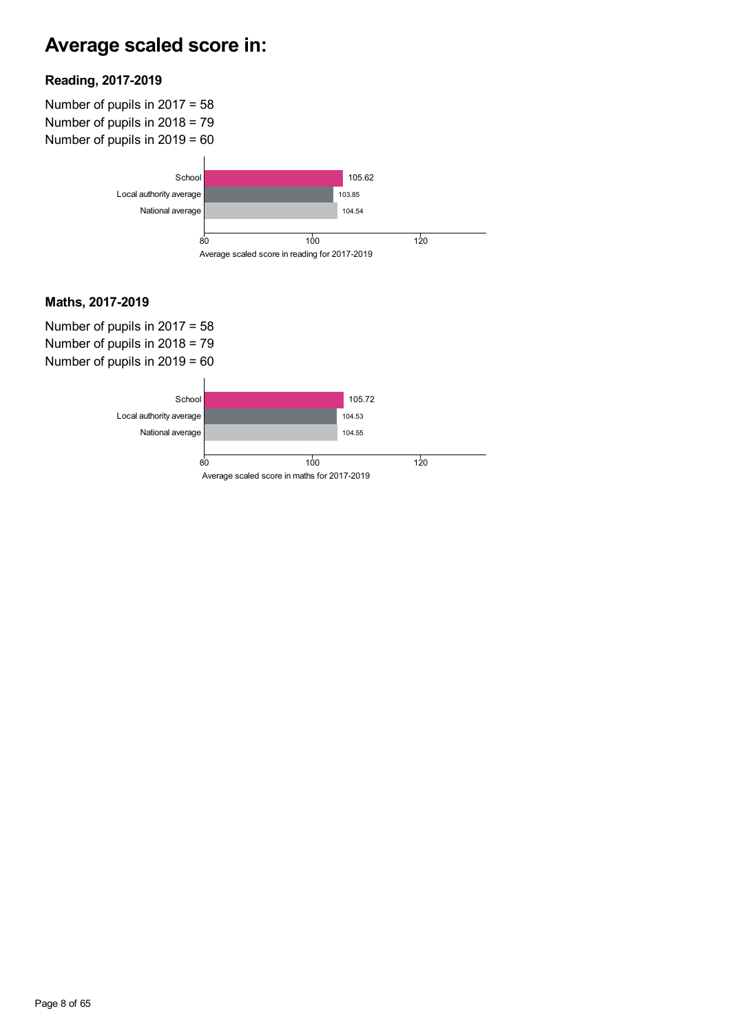# **Average scaled score in:**

## **Reading, 2017-2019**

Number of pupils in 2017 = 58 Number of pupils in 2018 = 79 Number of pupils in 2019 = 60



## **Maths, 2017-2019**

Number of pupils in 2017 = 58 Number of pupils in 2018 = 79 Number of pupils in 2019 = 60

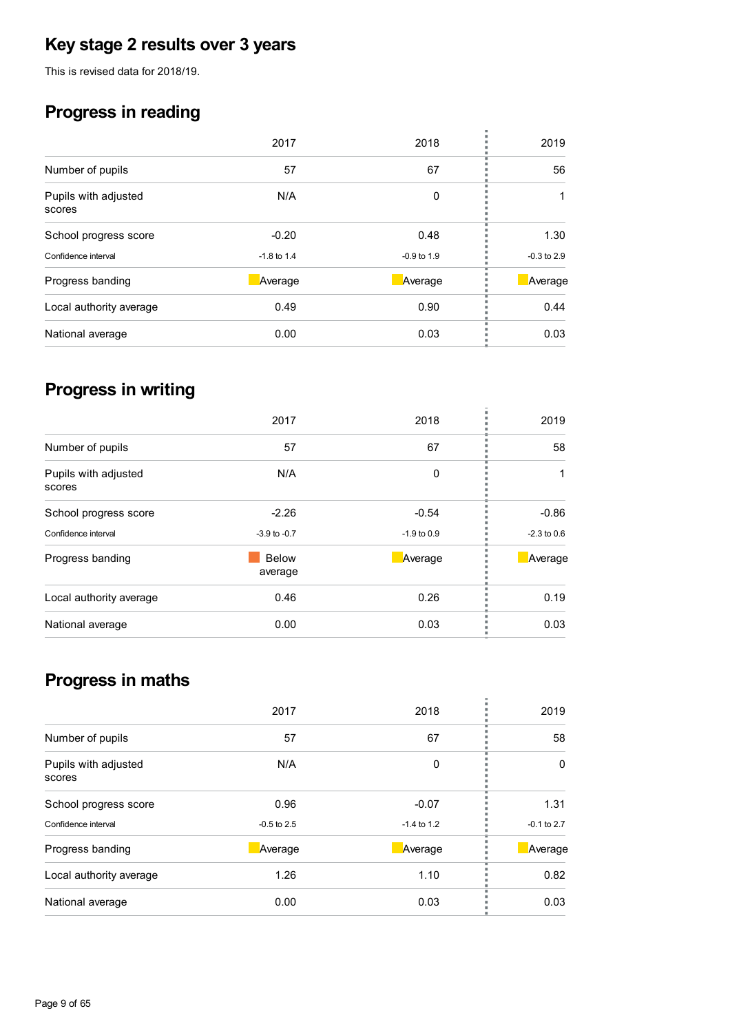# **Key stage 2 results over 3 years**

This is revised data for 2018/19.

# **Progress in reading**

|                                | 2017          | 2018            | 2019            |
|--------------------------------|---------------|-----------------|-----------------|
| Number of pupils               | 57            | 67              | 56              |
| Pupils with adjusted<br>scores | N/A           | 0               |                 |
| School progress score          | $-0.20$       | 0.48            | 1.30            |
| Confidence interval            | $-1.8$ to 1.4 | $-0.9$ to $1.9$ | $-0.3$ to $2.9$ |
| Progress banding               | Average       | Average         | Average         |
| Local authority average        | 0.49          | 0.90            | 0.44            |
| National average               | 0.00          | 0.03            | 0.03            |
|                                |               |                 |                 |

# **Progress in writing**

|                                | 2017                    | 2018          | 2019          |
|--------------------------------|-------------------------|---------------|---------------|
| Number of pupils               | 57                      | 67            | 58            |
| Pupils with adjusted<br>scores | N/A                     | 0             |               |
| School progress score          | $-2.26$                 | $-0.54$       | $-0.86$       |
| Confidence interval            | $-3.9$ to $-0.7$        | $-1.9$ to 0.9 | $-2.3$ to 0.6 |
| Progress banding               | <b>Below</b><br>average | Average       | Average       |
| Local authority average        | 0.46                    | 0.26          | 0.19          |
| National average               | 0.00                    | 0.03          | 0.03          |
|                                |                         |               |               |

# **Progress in maths**

|                                | 2017          | 2018            | 2019          |
|--------------------------------|---------------|-----------------|---------------|
| Number of pupils               | 57            | 67              | 58            |
| Pupils with adjusted<br>scores | N/A           | 0               | 0             |
| School progress score          | 0.96          | $-0.07$         | 1.31          |
| Confidence interval            | $-0.5$ to 2.5 | $-1.4$ to $1.2$ | $-0.1$ to 2.7 |
| Progress banding               | Average       | Average         | Average       |
| Local authority average        | 1.26          | 1.10            | 0.82          |
| National average               | 0.00          | 0.03            | 0.03          |
|                                |               |                 |               |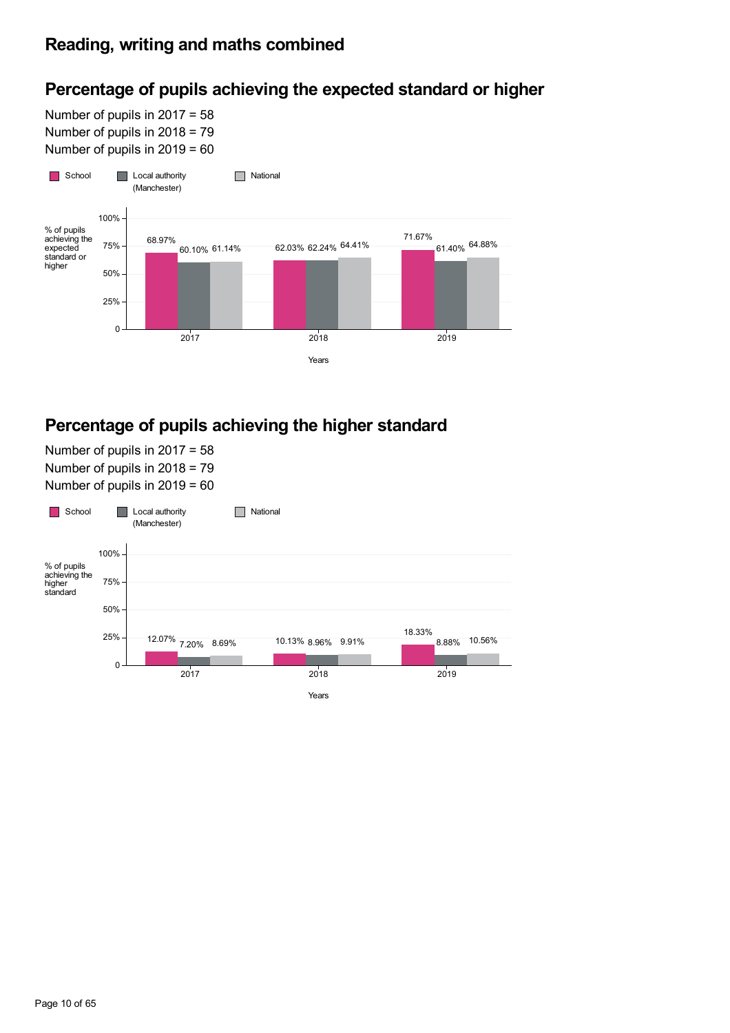## **Percentage of pupils achieving the expected standard or higher**

Number of pupils in 2017 = 58 Number of pupils in 2018 = 79 Number of pupils in 2019 = 60



## **Percentage of pupils achieving the higher standard**

Number of pupils in 2017 = 58 Number of pupils in 2018 = 79 Number of pupils in 2019 = 60



## Page 10 of 65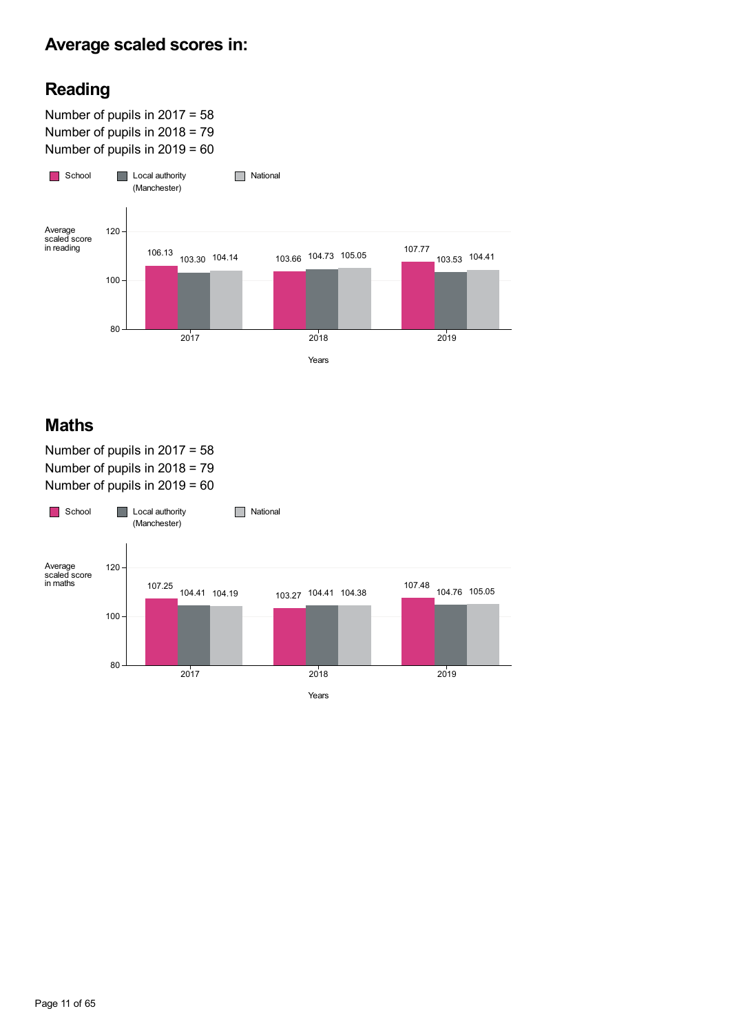## **Average scaled scores in:**

## **Reading**

Number of pupils in 2017 = 58 Number of pupils in 2018 = 79 Number of pupils in 2019 = 60



## **Maths**

Number of pupils in 2017 = 58 Number of pupils in 2018 = 79 Number of pupils in 2019 = 60

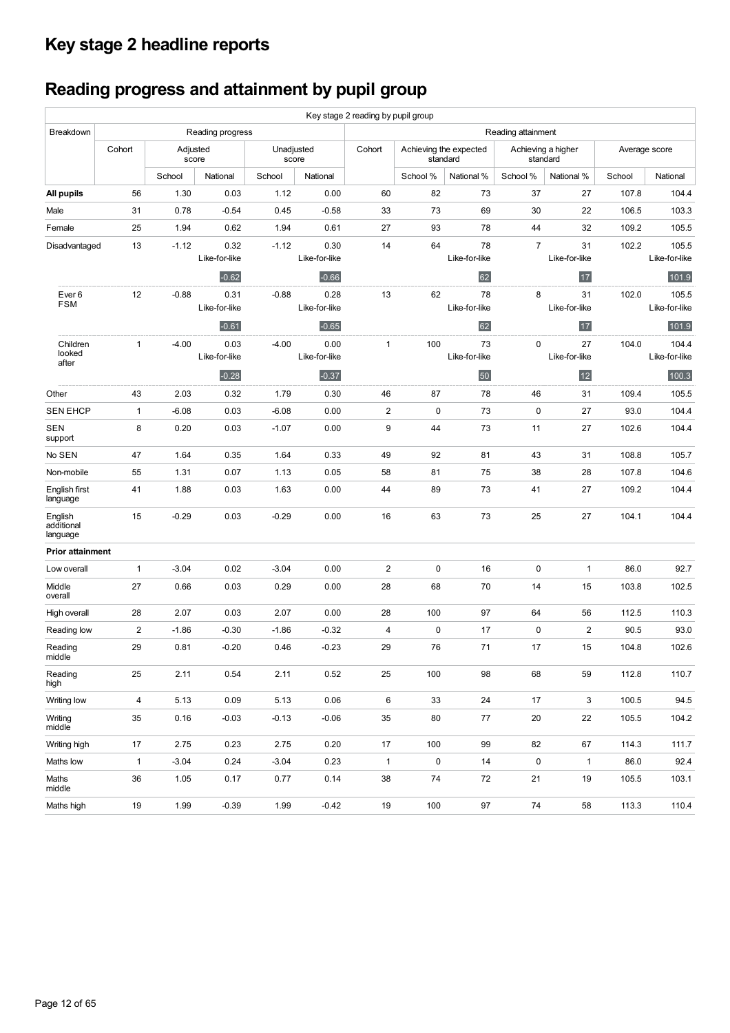# **Key stage 2 headline reports**

# **Reading progress and attainment by pupil group**

|                                   | Key stage 2 reading by pupil group |          |                       |                     |                       |                         |           |                                    |                    |                                |        |                        |
|-----------------------------------|------------------------------------|----------|-----------------------|---------------------|-----------------------|-------------------------|-----------|------------------------------------|--------------------|--------------------------------|--------|------------------------|
| Breakdown                         |                                    |          | Reading progress      |                     |                       |                         |           |                                    | Reading attainment |                                |        |                        |
|                                   | Cohort                             | Adjusted | score                 | Unadjusted<br>score |                       | Cohort                  |           | Achieving the expected<br>standard |                    | Achieving a higher<br>standard |        | Average score          |
|                                   |                                    | School   | National              | School              | National              |                         | School %  | National %                         | School %           | National %                     | School | National               |
| All pupils                        | 56                                 | 1.30     | 0.03                  | 1.12                | 0.00                  | 60                      | 82        | 73                                 | 37                 | 27                             | 107.8  | 104.4                  |
| Male                              | 31                                 | 0.78     | $-0.54$               | 0.45                | $-0.58$               | 33                      | 73        | 69                                 | 30                 | 22                             | 106.5  | 103.3                  |
| Female                            | 25                                 | 1.94     | 0.62                  | 1.94                | 0.61                  | 27                      | 93        | 78                                 | 44                 | 32                             | 109.2  | 105.5                  |
| Disadvantaged                     | 13                                 | $-1.12$  | 0.32<br>Like-for-like | $-1.12$             | 0.30<br>Like-for-like | 14                      | 64        | 78<br>Like-for-like                | $\overline{7}$     | 31<br>Like-for-like            | 102.2  | 105.5<br>Like-for-like |
|                                   |                                    |          | $-0.62$               |                     | $-0.66$               |                         |           | 62                                 |                    | 17                             |        | 101.9                  |
| Ever <sub>6</sub><br><b>FSM</b>   | 12                                 | $-0.88$  | 0.31<br>Like-for-like | $-0.88$             | 0.28<br>Like-for-like | 13                      | 62        | 78<br>Like-for-like                | 8                  | 31<br>Like-for-like            | 102.0  | 105.5<br>Like-for-like |
|                                   |                                    |          | $-0.61$               |                     | $-0.65$               |                         |           | 62                                 |                    | 17                             |        | 101.9                  |
| Children<br>looked                | $\mathbf{1}$                       | $-4.00$  | 0.03<br>Like-for-like | $-4.00$             | 0.00<br>Like-for-like | 1                       | 100       | 73<br>Like-for-like                | $\pmb{0}$          | 27<br>Like-for-like            | 104.0  | 104.4<br>Like-for-like |
| after                             |                                    |          | $-0.28$               |                     | $-0.37$               |                         |           | 50                                 |                    | 12                             |        | 100.3                  |
| Other                             | 43                                 | 2.03     | 0.32                  | 1.79                | 0.30                  | 46                      | 87        | 78                                 | 46                 | 31                             | 109.4  | 105.5                  |
| <b>SEN EHCP</b>                   | $\mathbf{1}$                       | $-6.08$  | 0.03                  | $-6.08$             | 0.00                  | $\overline{2}$          | $\pmb{0}$ | 73                                 | 0                  | 27                             | 93.0   | 104.4                  |
| <b>SEN</b><br>support             | 8                                  | 0.20     | 0.03                  | $-1.07$             | 0.00                  | 9                       | 44        | 73                                 | 11                 | 27                             | 102.6  | 104.4                  |
| No SEN                            | 47                                 | 1.64     | 0.35                  | 1.64                | 0.33                  | 49                      | 92        | 81                                 | 43                 | 31                             | 108.8  | 105.7                  |
| Non-mobile                        | 55                                 | 1.31     | 0.07                  | 1.13                | 0.05                  | 58                      | 81        | 75                                 | 38                 | 28                             | 107.8  | 104.6                  |
| English first<br>language         | 41                                 | 1.88     | 0.03                  | 1.63                | 0.00                  | 44                      | 89        | 73                                 | 41                 | 27                             | 109.2  | 104.4                  |
| English<br>additional<br>language | 15                                 | $-0.29$  | 0.03                  | $-0.29$             | 0.00                  | 16                      | 63        | 73                                 | 25                 | 27                             | 104.1  | 104.4                  |
| <b>Prior attainment</b>           |                                    |          |                       |                     |                       |                         |           |                                    |                    |                                |        |                        |
| Low overall                       | $\mathbf{1}$                       | $-3.04$  | 0.02                  | $-3.04$             | 0.00                  | $\overline{2}$          | $\pmb{0}$ | 16                                 | $\pmb{0}$          | 1                              | 86.0   | 92.7                   |
| Middle<br>overall                 | 27                                 | 0.66     | 0.03                  | 0.29                | 0.00                  | 28                      | 68        | 70                                 | 14                 | 15                             | 103.8  | 102.5                  |
| High overall                      | 28                                 | 2.07     | 0.03                  | 2.07                | 0.00                  | 28                      | 100       | 97                                 | 64                 | 56                             | 112.5  | 110.3                  |
| Reading low                       | 2                                  | $-1.86$  | $-0.30$               | $-1.86$             | $-0.32$               | $\overline{\mathbf{4}}$ | $\pmb{0}$ | 17                                 | 0                  | $\overline{c}$                 | 90.5   | 93.0                   |
| Reading<br>middle                 | 29                                 | 0.81     | $-0.20$               | 0.46                | $-0.23$               | 29                      | 76        | 71                                 | 17                 | 15                             | 104.8  | 102.6                  |
| Reading<br>high                   | 25                                 | 2.11     | 0.54                  | 2.11                | 0.52                  | 25                      | 100       | 98                                 | 68                 | 59                             | 112.8  | 110.7                  |
| Writing low                       | $\overline{4}$                     | 5.13     | 0.09                  | 5.13                | 0.06                  | 6                       | 33        | 24                                 | 17                 | 3                              | 100.5  | 94.5                   |
| Writing<br>middle                 | 35                                 | 0.16     | $-0.03$               | $-0.13$             | $-0.06$               | 35                      | 80        | 77                                 | 20                 | 22                             | 105.5  | 104.2                  |
| Writing high                      | 17                                 | 2.75     | 0.23                  | 2.75                | 0.20                  | 17                      | 100       | 99                                 | 82                 | 67                             | 114.3  | 111.7                  |
| Maths low                         | $\mathbf{1}$                       | $-3.04$  | 0.24                  | $-3.04$             | 0.23                  | $\mathbf{1}$            | $\pmb{0}$ | 14                                 | $\pmb{0}$          | $\mathbf{1}$                   | 86.0   | 92.4                   |
| Maths<br>middle                   | 36                                 | 1.05     | 0.17                  | 0.77                | 0.14                  | 38                      | 74        | 72                                 | 21                 | 19                             | 105.5  | 103.1                  |
| Maths high                        | 19                                 | 1.99     | $-0.39$               | 1.99                | $-0.42$               | 19                      | 100       | 97                                 | 74                 | 58                             | 113.3  | 110.4                  |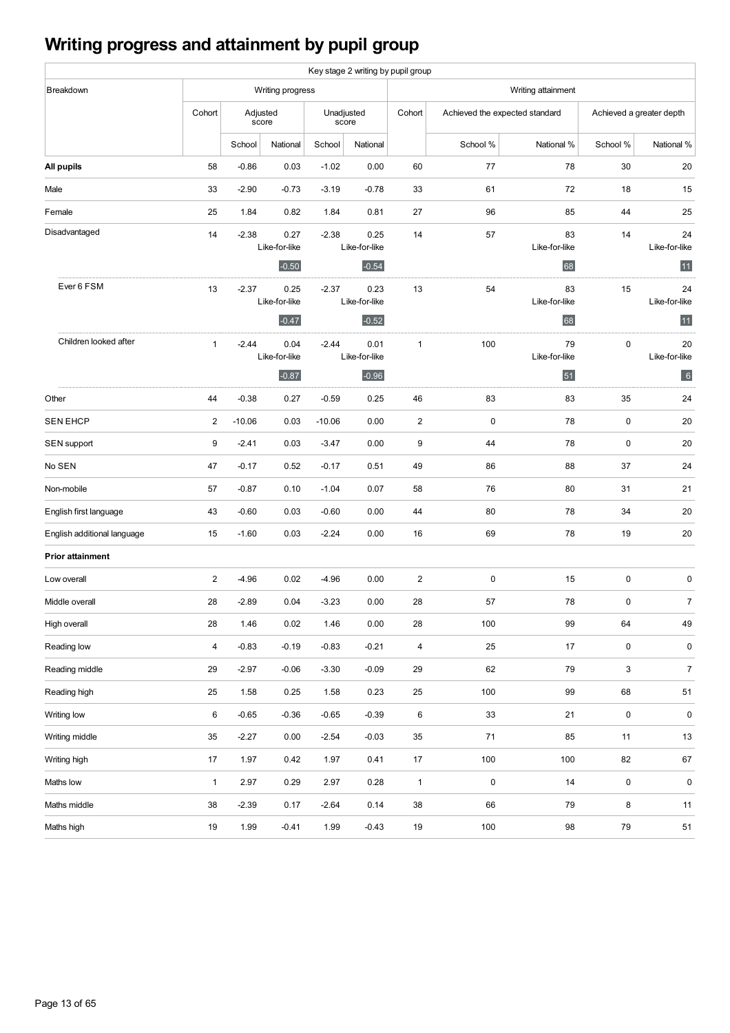# **Writing progress and attainment by pupil group**

|                             |                |                  |                                  |          | Key stage 2 writing by pupil group |                         |                                |                           |                          |                           |
|-----------------------------|----------------|------------------|----------------------------------|----------|------------------------------------|-------------------------|--------------------------------|---------------------------|--------------------------|---------------------------|
| Breakdown                   |                | Writing progress |                                  |          |                                    | Writing attainment      |                                |                           |                          |                           |
|                             | Cohort         |                  | Adjusted<br>score                |          | Unadjusted<br>score                | Cohort                  | Achieved the expected standard |                           | Achieved a greater depth |                           |
|                             |                | School           | National                         | School   | National                           |                         | School %                       | National %                | School %                 | National %                |
| All pupils                  | 58             | $-0.86$          | 0.03                             | $-1.02$  | 0.00                               | 60                      | 77                             | 78                        | 30                       | 20                        |
| Male                        | 33             | $-2.90$          | $-0.73$                          | $-3.19$  | $-0.78$                            | 33                      | 61                             | 72                        | 18                       | 15                        |
| Female                      | 25             | 1.84             | 0.82                             | 1.84     | 0.81                               | 27                      | 96                             | 85                        | 44                       | 25                        |
| Disadvantaged               | 14             | $-2.38$          | 0.27<br>Like-for-like<br>$-0.50$ | $-2.38$  | 0.25<br>Like-for-like<br>$-0.54$   | 14                      | 57                             | 83<br>Like-for-like<br>68 | 14                       | 24<br>Like-for-like<br>11 |
| Ever 6 FSM                  | 13             | $-2.37$          | 0.25<br>Like-for-like<br>$-0.47$ | $-2.37$  | 0.23<br>Like-for-like<br>$-0.52$   | 13                      | 54                             | 83<br>Like-for-like<br>68 | 15                       | 24<br>Like-for-like<br>11 |
| Children looked after       | $\mathbf{1}$   | $-2.44$          | 0.04<br>Like-for-like<br>$-0.87$ | $-2.44$  | 0.01<br>Like-for-like<br>$-0.96$   | $\mathbf{1}$            | 100                            | 79<br>Like-for-like<br>51 | $\pmb{0}$                | 20<br>Like-for-like<br>6  |
| Other                       | 44             | $-0.38$          | 0.27                             | $-0.59$  | 0.25                               | 46                      | 83                             | 83                        | 35                       | 24                        |
| <b>SEN EHCP</b>             | $\overline{2}$ | $-10.06$         | 0.03                             | $-10.06$ | 0.00                               | $\sqrt{2}$              | 0                              | 78                        | 0                        | 20                        |
|                             | 9              | $-2.41$          | 0.03                             | $-3.47$  | 0.00                               | 9                       | 44                             | 78                        | 0                        | 20                        |
| SEN support<br>No SEN       | 47             | $-0.17$          | 0.52                             | $-0.17$  | 0.51                               | 49                      | 86                             | 88                        | 37                       | 24                        |
|                             |                |                  |                                  |          |                                    |                         |                                |                           |                          |                           |
| Non-mobile                  | 57             | $-0.87$          | 0.10                             | $-1.04$  | 0.07                               | 58                      | 76                             | 80                        | 31                       | 21                        |
| English first language      | 43             | $-0.60$          | 0.03                             | $-0.60$  | 0.00                               | 44                      | 80                             | 78                        | 34                       | 20                        |
| English additional language | 15             | $-1.60$          | 0.03                             | $-2.24$  | 0.00                               | 16                      | 69                             | 78                        | 19                       | 20                        |
| <b>Prior attainment</b>     |                |                  |                                  |          |                                    |                         |                                |                           |                          |                           |
| Low overall                 | $\overline{2}$ | $-4.96$          | 0.02                             | $-4.96$  | 0.00                               | $\sqrt{2}$              | 0                              | 15                        | 0                        | $\mathbf 0$               |
| Middle overall              | 28             | $-2.89$          | 0.04                             | $-3.23$  | 0.00                               | 28                      | 57                             | 78                        | $\pmb{0}$                | $\overline{7}$            |
| High overall                | 28             | 1.46             | 0.02                             | 1.46     | 0.00                               | 28                      | 100                            | 99                        | 64                       | 49                        |
| Reading low                 | $\overline{4}$ | $-0.83$          | $-0.19$                          | $-0.83$  | $-0.21$                            | $\overline{\mathbf{4}}$ | 25                             | $17$                      | 0                        | 0                         |
| Reading middle              | 29             | $-2.97$          | $-0.06$                          | $-3.30$  | $-0.09$                            | 29                      | 62                             | 79                        | 3                        | $\overline{7}$            |
| Reading high                | 25             | 1.58             | 0.25                             | 1.58     | 0.23                               | 25                      | 100                            | 99                        | 68                       | 51                        |
| Writing low                 | 6              | $-0.65$          | $-0.36$                          | $-0.65$  | $-0.39$                            | $\,6$                   | 33                             | 21                        | $\pmb{0}$                | $\pmb{0}$                 |
| Writing middle              | 35             | $-2.27$          | 0.00                             | $-2.54$  | $-0.03$                            | $35\,$                  | 71                             | 85                        | 11                       | 13                        |
| Writing high                | 17             | 1.97             | 0.42                             | 1.97     | 0.41                               | 17                      | 100                            | 100                       | 82                       | 67                        |
| Maths low                   | $\mathbf{1}$   | 2.97             | 0.29                             | 2.97     | 0.28                               | $\mathbf{1}$            | 0                              | 14                        | 0                        | $\pmb{0}$                 |
| Maths middle                | 38             | $-2.39$          | 0.17                             | $-2.64$  | 0.14                               | 38                      | 66                             | 79                        | 8                        | 11                        |
| Maths high                  | 19             | 1.99             | $-0.41$                          | 1.99     | $-0.43$                            | 19                      | 100                            | 98                        | $\bf 79$                 | 51                        |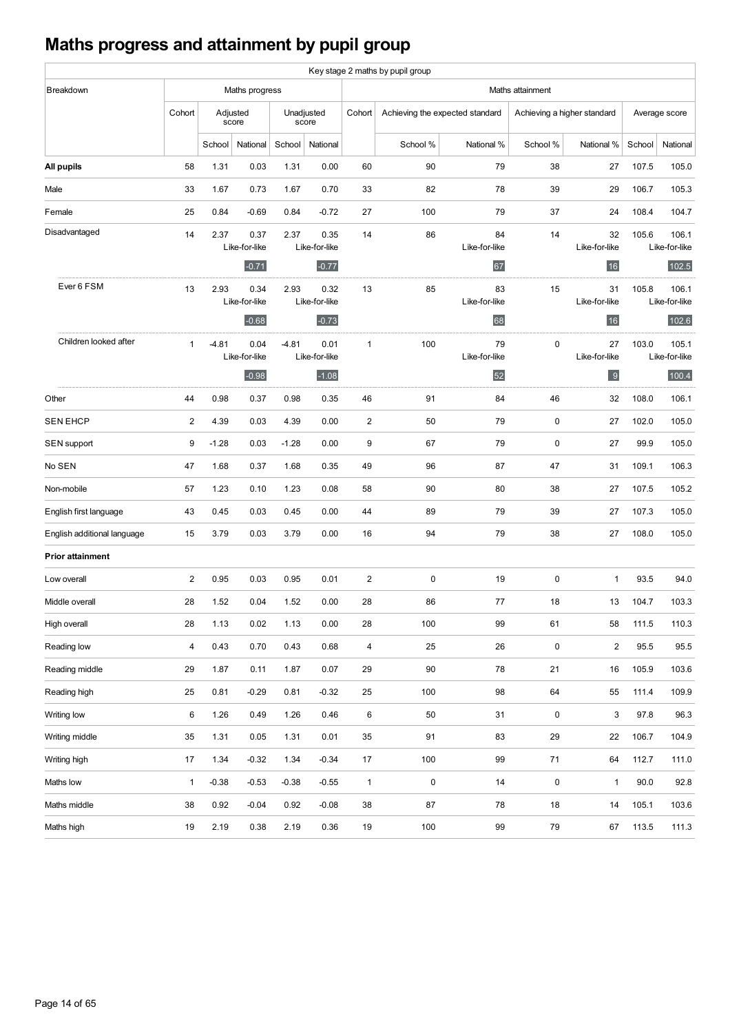# **Maths progress and attainment by pupil group**

|                             |              |          |                                  |         |                                  |                         | Key stage 2 maths by pupil group |                           |                             |                           |        |                                 |
|-----------------------------|--------------|----------|----------------------------------|---------|----------------------------------|-------------------------|----------------------------------|---------------------------|-----------------------------|---------------------------|--------|---------------------------------|
| Breakdown                   |              |          | Maths progress                   |         |                                  |                         |                                  |                           | Maths attainment            |                           |        |                                 |
|                             | Cohort       | Adjusted | score                            |         | Unadjusted<br>score              | Cohort                  | Achieving the expected standard  |                           | Achieving a higher standard |                           |        | Average score                   |
|                             |              | School   | National                         | School  | National                         |                         | School %                         | National %                | School %                    | National %                | School | National                        |
| All pupils                  | 58           | 1.31     | 0.03                             | 1.31    | 0.00                             | 60                      | 90                               | 79                        | 38                          | 27                        | 107.5  | 105.0                           |
| Male                        | 33           | 1.67     | 0.73                             | 1.67    | 0.70                             | 33                      | 82                               | 78                        | 39                          | 29                        | 106.7  | 105.3                           |
| Female                      | 25           | 0.84     | $-0.69$                          | 0.84    | $-0.72$                          | 27                      | 100                              | 79                        | 37                          | 24                        | 108.4  | 104.7                           |
| Disadvantaged               | 14           | 2.37     | 0.37<br>Like-for-like<br>$-0.71$ | 2.37    | 0.35<br>Like-for-like<br>$-0.77$ | 14                      | 86                               | 84<br>Like-for-like<br>67 | 14                          | 32<br>Like-for-like<br>16 | 105.6  | 106.1<br>Like-for-like<br>102.5 |
| Ever 6 FSM                  | 13           | 2.93     | 0.34<br>Like-for-like<br>$-0.68$ | 2.93    | 0.32<br>Like-for-like<br>$-0.73$ | 13                      | 85                               | 83<br>Like-for-like<br>68 | 15                          | 31<br>Like-for-like<br>16 | 105.8  | 106.1<br>Like-for-like<br>102.6 |
| Children looked after       | $\mathbf{1}$ | $-4.81$  | 0.04<br>Like-for-like<br>$-0.98$ | $-4.81$ | 0.01<br>Like-for-like<br>$-1.08$ | $\mathbf{1}$            | 100                              | 79<br>Like-for-like<br>52 | $\mathbf 0$                 | 27<br>Like-for-like<br>9  | 103.0  | 105.1<br>Like-for-like<br>100.4 |
| Other                       | 44           | 0.98     | 0.37                             | 0.98    | 0.35                             | 46                      | 91                               | 84                        | 46                          | 32                        | 108.0  | 106.1                           |
| <b>SEN EHCP</b>             | 2            | 4.39     | 0.03                             | 4.39    | 0.00                             | 2                       | 50                               | 79                        | $\mathbf 0$                 | 27                        | 102.0  | 105.0                           |
| SEN support                 | 9            | $-1.28$  | 0.03                             | $-1.28$ | 0.00                             | 9                       | 67                               | 79                        | $\mathbf 0$                 | 27                        | 99.9   | 105.0                           |
| No SEN                      | 47           | 1.68     | 0.37                             | 1.68    | 0.35                             | 49                      | 96                               | 87                        | 47                          | 31                        | 109.1  | 106.3                           |
| Non-mobile                  | 57           | 1.23     | 0.10                             | 1.23    | 0.08                             | 58                      | 90                               | 80                        | 38                          | 27                        | 107.5  | 105.2                           |
| English first language      | 43           | 0.45     | 0.03                             | 0.45    | 0.00                             | 44                      | 89                               | 79                        | 39                          | 27                        | 107.3  | 105.0                           |
| English additional language | 15           | 3.79     | 0.03                             | 3.79    | 0.00                             | 16                      | 94                               | 79                        | 38                          | 27                        | 108.0  | 105.0                           |
| <b>Prior attainment</b>     |              |          |                                  |         |                                  |                         |                                  |                           |                             |                           |        |                                 |
| Low overall                 | 2            | 0.95     | 0.03                             | 0.95    | 0.01                             | $\mathbf{2}$            | $\pmb{0}$                        | 19                        | $\pmb{0}$                   | $\mathbf{1}$              | 93.5   | 94.0                            |
| Middle overall              | 28           | 1.52     | 0.04                             | 1.52    | 0.00                             | 28                      | 86                               | 77                        | 18                          | 13                        | 104.7  | 103.3                           |
| High overall                | 28           | 1.13     | 0.02                             | 1.13    | 0.00                             | 28                      | 100                              | 99                        | 61                          | 58                        | 111.5  | 110.3                           |
| Reading low                 | 4            | 0.43     | 0.70                             | 0.43    | 0.68                             | $\overline{\mathbf{4}}$ | 25                               | 26                        | $\pmb{0}$                   | $\overline{2}$            | 95.5   | 95.5                            |
| Reading middle              | 29           | 1.87     | 0.11                             | 1.87    | 0.07                             | 29                      | 90                               | 78                        | 21                          | 16                        | 105.9  | 103.6                           |
| Reading high                | 25           | 0.81     | $-0.29$                          | 0.81    | $-0.32$                          | 25                      | 100                              | 98                        | 64                          | 55                        | 111.4  | 109.9                           |
| Writing low                 | 6            | 1.26     | 0.49                             | 1.26    | 0.46                             | 6                       | 50                               | 31                        | $\pmb{0}$                   | 3                         | 97.8   | 96.3                            |
| Writing middle              | 35           | 1.31     | 0.05                             | 1.31    | 0.01                             | 35                      | 91                               | 83                        | 29                          | 22                        | 106.7  | 104.9                           |
| Writing high                | 17           | 1.34     | $-0.32$                          | 1.34    | $-0.34$                          | 17                      | 100                              | 99                        | 71                          | 64                        | 112.7  | 111.0                           |
| Maths low                   | $\mathbf{1}$ | $-0.38$  | $-0.53$                          | $-0.38$ | $-0.55$                          | $\mathbf{1}$            | $\pmb{0}$                        | 14                        | $\pmb{0}$                   | $\mathbf{1}$              | 90.0   | 92.8                            |
| Maths middle                | 38           | 0.92     | $-0.04$                          | 0.92    | $-0.08$                          | 38                      | 87                               | 78                        | 18                          | 14                        | 105.1  | 103.6                           |
| Maths high                  | 19           | 2.19     | 0.38                             | 2.19    | 0.36                             | 19                      | 100                              | 99                        | 79                          | 67                        | 113.5  | 111.3                           |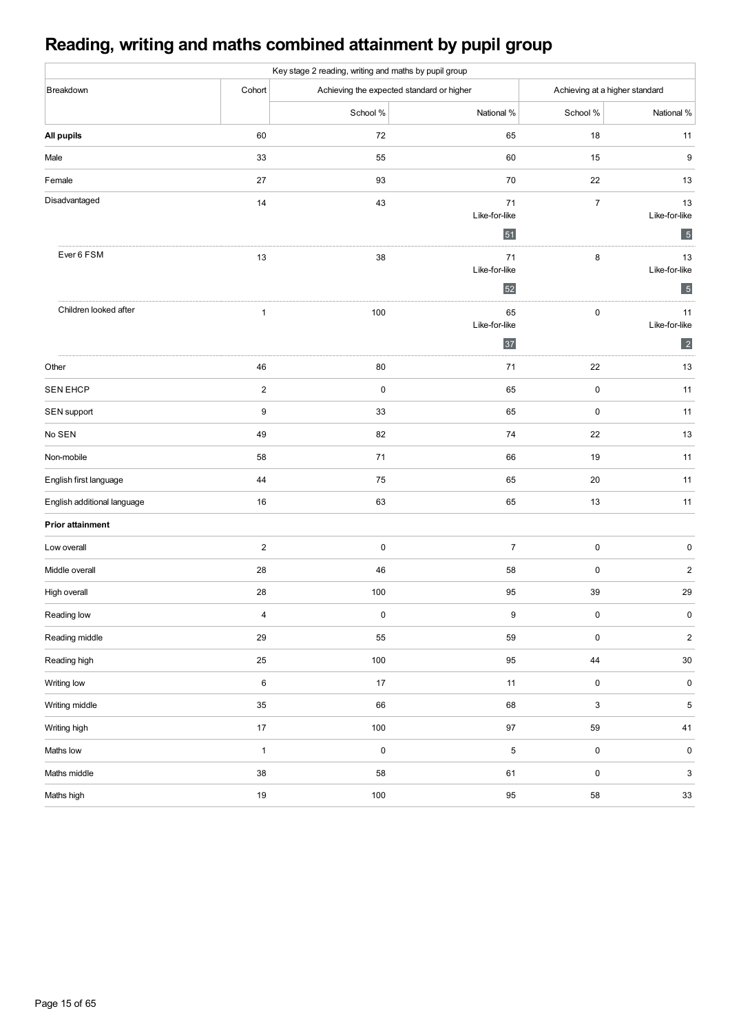# **Reading, writing and maths combined attainment by pupil group**

| Key stage 2 reading, writing and maths by pupil group |                         |           |                                           |                           |                                |  |  |  |  |  |  |
|-------------------------------------------------------|-------------------------|-----------|-------------------------------------------|---------------------------|--------------------------------|--|--|--|--|--|--|
| Breakdown                                             | Cohort                  |           | Achieving the expected standard or higher |                           | Achieving at a higher standard |  |  |  |  |  |  |
|                                                       |                         | School %  | National %                                | School %                  | National %                     |  |  |  |  |  |  |
| All pupils                                            | 60                      | 72        | 65                                        | 18                        | 11                             |  |  |  |  |  |  |
| Male                                                  | 33                      | 55        | 60                                        | 15                        | 9                              |  |  |  |  |  |  |
| Female                                                | 27                      | 93        | 70                                        | 22                        | 13                             |  |  |  |  |  |  |
| Disadvantaged                                         | 14                      | 43        | 71                                        | $\boldsymbol{7}$          | 13                             |  |  |  |  |  |  |
|                                                       |                         |           | Like-for-like<br>51                       |                           | Like-for-like<br>5             |  |  |  |  |  |  |
| Ever 6 FSM                                            | 13                      | 38        | 71                                        | 8                         | 13                             |  |  |  |  |  |  |
|                                                       |                         |           | Like-for-like                             |                           | Like-for-like                  |  |  |  |  |  |  |
|                                                       |                         |           | 52                                        |                           | $5\overline{)}$                |  |  |  |  |  |  |
| Children looked after                                 | $\mathbf{1}$            | 100       | 65<br>Like-for-like                       | $\pmb{0}$                 | 11<br>Like-for-like            |  |  |  |  |  |  |
|                                                       |                         |           | 37                                        |                           | $\vert$ 2                      |  |  |  |  |  |  |
| Other                                                 | 46                      | 80        | 71                                        | 22                        | 13                             |  |  |  |  |  |  |
| <b>SEN EHCP</b>                                       | $\boldsymbol{2}$        | $\pmb{0}$ | 65                                        | $\pmb{0}$                 | 11                             |  |  |  |  |  |  |
| SEN support                                           | $\boldsymbol{9}$        | $33\,$    | 65                                        | 0                         | 11                             |  |  |  |  |  |  |
| No SEN                                                | 49                      | 82        | 74                                        | 22                        | 13                             |  |  |  |  |  |  |
| Non-mobile                                            | 58                      | $71$      | 66                                        | 19                        | 11                             |  |  |  |  |  |  |
| English first language                                | 44                      | 75        | 65                                        | 20                        | 11                             |  |  |  |  |  |  |
| English additional language                           | 16                      | 63        | 65                                        | 13                        | 11                             |  |  |  |  |  |  |
| <b>Prior attainment</b>                               |                         |           |                                           |                           |                                |  |  |  |  |  |  |
| Low overall                                           | $\overline{\mathbf{c}}$ | $\pmb{0}$ | $\overline{7}$                            | 0                         | 0                              |  |  |  |  |  |  |
| Middle overall                                        | 28                      | 46        | 58                                        | $\pmb{0}$                 | $\sqrt{2}$                     |  |  |  |  |  |  |
| High overall                                          | 28                      | 100       | 95                                        | 39                        | 29                             |  |  |  |  |  |  |
| Reading low                                           | 4                       | $\pmb{0}$ | 9                                         | 0                         | 0                              |  |  |  |  |  |  |
| Reading middle                                        | 29                      | 55        | 59                                        | $\pmb{0}$                 | $\sqrt{2}$                     |  |  |  |  |  |  |
| Reading high                                          | 25                      | 100       | 95                                        | 44                        | $30\,$                         |  |  |  |  |  |  |
| Writing low                                           | $\,6\,$                 | $17\,$    | 11                                        | $\pmb{0}$                 | $\pmb{0}$                      |  |  |  |  |  |  |
| Writing middle                                        | 35                      | 66        | 68                                        | $\ensuremath{\mathsf{3}}$ | $\,$ 5 $\,$                    |  |  |  |  |  |  |
| Writing high                                          | $17\,$                  | $100\,$   | $97\,$                                    | 59                        | $41\,$                         |  |  |  |  |  |  |
| Maths low                                             | $\mathbf{1}$            | $\pmb{0}$ | 5                                         | $\pmb{0}$                 | $\pmb{0}$                      |  |  |  |  |  |  |
| Maths middle                                          | 38                      | 58        | 61                                        | $\pmb{0}$                 | 3                              |  |  |  |  |  |  |
| Maths high                                            | $19$                    | $100\,$   | 95                                        | 58                        | $33\,$                         |  |  |  |  |  |  |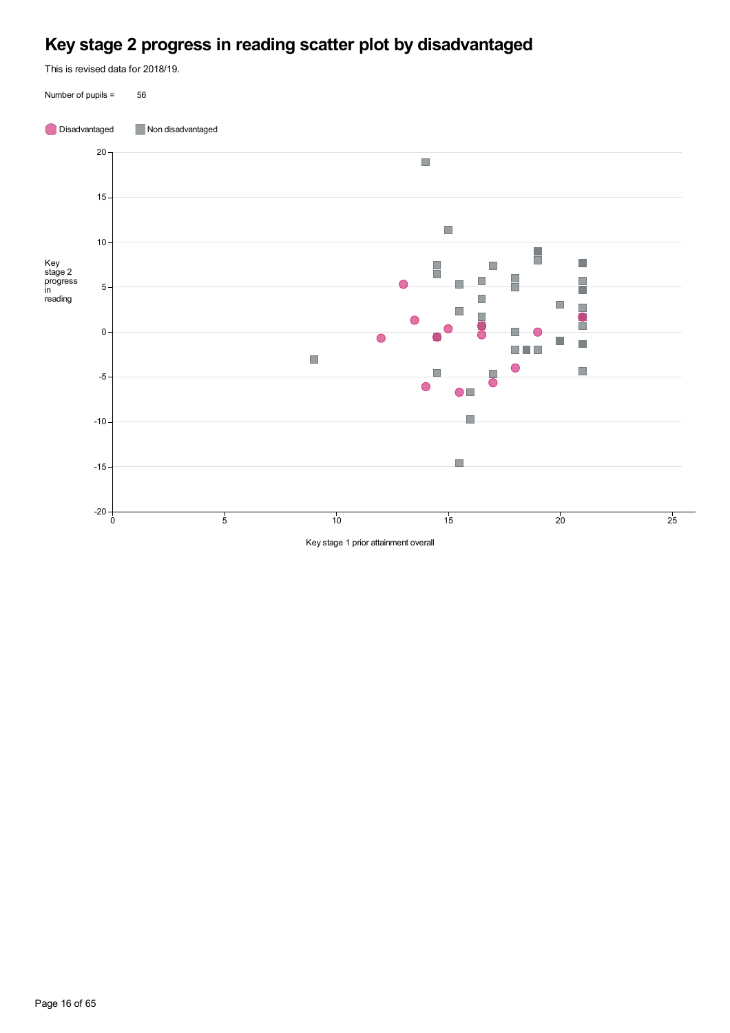# **Key stage 2 progress in reading scatter plot by disadvantaged**

This is revised data for 2018/19.

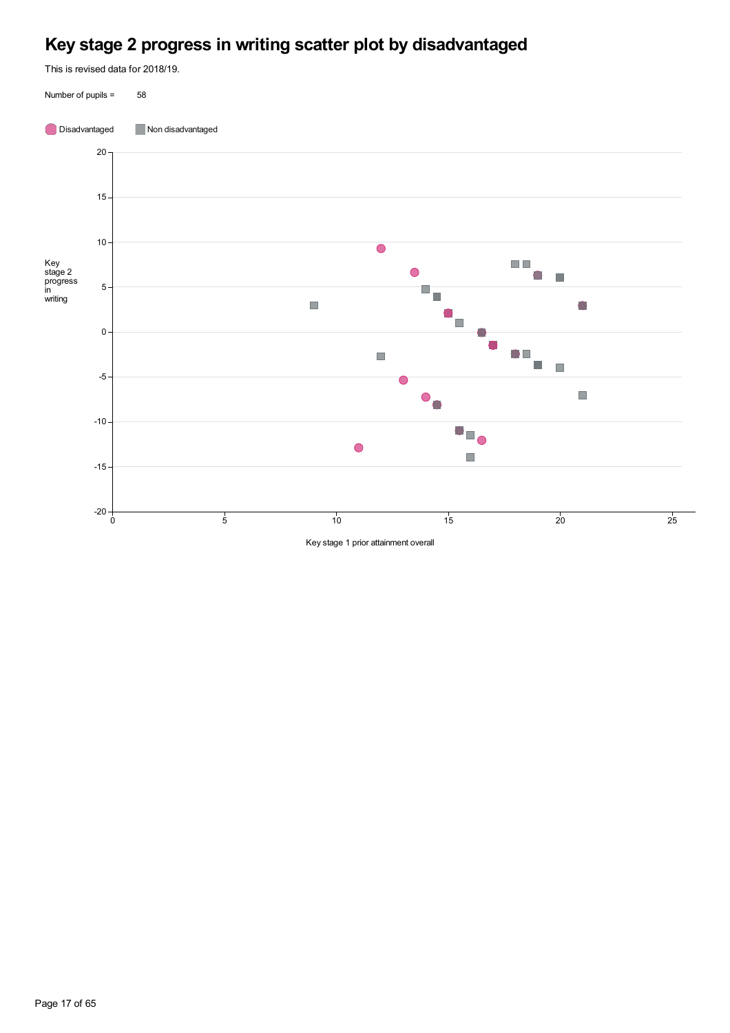# **Key stage 2 progress in writing scatter plot by disadvantaged**

This is revised data for 2018/19.

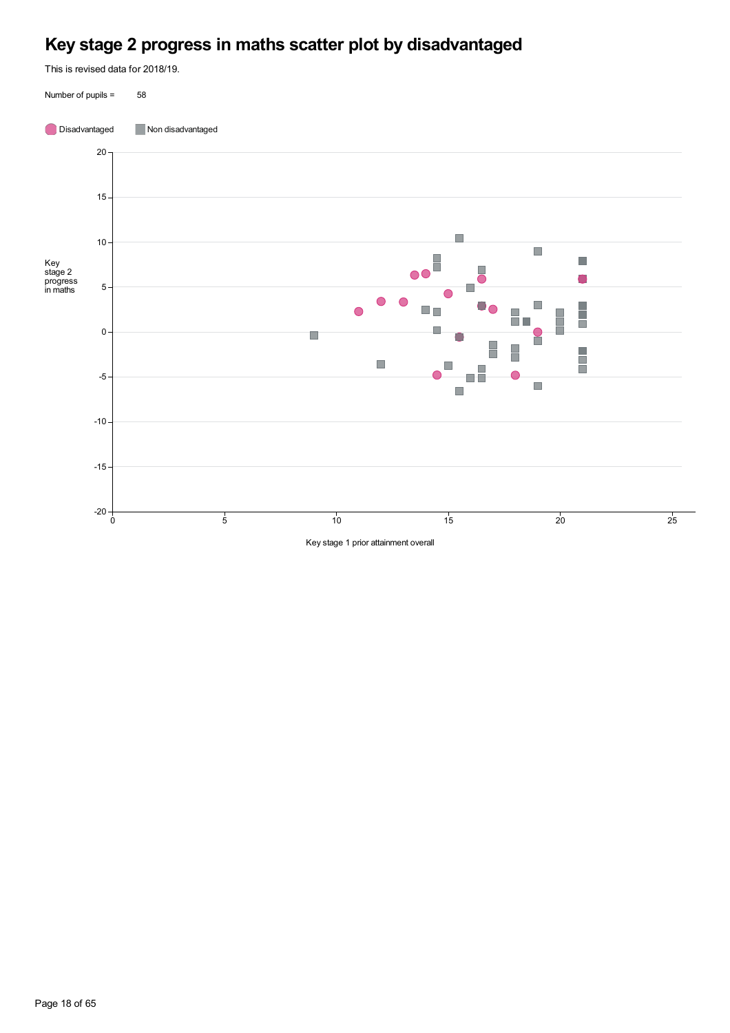## **Key stage 2 progress in maths scatter plot by disadvantaged**

This is revised data for 2018/19.

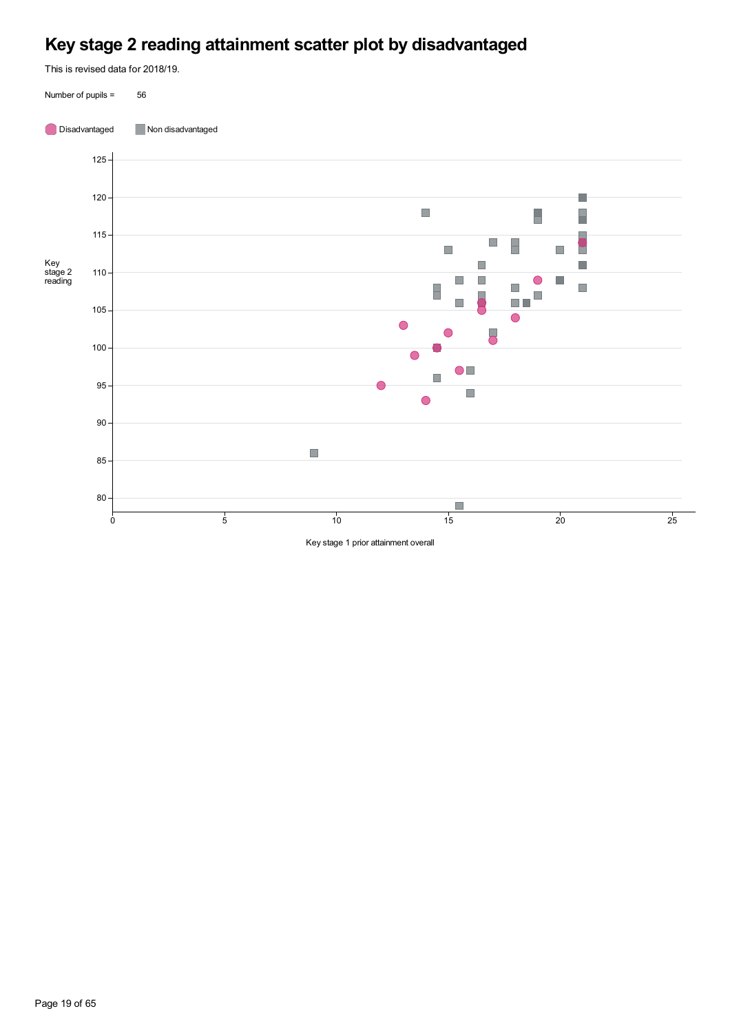# **Key stage 2 reading attainment scatter plot by disadvantaged**

This is revised data for 2018/19.

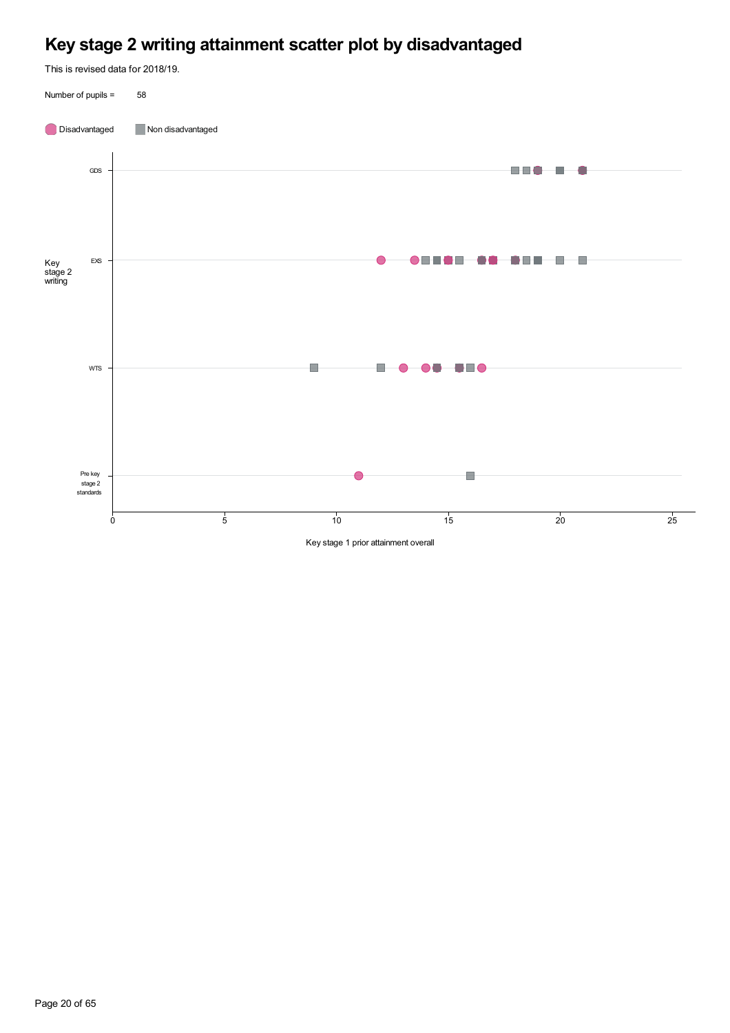# **Key stage 2 writing attainment scatter plot by disadvantaged**

This is revised data for 2018/19.

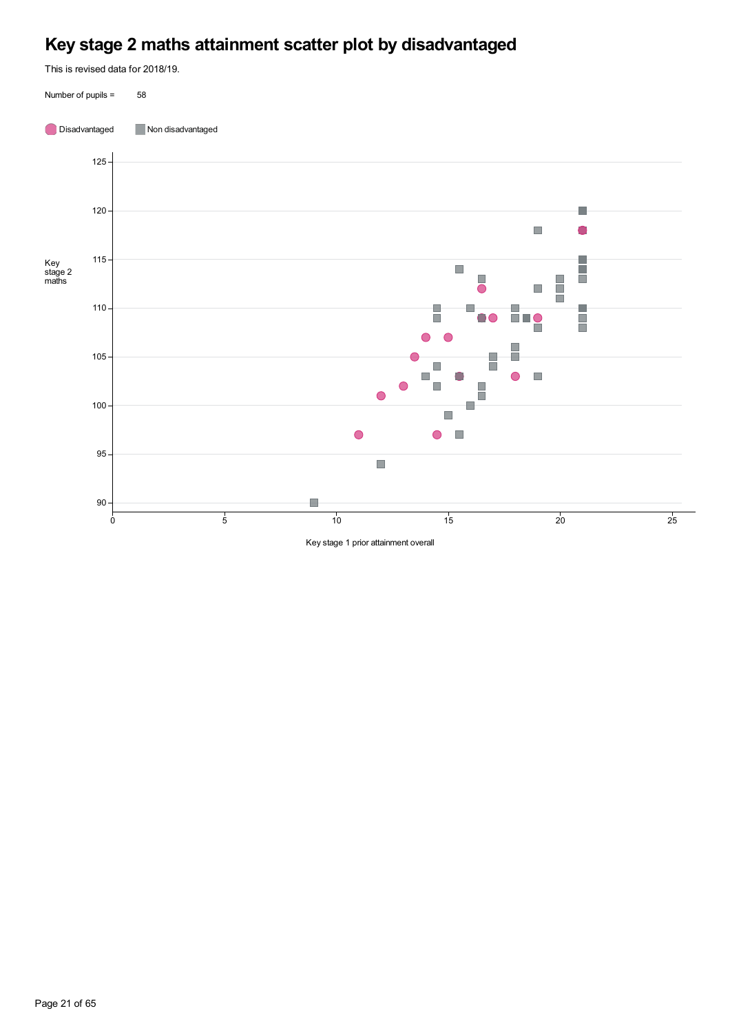# **Key stage 2 maths attainment scatter plot by disadvantaged**

This is revised data for 2018/19.

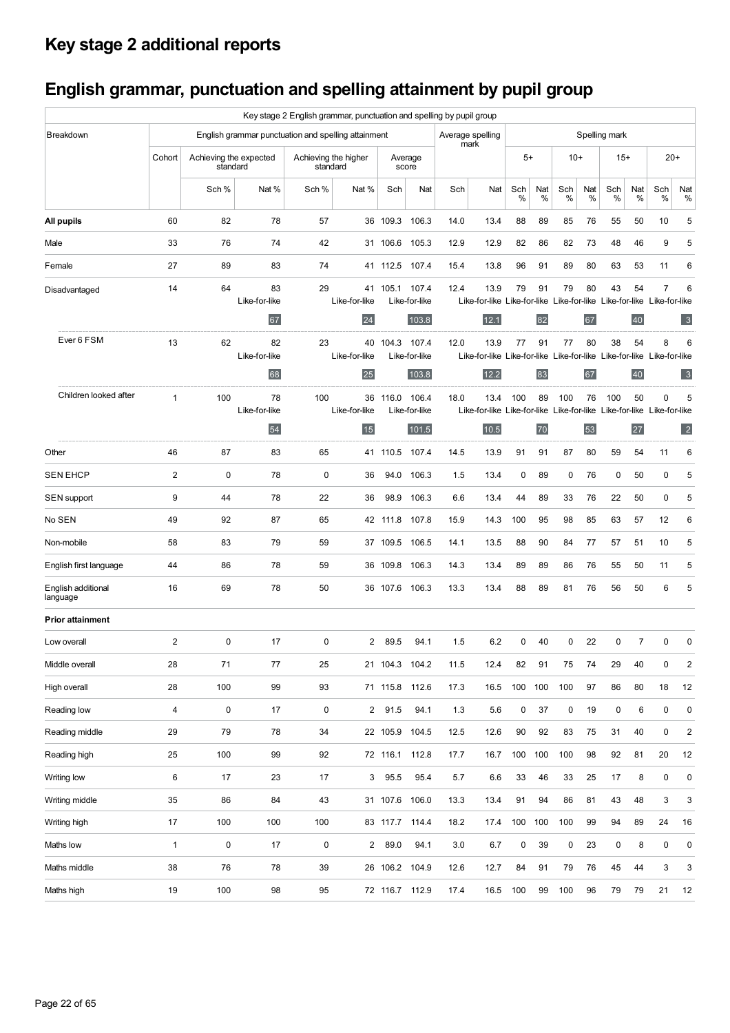# **Key stage 2 additional reports**

# **English grammar, punctuation and spelling attainment by pupil group**

|                                |                         |                                    |                                                     | Key stage 2 English grammar, punctuation and spelling by pupil group |                      |          |                        |                          |                                                                               |             |          |           |          |               |                |              |                         |
|--------------------------------|-------------------------|------------------------------------|-----------------------------------------------------|----------------------------------------------------------------------|----------------------|----------|------------------------|--------------------------|-------------------------------------------------------------------------------|-------------|----------|-----------|----------|---------------|----------------|--------------|-------------------------|
| Breakdown                      |                         |                                    | English grammar punctuation and spelling attainment |                                                                      |                      |          |                        | Average spelling<br>mark |                                                                               |             |          |           |          | Spelling mark |                |              |                         |
|                                | Cohort                  | Achieving the expected<br>standard |                                                     | standard                                                             | Achieving the higher |          | Average<br>score       |                          |                                                                               | $5+$        |          | $10+$     |          | $15+$         |                | $20+$        |                         |
|                                |                         | Sch %                              | Nat %                                               | Sch %                                                                | Nat %                | Sch      | Nat                    | Sch                      | Nat                                                                           | Sch<br>%    | Nat<br>% | Sch<br>%  | Nat<br>% | Sch<br>%      | Nat<br>%       | Sch<br>℅     | Nat<br>%                |
| All pupils                     | 60                      | 82                                 | 78                                                  | 57                                                                   |                      | 36 109.3 | 106.3                  | 14.0                     | 13.4                                                                          | 88          | 89       | 85        | 76       | 55            | 50             | 10           | 5                       |
| Male                           | 33                      | 76                                 | 74                                                  | 42                                                                   |                      | 31 106.6 | 105.3                  | 12.9                     | 12.9                                                                          | 82          | 86       | 82        | 73       | 48            | 46             | 9            | 5                       |
| Female                         | 27                      | 89                                 | 83                                                  | 74                                                                   |                      | 41 112.5 | 107.4                  | 15.4                     | 13.8                                                                          | 96          | 91       | 89        | 80       | 63            | 53             | 11           | 6                       |
| Disadvantaged                  | 14                      | 64                                 | 83<br>Like-for-like                                 | 29                                                                   | Like-for-like        | 41 105.1 | 107.4<br>Like-for-like | 12.4                     | 13.9<br>Like-for-like Like-for-like Like-for-like Like-for-like Like-for-like | 79          | 91       | 79        | 80       | 43            | 54             | 7            | 6                       |
|                                |                         |                                    | 67                                                  |                                                                      | 24                   |          | 103.8                  |                          | 12.1                                                                          |             | 82       |           | 67       |               | 40             |              | 3                       |
| Ever 6 FSM                     | 13                      | 62                                 | 82<br>Like-for-like                                 | 23                                                                   | 40<br>Like-for-like  | 104.3    | 107.4<br>Like-for-like | 12.0                     | 13.9<br>Like-for-like Like-for-like Like-for-like Like-for-like Like-for-like | 77          | 91       | 77        | 80       | 38            | 54             | 8            | 6                       |
|                                |                         |                                    | 68                                                  |                                                                      | 25                   |          | 103.8                  |                          | 12.2                                                                          |             | 83       |           | 67       |               | 40             |              | 3                       |
| Children looked after          | $\mathbf{1}$            | 100                                | 78<br>Like-for-like                                 | 100                                                                  | 36<br>Like-for-like  | 116.0    | 106.4<br>Like-for-like | 18.0                     | 13.4<br>Like-for-like Like-for-like Like-for-like Like-for-like Like-for-like | 100         | 89       | 100       | 76       | 100           | 50             | $\mathbf{0}$ | 5                       |
|                                |                         |                                    | 54                                                  |                                                                      | 15                   |          | 101.5                  |                          | 10.5                                                                          |             | 70       |           | 53       |               | 27             |              | $\vert$ 2               |
| Other                          | 46                      | 87                                 | 83                                                  | 65                                                                   | 41                   | 110.5    | 107.4                  | 14.5                     | 13.9                                                                          | 91          | 91       | 87        | 80       | 59            | 54             | 11           | 6                       |
| <b>SEN EHCP</b>                | 2                       | $\mathbf 0$                        | 78                                                  | 0                                                                    | 36                   | 94.0     | 106.3                  | 1.5                      | 13.4                                                                          | 0           | 89       | 0         | 76       | 0             | 50             | 0            | 5                       |
| SEN support                    | 9                       | 44                                 | 78                                                  | 22                                                                   | 36                   | 98.9     | 106.3                  | 6.6                      | 13.4                                                                          | 44          | 89       | 33        | 76       | 22            | 50             | 0            | 5                       |
| No SEN                         | 49                      | 92                                 | 87                                                  | 65                                                                   |                      | 42 111.8 | 107.8                  | 15.9                     | 14.3                                                                          | 100         | 95       | 98        | 85       | 63            | 57             | 12           | 6                       |
| Non-mobile                     | 58                      | 83                                 | 79                                                  | 59                                                                   |                      | 37 109.5 | 106.5                  | 14.1                     | 13.5                                                                          | 88          | 90       | 84        | 77       | 57            | 51             | 10           | 5                       |
| English first language         | 44                      | 86                                 | 78                                                  | 59                                                                   |                      | 36 109.8 | 106.3                  | 14.3                     | 13.4                                                                          | 89          | 89       | 86        | 76       | 55            | 50             | 11           | 5                       |
| English additional<br>language | 16                      | 69                                 | 78                                                  | 50                                                                   |                      | 36 107.6 | 106.3                  | 13.3                     | 13.4                                                                          | 88          | 89       | 81        | 76       | 56            | 50             | 6            | 5                       |
| <b>Prior attainment</b>        |                         |                                    |                                                     |                                                                      |                      |          |                        |                          |                                                                               |             |          |           |          |               |                |              |                         |
| Low overall                    | $\mathbf{2}$            | $\mathbf 0$                        | 17                                                  | 0                                                                    | $\overline{2}$       | 89.5     | 94.1                   | 1.5                      | 6.2                                                                           | $\mathbf 0$ | 40       | $\Omega$  | 22       | $\mathbf 0$   | $\overline{7}$ | $\mathbf 0$  | $\mathbf 0$             |
| Middle overall                 | 28                      | 71                                 | 77                                                  | 25                                                                   |                      |          | 21 104.3 104.2         | 11.5                     | 12.4                                                                          | 82          | 91       | 75        | 74       | 29            | 40             | 0            | $\overline{\mathbf{c}}$ |
| High overall                   | 28                      | 100                                | 99                                                  | 93                                                                   |                      |          | 71 115.8 112.6         | 17.3                     | 16.5                                                                          | 100         | 100      | 100       | 97       | 86            | 80             | 18           | 12                      |
| Reading low                    | $\overline{\mathbf{4}}$ | $\pmb{0}$                          | 17                                                  | 0                                                                    |                      | 2 91.5   | 94.1                   | 1.3                      | 5.6                                                                           | $\pmb{0}$   | 37       | $\pmb{0}$ | 19       | 0             | 6              | $\mathbf 0$  | $\mathbf 0$             |
| Reading middle                 | 29                      | 79                                 | 78                                                  | 34                                                                   |                      |          | 22 105.9 104.5         | 12.5                     | 12.6                                                                          | 90          | 92       | 83        | 75       | 31            | 40             | $\mathbf 0$  | $\overline{\mathbf{c}}$ |
| Reading high                   | 25                      | 100                                | 99                                                  | 92                                                                   |                      |          | 72 116.1 112.8         | 17.7                     | 16.7                                                                          | 100         | 100      | 100       | 98       | 92            | 81             | 20           | 12                      |
| Writing low                    | 6                       | 17                                 | 23                                                  | 17                                                                   |                      | 3 95.5   | 95.4                   | 5.7                      | 6.6                                                                           | 33          | 46       | 33        | 25       | 17            | 8              | $\pmb{0}$    | 0                       |
| Writing middle                 | 35                      | 86                                 | 84                                                  | 43                                                                   |                      |          | 31 107.6 106.0         | 13.3                     | 13.4                                                                          | 91          | 94       | 86        | 81       | 43            | 48             | 3            | 3                       |
| Writing high                   | 17                      | 100                                | 100                                                 | 100                                                                  |                      |          | 83 117.7 114.4         | 18.2                     | 17.4                                                                          | 100         | 100      | 100       | 99       | 94            | 89             | 24           | 16                      |
| Maths low                      | 1                       | $\pmb{0}$                          | 17                                                  | 0                                                                    | $\mathbf{2}$         | 89.0     | 94.1                   | 3.0                      | 6.7                                                                           | $\pmb{0}$   | 39       | 0         | 23       | $\pmb{0}$     | 8              | $\mathbf 0$  | $\mathbf 0$             |
| Maths middle                   | 38                      | 76                                 | 78                                                  | 39                                                                   |                      |          | 26 106.2 104.9         | 12.6                     | 12.7                                                                          | 84          | 91       | 79        | 76       | 45            | 44             | 3            | 3                       |
| Maths high                     | 19                      | 100                                | 98                                                  | 95                                                                   |                      |          | 72 116.7 112.9         | 17.4                     | 16.5                                                                          | 100         | 99       | 100       | 96       | 79            | 79             | 21           | 12                      |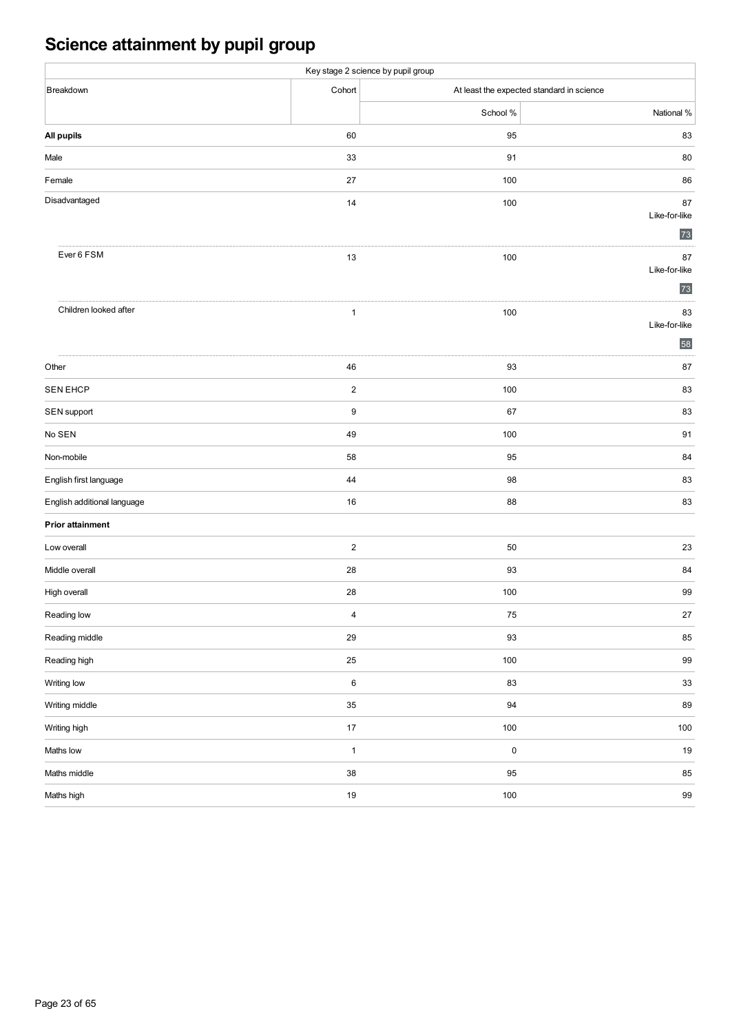# **Science attainment by pupil group**

|                             |                         | Key stage 2 science by pupil group |                                           |
|-----------------------------|-------------------------|------------------------------------|-------------------------------------------|
| Breakdown                   | Cohort                  |                                    | At least the expected standard in science |
|                             |                         | School %                           | National %                                |
| All pupils                  | 60                      | 95                                 | 83                                        |
| Male                        | 33                      | 91                                 | 80                                        |
| Female                      | 27                      | 100                                | 86                                        |
| Disadvantaged               | 14                      | 100                                | 87<br>Like-for-like<br>73                 |
| Ever 6 FSM                  | 13                      | 100                                | 87<br>Like-for-like<br>73                 |
| Children looked after       | $\mathbf{1}$            | 100                                | 83<br>Like-for-like<br>58                 |
| Other                       | ${\bf 46}$              | 93                                 | 87                                        |
| <b>SEN EHCP</b>             | $\overline{\mathbf{c}}$ | 100                                | 83                                        |
| SEN support                 | $\boldsymbol{9}$        | 67                                 | 83                                        |
| No SEN                      | 49                      | 100                                | 91                                        |
| Non-mobile                  | 58                      | 95                                 | 84                                        |
| English first language      | 44                      | 98                                 | 83                                        |
| English additional language | 16                      | 88                                 | 83                                        |
| <b>Prior attainment</b>     |                         |                                    |                                           |
| Low overall                 | $\overline{\mathbf{c}}$ | 50                                 | 23                                        |
| Middle overall              | 28                      | 93                                 | 84                                        |
| High overall                | 28                      | 100                                | 99                                        |
| Reading low                 | 4                       | ${\bf 75}$                         | 27                                        |
| Reading middle              | $29\,$                  | 93                                 | 85                                        |
| Reading high                | $25\,$                  | $100\,$                            | 99                                        |
| Writing low                 | $\,6$                   | 83                                 | $33\,$                                    |
| Writing middle              | $35\,$                  | $94\,$                             | 89                                        |
| Writing high                | $17\,$                  | $100\,$                            | $100\,$                                   |
| Maths low                   | $\mathbf 1$             | $\pmb{0}$                          | $19$                                      |
| Maths middle                | $38\,$                  | 95                                 | 85                                        |
| Maths high                  | $19\,$                  | $100\,$                            | $99\,$                                    |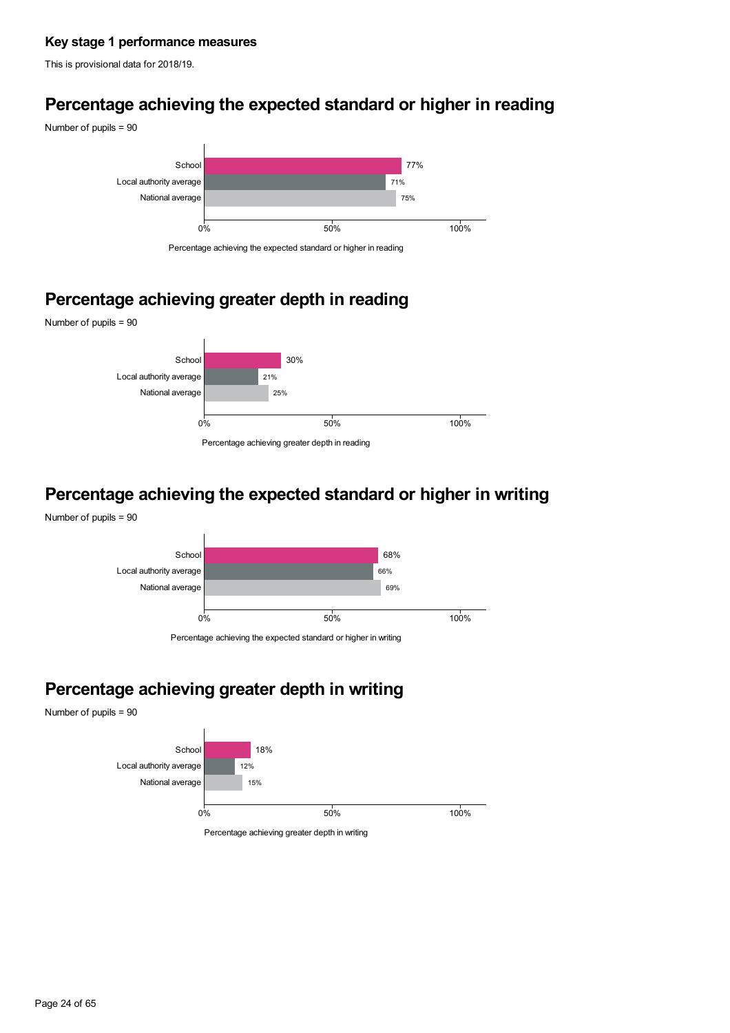## **Key stage 1 performance measures**

This is provisional data for 2018/19.

## **Percentage achieving the expected standard or higher in reading**



## **Percentage achieving greater depth in reading**



## **Percentage achieving the expected standard or higher in writing**





Percentage achieving the expected standard or higher in writing

# **Percentage achieving greater depth in writing**

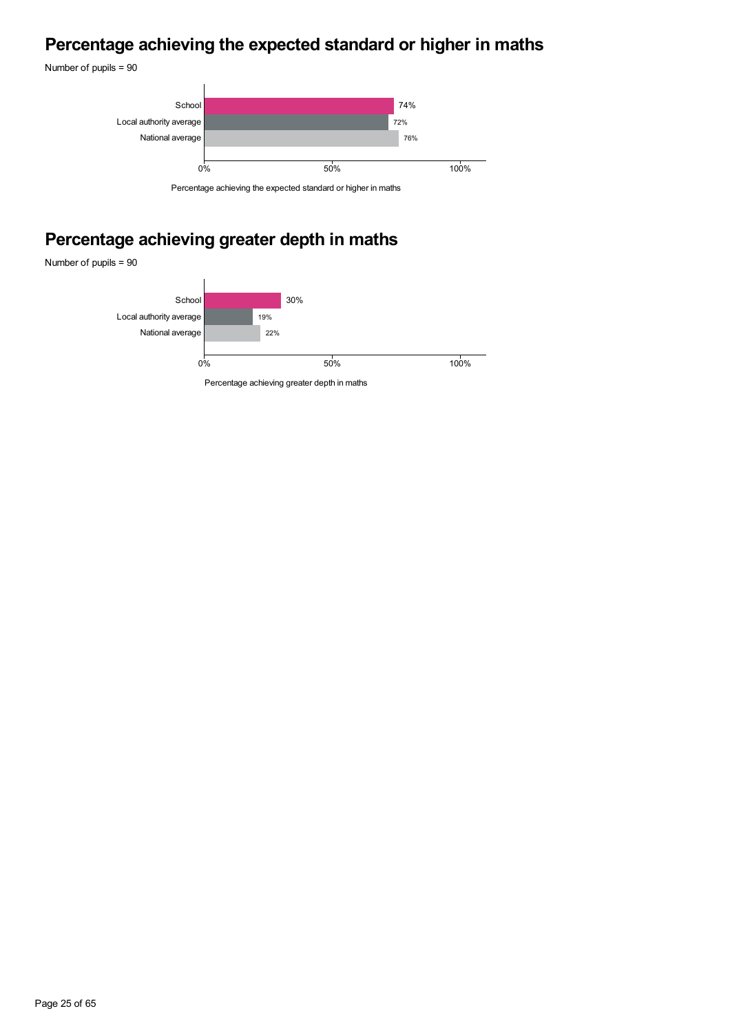## **Percentage achieving the expected standard or higher in maths**

Number of pupils = 90



# **Percentage achieving greater depth in maths**

Number of pupils = 90

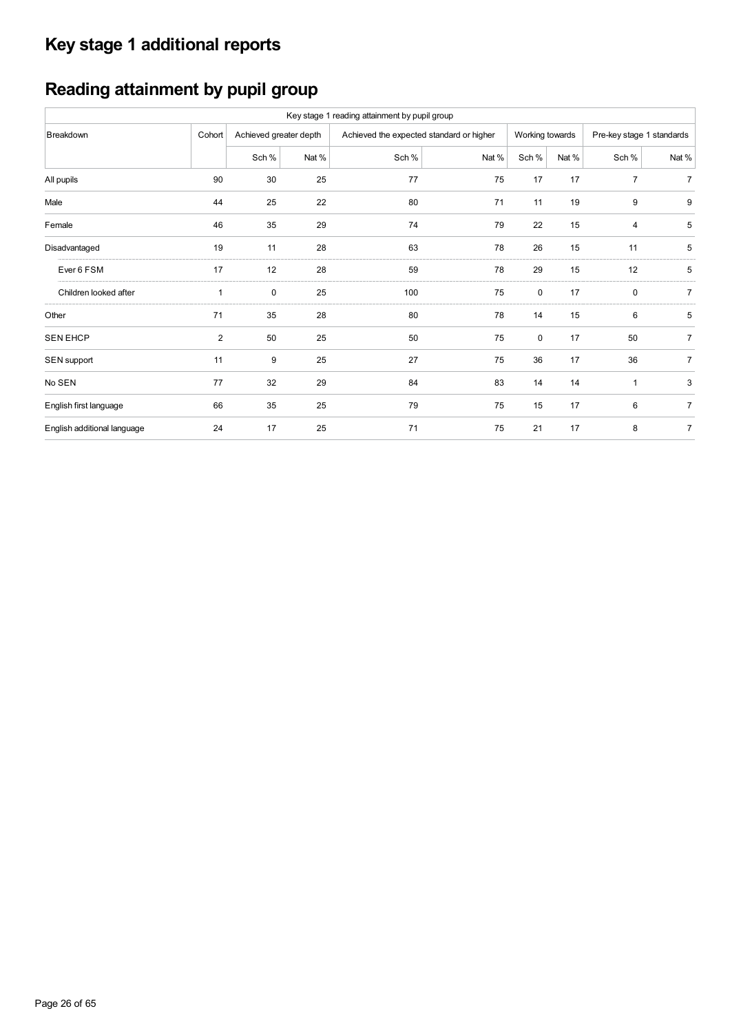# **Key stage 1 additional reports**

# **Reading attainment by pupil group**

|                             |                |                        |       | Key stage 1 reading attainment by pupil group |       |                 |       |                           |                |
|-----------------------------|----------------|------------------------|-------|-----------------------------------------------|-------|-----------------|-------|---------------------------|----------------|
| Breakdown                   | Cohort         | Achieved greater depth |       | Achieved the expected standard or higher      |       | Working towards |       | Pre-key stage 1 standards |                |
|                             |                | Sch %                  | Nat % | Sch %                                         | Nat % | Sch %           | Nat % | Sch %                     | Nat %          |
| All pupils                  | 90             | 30                     | 25    | 77                                            | 75    | 17              | 17    | $\overline{7}$            | $\overline{7}$ |
| Male                        | 44             | 25                     | 22    | 80                                            | 71    | 11              | 19    | 9                         | 9              |
| Female                      | 46             | 35                     | 29    | 74                                            | 79    | 22              | 15    | 4                         | 5              |
| Disadvantaged               | 19             | 11                     | 28    | 63                                            | 78    | 26              | 15    | 11                        | 5              |
| Ever 6 FSM                  | 17             | 12                     | 28    | 59                                            | 78    | 29              | 15    | 12                        | 5              |
| Children looked after       | $\mathbf{1}$   | 0                      | 25    | 100                                           | 75    | $\mathbf 0$     | 17    | 0                         | $\overline{7}$ |
| Other                       | 71             | 35                     | 28    | 80                                            | 78    | 14              | 15    | 6                         | 5              |
| <b>SEN EHCP</b>             | $\overline{2}$ | 50                     | 25    | 50                                            | 75    | 0               | 17    | 50                        | $\overline{7}$ |
| SEN support                 | 11             | 9                      | 25    | 27                                            | 75    | 36              | 17    | 36                        | $\overline{7}$ |
| No SEN                      | 77             | 32                     | 29    | 84                                            | 83    | 14              | 14    | 1                         | 3              |
| English first language      | 66             | 35                     | 25    | 79                                            | 75    | 15              | 17    | 6                         | $\overline{7}$ |
| English additional language | 24             | 17                     | 25    | 71                                            | 75    | 21              | 17    | 8                         | $\overline{7}$ |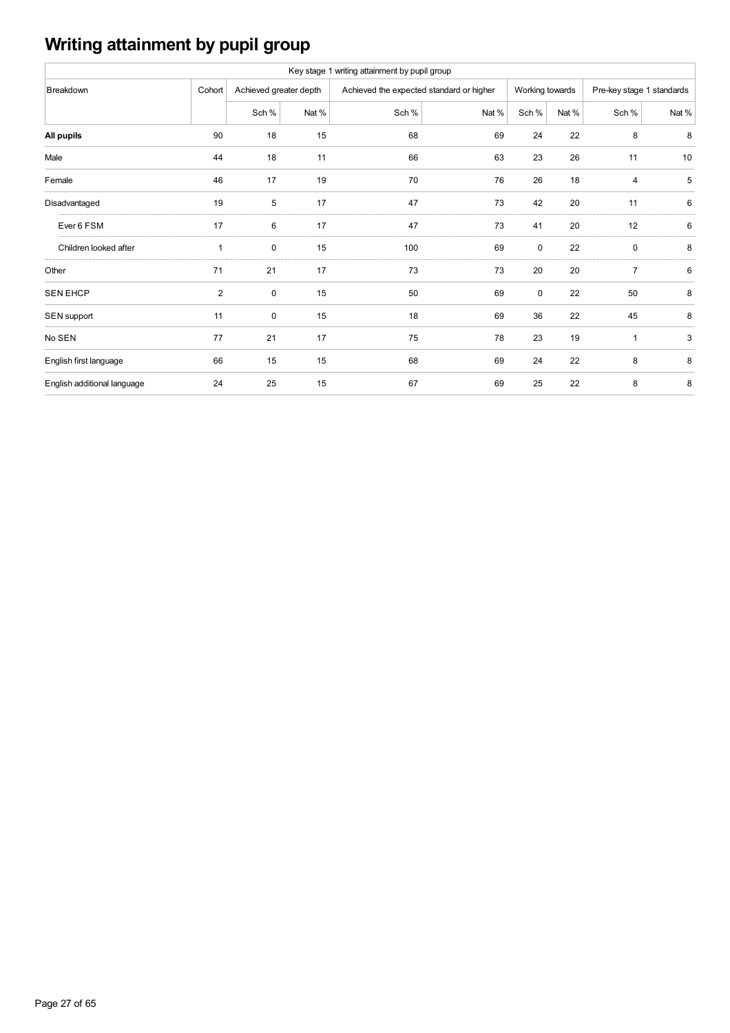# **Writing attainment by pupil group**

|                             |                |                        |       | Key stage 1 writing attainment by pupil group |       |                 |       |                           |       |
|-----------------------------|----------------|------------------------|-------|-----------------------------------------------|-------|-----------------|-------|---------------------------|-------|
| Breakdown                   | Cohort         | Achieved greater depth |       | Achieved the expected standard or higher      |       | Working towards |       | Pre-key stage 1 standards |       |
|                             |                | Sch %                  | Nat % | Sch %                                         | Nat % | Sch %           | Nat % | Sch %                     | Nat % |
| All pupils                  | 90             | 18                     | 15    | 68                                            | 69    | 24              | 22    | 8                         | 8     |
| Male                        | 44             | 18                     | 11    | 66                                            | 63    | 23              | 26    | 11                        | 10    |
| Female                      | 46             | 17                     | 19    | 70                                            | 76    | 26              | 18    | 4                         | 5     |
| Disadvantaged               | 19             | 5                      | 17    | 47                                            | 73    | 42              | 20    | 11                        | 6     |
| Ever 6 FSM                  | 17             | 6                      | 17    | 47                                            | 73    | 41              | 20    | 12                        | 6     |
| Children looked after       | $\mathbf{1}$   | 0                      | 15    | 100                                           | 69    | 0               | 22    | $\mathbf 0$               | 8     |
| Other                       | 71             | 21                     | 17    | 73                                            | 73    | 20              | 20    | $\overline{7}$            | 6     |
| <b>SEN EHCP</b>             | $\overline{c}$ | 0                      | 15    | 50                                            | 69    | 0               | 22    | 50                        | 8     |
| SEN support                 | 11             | 0                      | 15    | 18                                            | 69    | 36              | 22    | 45                        | 8     |
| No SEN                      | 77             | 21                     | 17    | 75                                            | 78    | 23              | 19    | $\mathbf{1}$              | 3     |
| English first language      | 66             | 15                     | 15    | 68                                            | 69    | 24              | 22    | 8                         | 8     |
| English additional language | 24             | 25                     | 15    | 67                                            | 69    | 25              | 22    | 8                         | 8     |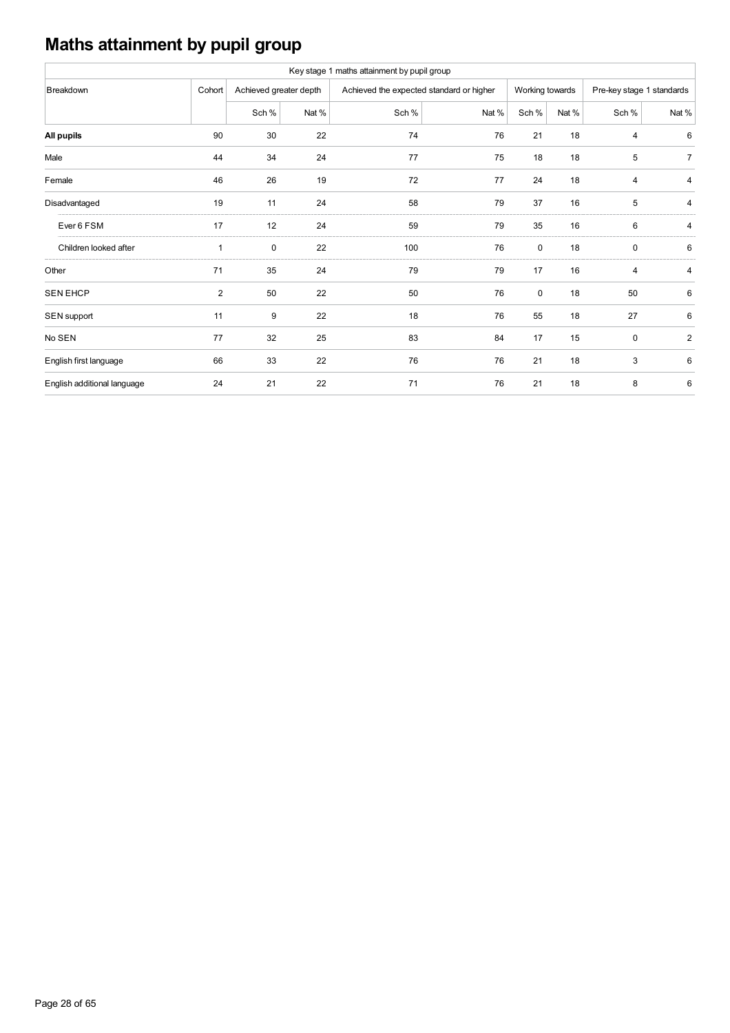# **Maths attainment by pupil group**

|                             |                |                        |       | Key stage 1 maths attainment by pupil group |       |                 |       |                           |                |
|-----------------------------|----------------|------------------------|-------|---------------------------------------------|-------|-----------------|-------|---------------------------|----------------|
| Breakdown                   | Cohort         | Achieved greater depth |       | Achieved the expected standard or higher    |       | Working towards |       | Pre-key stage 1 standards |                |
|                             |                | Sch %                  | Nat % | Sch %                                       | Nat % | Sch %           | Nat % | Sch %                     | Nat %          |
| All pupils                  | 90             | 30                     | 22    | 74                                          | 76    | 21              | 18    | 4                         | 6              |
| Male                        | 44             | 34                     | 24    | 77                                          | 75    | 18              | 18    | 5                         | $\overline{7}$ |
| Female                      | 46             | 26                     | 19    | 72                                          | 77    | 24              | 18    | 4                         | 4              |
| Disadvantaged               | 19             | 11                     | 24    | 58                                          | 79    | 37              | 16    | 5                         | 4              |
| Ever 6 FSM                  | 17             | 12                     | 24    | 59                                          | 79    | 35              | 16    | 6                         | 4              |
| Children looked after       | 1              | 0                      | 22    | 100                                         | 76    | 0               | 18    | $\mathbf 0$               | 6              |
| Other                       | 71             | 35                     | 24    | 79                                          | 79    | 17              | 16    | 4                         | 4              |
| <b>SEN EHCP</b>             | $\overline{2}$ | 50                     | 22    | 50                                          | 76    | 0               | 18    | 50                        | 6              |
| SEN support                 | 11             | 9                      | 22    | 18                                          | 76    | 55              | 18    | 27                        | 6              |
| No SEN                      | 77             | 32                     | 25    | 83                                          | 84    | 17              | 15    | $\mathbf 0$               | $\overline{2}$ |
| English first language      | 66             | 33                     | 22    | 76                                          | 76    | 21              | 18    | 3                         | 6              |
| English additional language | 24             | 21                     | 22    | 71                                          | 76    | 21              | 18    | 8                         | 6              |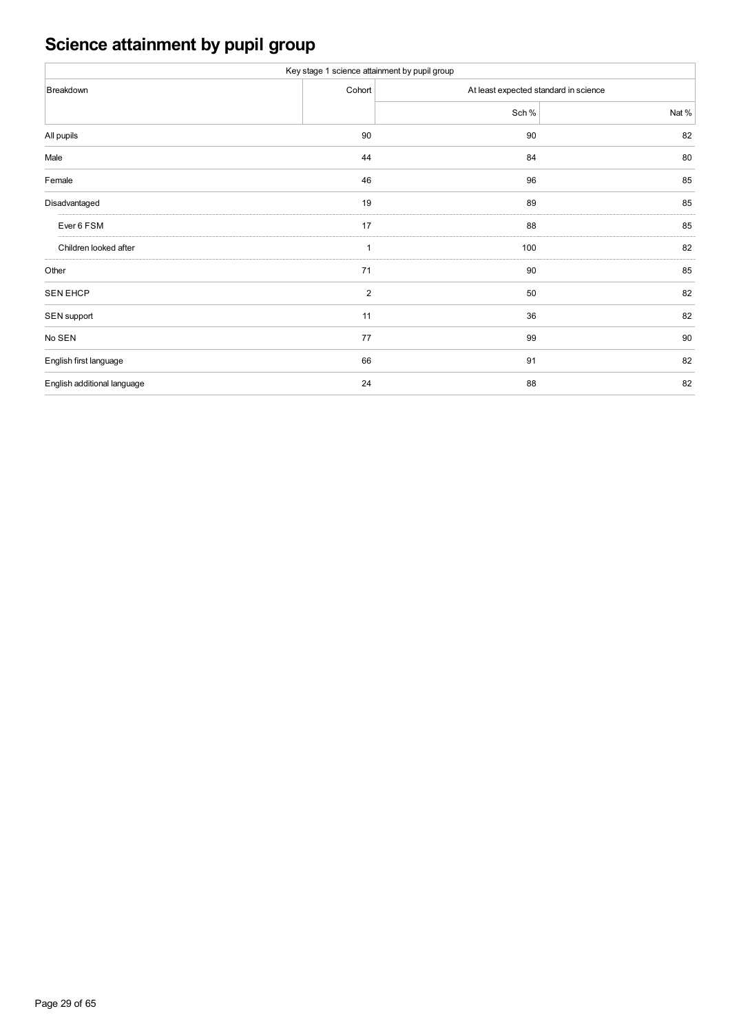# **Science attainment by pupil group**

| Key stage 1 science attainment by pupil group |                |                                       |       |  |  |  |  |  |  |
|-----------------------------------------------|----------------|---------------------------------------|-------|--|--|--|--|--|--|
| Breakdown                                     | Cohort         | At least expected standard in science |       |  |  |  |  |  |  |
|                                               |                | Sch %                                 | Nat % |  |  |  |  |  |  |
| All pupils                                    | 90             | 90                                    | 82    |  |  |  |  |  |  |
| Male                                          | 44             | 84                                    | 80    |  |  |  |  |  |  |
| Female                                        | 46             | 96                                    | 85    |  |  |  |  |  |  |
| Disadvantaged                                 | 19             | 89                                    | 85    |  |  |  |  |  |  |
| Ever 6 FSM                                    | 17             | 88                                    | 85    |  |  |  |  |  |  |
| Children looked after                         | 1              | 100                                   | 82    |  |  |  |  |  |  |
| Other                                         | 71             | 90                                    | 85    |  |  |  |  |  |  |
| <b>SEN EHCP</b>                               | $\overline{2}$ | 50                                    | 82    |  |  |  |  |  |  |
| SEN support                                   | 11             | 36                                    | 82    |  |  |  |  |  |  |
| No SEN                                        | 77             | 99                                    | 90    |  |  |  |  |  |  |
| English first language                        | 66             | 91                                    | 82    |  |  |  |  |  |  |
| English additional language                   | 24             | 88                                    | 82    |  |  |  |  |  |  |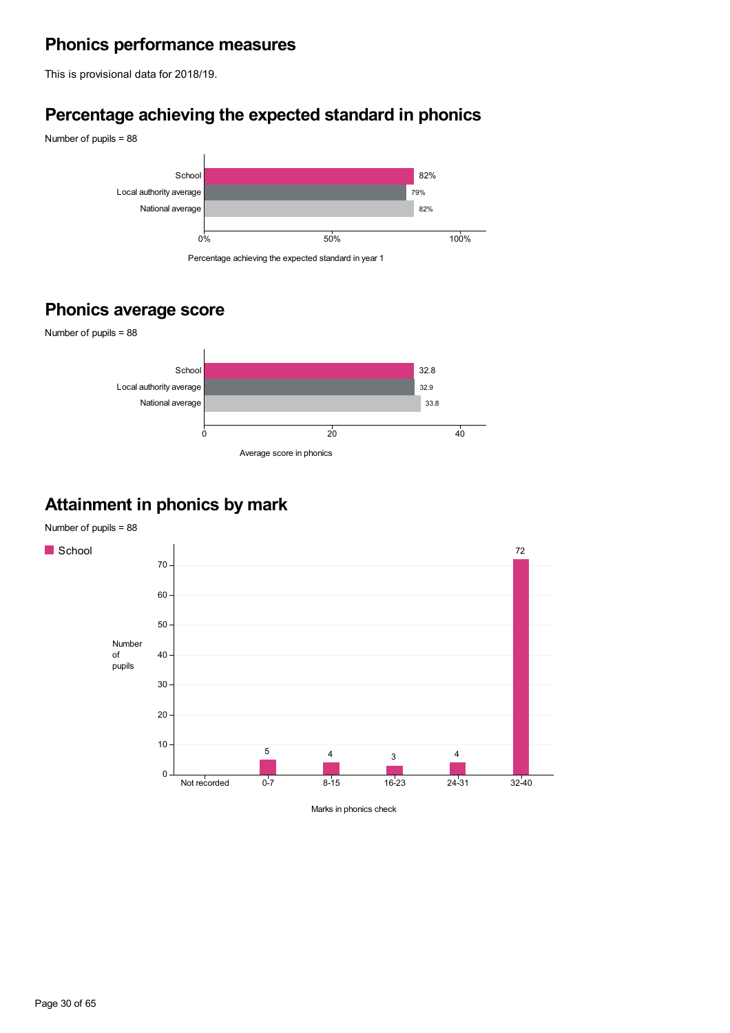## **Phonics performance measures**

This is provisional data for 2018/19.

## **Percentage achieving the expected standard in phonics**



## **Phonics average score**



## **Attainment in phonics by mark**

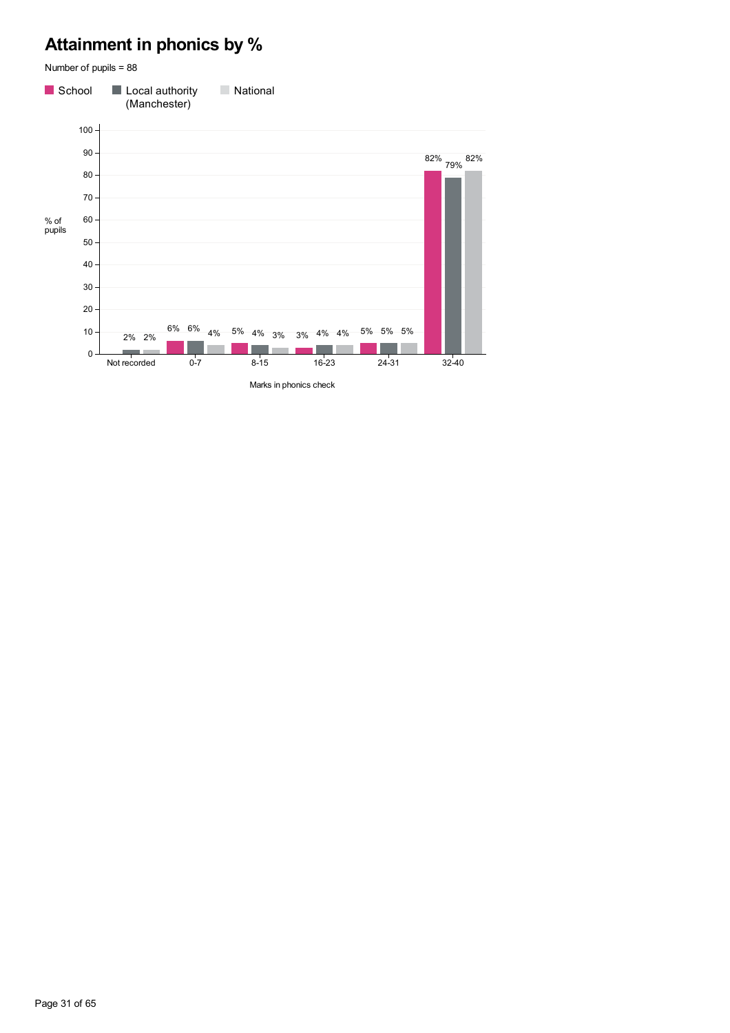## **Attainment in phonics by %**

Number of pupils = 88 School Local authority **National** (Manchester)  $100 -$ 90 82% 79% 82% 80 70 60 % of pupils 50 40 30 20  $10 6\%$   $6\%$   $4\%$   $5\%$   $4\%$   $3\%$   $3\%$   $4\%$   $4\%$   $5\%$   $5\%$   $5\%$   $-$ 2% 2% **The Co Contract**  $\mathbb{R}^2$ 0 Not recorded 0-7 8-15 16-23 24-31 32-40

Marks in phonics check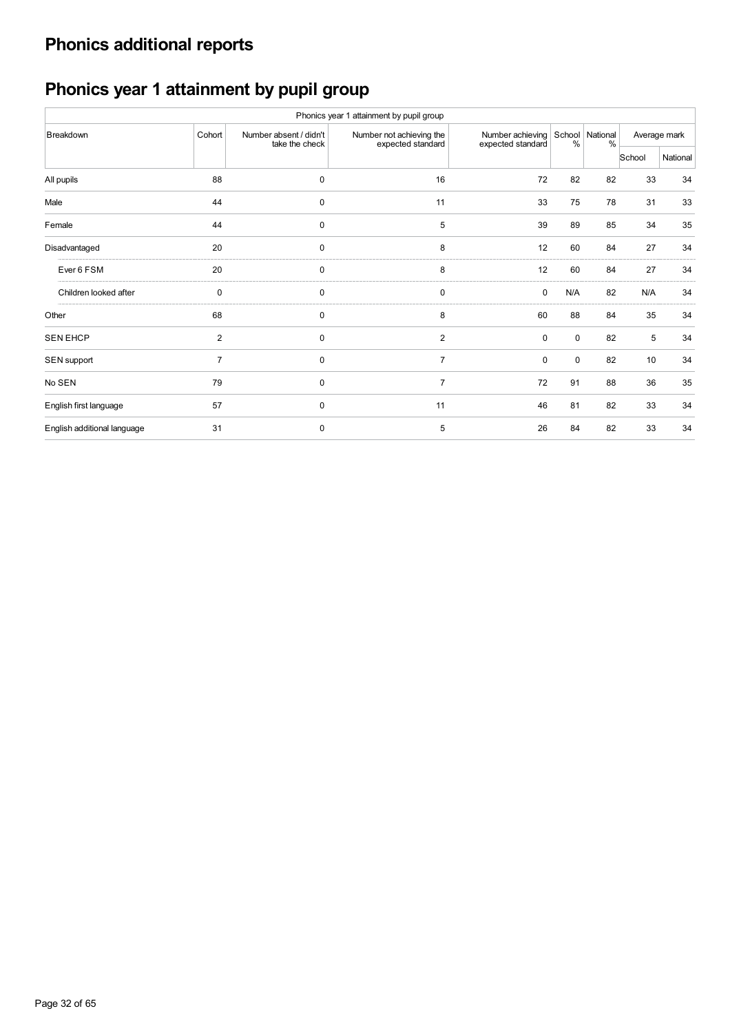# **Phonics additional reports**

# **Phonics year 1 attainment by pupil group**

|                             |                         |                                          | Phonics year 1 attainment by pupil group      |                                       |               |                         |        |              |
|-----------------------------|-------------------------|------------------------------------------|-----------------------------------------------|---------------------------------------|---------------|-------------------------|--------|--------------|
| Breakdown                   | Cohort                  | Number absent / didn't<br>take the check | Number not achieving the<br>expected standard | Number achieving<br>expected standard | $\frac{0}{0}$ | School National<br>$\%$ |        | Average mark |
|                             |                         |                                          |                                               |                                       |               |                         | School | National     |
| All pupils                  | 88                      | $\mathbf 0$                              | 16                                            | 72                                    | 82            | 82                      | 33     | 34           |
| Male                        | 44                      | 0                                        | 11                                            | 33                                    | 75            | 78                      | 31     | 33           |
| Female                      | 44                      | $\mathbf 0$                              | 5                                             | 39                                    | 89            | 85                      | 34     | 35           |
| Disadvantaged               | 20                      | 0                                        | 8                                             | 12                                    | 60            | 84                      | 27     | 34           |
| Ever 6 FSM                  | 20                      | $\mathbf 0$                              | 8                                             | 12                                    | 60            | 84                      | 27     | 34           |
| Children looked after       | 0                       | $\mathbf 0$                              | $\mathbf 0$                                   | 0                                     | N/A           | 82                      | N/A    | 34           |
| Other                       | 68                      | $\mathbf 0$                              | 8                                             | 60                                    | 88            | 84                      | 35     | 34           |
| <b>SEN EHCP</b>             | $\overline{\mathbf{c}}$ | $\mathbf 0$                              | $\overline{2}$                                | $\mathbf 0$                           | $\mathbf 0$   | 82                      | 5      | 34           |
| SEN support                 | $\overline{7}$          | $\mathbf 0$                              | $\overline{7}$                                | $\mathbf 0$                           | $\Omega$      | 82                      | 10     | 34           |
| No SEN                      | 79                      | $\mathbf 0$                              | $\overline{7}$                                | 72                                    | 91            | 88                      | 36     | 35           |
| English first language      | 57                      | $\mathbf 0$                              | 11                                            | 46                                    | 81            | 82                      | 33     | 34           |
| English additional language | 31                      | $\mathbf 0$                              | 5                                             | 26                                    | 84            | 82                      | 33     | 34           |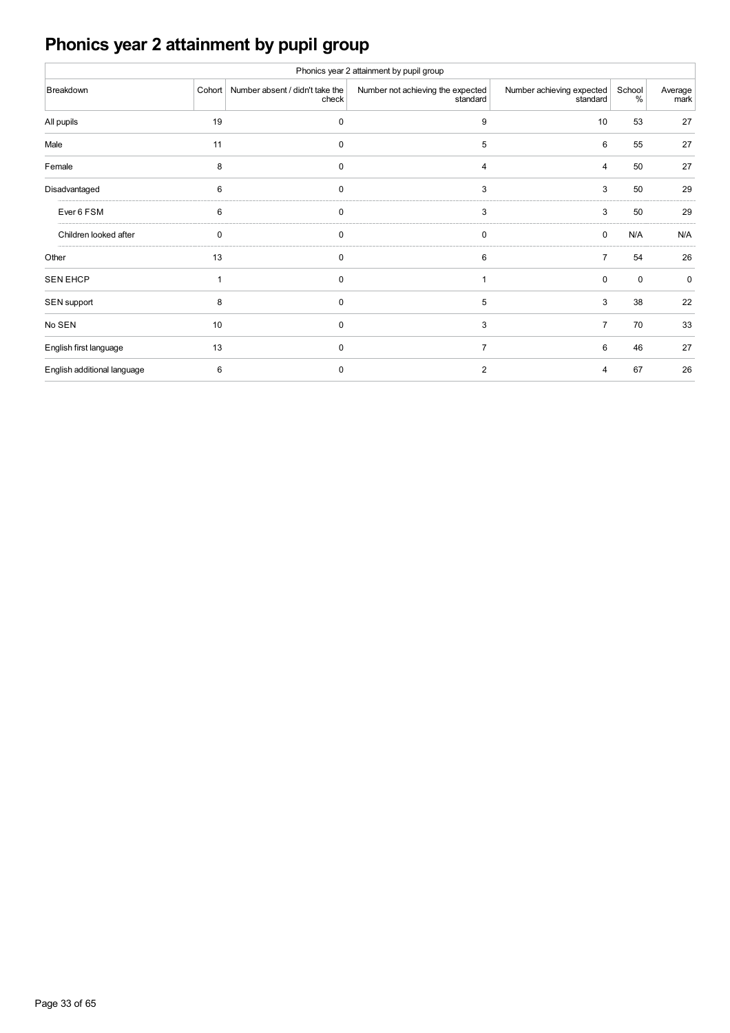# **Phonics year 2 attainment by pupil group**

|                             |    |                                                 | Phonics year 2 attainment by pupil group      |                                       |             |                 |
|-----------------------------|----|-------------------------------------------------|-----------------------------------------------|---------------------------------------|-------------|-----------------|
| Breakdown                   |    | Cohort Number absent / didn't take the<br>check | Number not achieving the expected<br>standard | Number achieving expected<br>standard | School<br>% | Average<br>mark |
| All pupils                  | 19 | 0                                               | 9                                             | 10                                    | 53          | 27              |
| Male                        | 11 | 0                                               | 5                                             | 6                                     | 55          | 27              |
| Female                      | 8  | $\mathbf 0$                                     | 4                                             | 4                                     | 50          | 27              |
| Disadvantaged               | 6  | $\mathbf 0$                                     | 3                                             | 3                                     | 50          | 29              |
| Ever 6 FSM                  | 6  | 0                                               | 3                                             | 3                                     | 50          | 29              |
| Children looked after       | 0  | $\mathbf 0$                                     | 0                                             | 0                                     | N/A         | N/A             |
| Other                       | 13 | $\mathbf 0$                                     | 6                                             | $\overline{7}$                        | 54          | 26              |
| <b>SEN EHCP</b>             | 1  | $\mathbf 0$                                     |                                               | $\mathbf 0$                           | $\mathbf 0$ | $\mathbf 0$     |
| SEN support                 | 8  | $\mathbf 0$                                     | 5                                             | 3                                     | 38          | 22              |
| No SEN                      | 10 | 0                                               | 3                                             | $\overline{7}$                        | 70          | 33              |
| English first language      | 13 | 0                                               | 7                                             | 6                                     | 46          | 27              |
| English additional language | 6  | 0                                               | $\overline{2}$                                | 4                                     | 67          | 26              |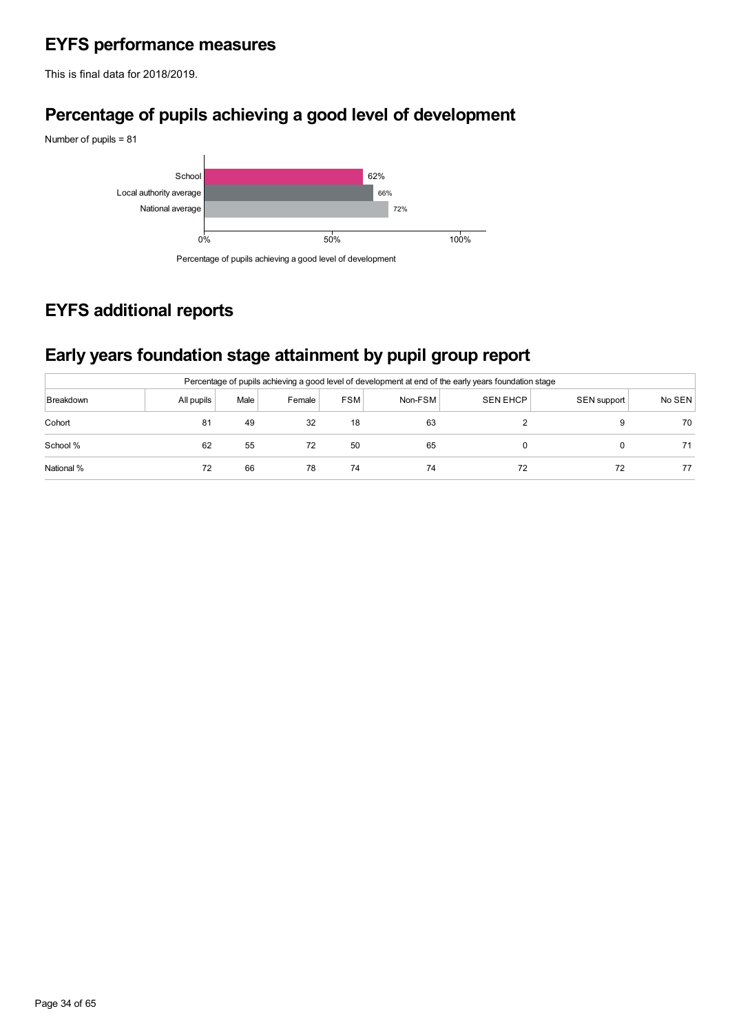## **EYFS performance measures**

This is final data for 2018/2019.

## **Percentage of pupils achieving a good level of development**



## Percentage of pupils achieving a good level of development

## **EYFS additional reports**

## **Early years foundation stage attainment by pupil group report**

| Percentage of pupils achieving a good level of development at end of the early years foundation stage |            |      |        |            |         |                 |             |        |  |  |  |  |
|-------------------------------------------------------------------------------------------------------|------------|------|--------|------------|---------|-----------------|-------------|--------|--|--|--|--|
| Breakdown                                                                                             | All pupils | Male | Female | <b>FSM</b> | Non-FSM | <b>SEN EHCP</b> | SEN support | No SEN |  |  |  |  |
| Cohort                                                                                                | 81         | 49   | 32     | 18         | 63      |                 |             | 70     |  |  |  |  |
| School %                                                                                              | 62         | 55   | 72     | 50         | 65      |                 |             |        |  |  |  |  |
| National %                                                                                            | 72         | 66   | 78     | 74         | 74      | 72              | 72          |        |  |  |  |  |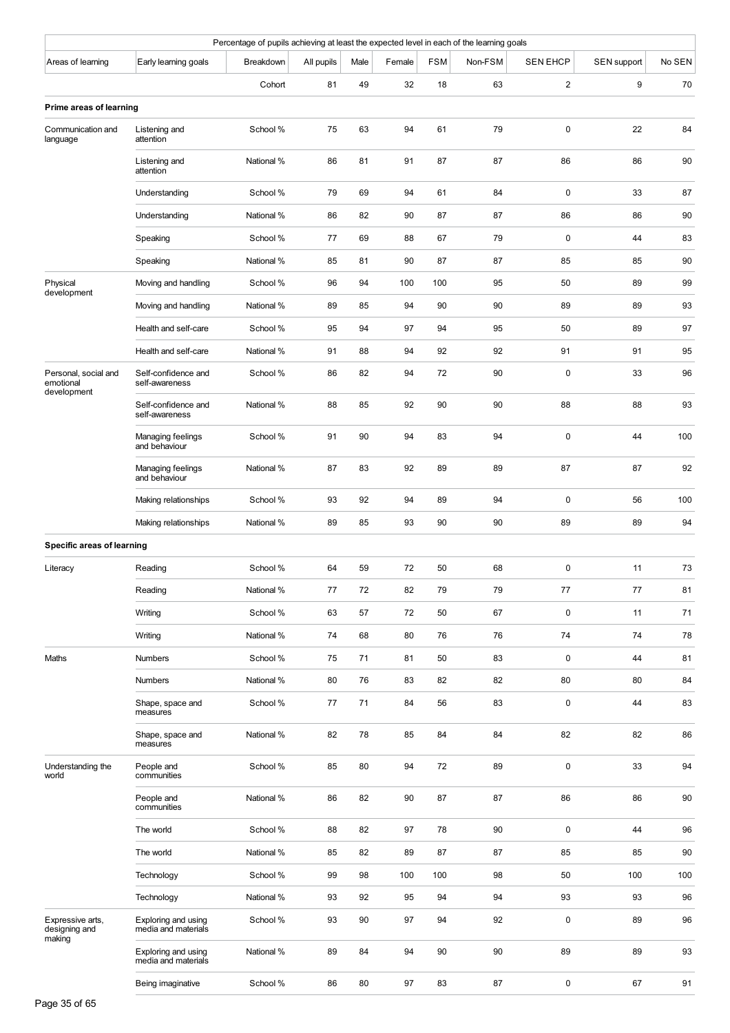| Percentage of pupils achieving at least the expected level in each of the learning goals<br>Breakdown<br>Male<br><b>FSM</b><br>Non-FSM<br><b>SEN EHCP</b><br>SEN support<br>Early learning goals<br>All pupils<br>Female |                                            |            |    |    |     |     |    |                |     |        |  |  |  |
|--------------------------------------------------------------------------------------------------------------------------------------------------------------------------------------------------------------------------|--------------------------------------------|------------|----|----|-----|-----|----|----------------|-----|--------|--|--|--|
| Areas of learning                                                                                                                                                                                                        |                                            |            |    |    |     |     |    |                |     | No SEN |  |  |  |
|                                                                                                                                                                                                                          |                                            | Cohort     | 81 | 49 | 32  | 18  | 63 | $\overline{2}$ | 9   | 70     |  |  |  |
| Prime areas of learning                                                                                                                                                                                                  |                                            |            |    |    |     |     |    |                |     |        |  |  |  |
| Communication and<br>language                                                                                                                                                                                            | Listening and<br>attention                 | School %   | 75 | 63 | 94  | 61  | 79 | $\pmb{0}$      | 22  | 84     |  |  |  |
|                                                                                                                                                                                                                          | Listening and<br>attention                 | National % | 86 | 81 | 91  | 87  | 87 | 86             | 86  | 90     |  |  |  |
|                                                                                                                                                                                                                          | Understanding                              | School %   | 79 | 69 | 94  | 61  | 84 | $\mathbf 0$    | 33  | 87     |  |  |  |
|                                                                                                                                                                                                                          | Understanding                              | National % | 86 | 82 | 90  | 87  | 87 | 86             | 86  | 90     |  |  |  |
|                                                                                                                                                                                                                          | Speaking                                   | School %   | 77 | 69 | 88  | 67  | 79 | $\pmb{0}$      | 44  | 83     |  |  |  |
|                                                                                                                                                                                                                          | Speaking                                   | National % | 85 | 81 | 90  | 87  | 87 | 85             | 85  | 90     |  |  |  |
| Physical<br>development                                                                                                                                                                                                  | Moving and handling                        | School %   | 96 | 94 | 100 | 100 | 95 | 50             | 89  | 99     |  |  |  |
|                                                                                                                                                                                                                          | Moving and handling                        | National % | 89 | 85 | 94  | 90  | 90 | 89             | 89  | 93     |  |  |  |
|                                                                                                                                                                                                                          | Health and self-care                       | School %   | 95 | 94 | 97  | 94  | 95 | 50             | 89  | 97     |  |  |  |
|                                                                                                                                                                                                                          | Health and self-care                       | National % | 91 | 88 | 94  | 92  | 92 | 91             | 91  | 95     |  |  |  |
| Personal, social and<br>emotional<br>development                                                                                                                                                                         | Self-confidence and<br>self-awareness      | School %   | 86 | 82 | 94  | 72  | 90 | $\pmb{0}$      | 33  | 96     |  |  |  |
|                                                                                                                                                                                                                          | Self-confidence and<br>self-awareness      | National % | 88 | 85 | 92  | 90  | 90 | 88             | 88  | 93     |  |  |  |
|                                                                                                                                                                                                                          | Managing feelings<br>and behaviour         | School %   | 91 | 90 | 94  | 83  | 94 | $\pmb{0}$      | 44  | 100    |  |  |  |
|                                                                                                                                                                                                                          | Managing feelings<br>and behaviour         | National % | 87 | 83 | 92  | 89  | 89 | 87             | 87  | 92     |  |  |  |
|                                                                                                                                                                                                                          | Making relationships                       | School %   | 93 | 92 | 94  | 89  | 94 | $\pmb{0}$      | 56  | 100    |  |  |  |
|                                                                                                                                                                                                                          | Making relationships                       | National % | 89 | 85 | 93  | 90  | 90 | 89             | 89  | 94     |  |  |  |
| <b>Specific areas of learning</b>                                                                                                                                                                                        |                                            |            |    |    |     |     |    |                |     |        |  |  |  |
| Literacy                                                                                                                                                                                                                 | Reading                                    | School %   | 64 | 59 | 72  | 50  | 68 | $\pmb{0}$      | 11  | 73     |  |  |  |
|                                                                                                                                                                                                                          | Reading                                    | National % | 77 | 72 | 82  | 79  | 79 | 77             | 77  | 81     |  |  |  |
|                                                                                                                                                                                                                          | Writing                                    | School %   | 63 | 57 | 72  | 50  | 67 | $\pmb{0}$      | 11  | 71     |  |  |  |
|                                                                                                                                                                                                                          | Writing                                    | National % | 74 | 68 | 80  | 76  | 76 | 74             | 74  | 78     |  |  |  |
| Maths                                                                                                                                                                                                                    | Numbers                                    | School %   | 75 | 71 | 81  | 50  | 83 | $\pmb{0}$      | 44  | 81     |  |  |  |
|                                                                                                                                                                                                                          | <b>Numbers</b>                             | National % | 80 | 76 | 83  | 82  | 82 | 80             | 80  | 84     |  |  |  |
|                                                                                                                                                                                                                          | Shape, space and<br>measures               | School %   | 77 | 71 | 84  | 56  | 83 | $\pmb{0}$      | 44  | 83     |  |  |  |
|                                                                                                                                                                                                                          | Shape, space and<br>measures               | National % | 82 | 78 | 85  | 84  | 84 | 82             | 82  | 86     |  |  |  |
| Understanding the<br>world                                                                                                                                                                                               | People and<br>communities                  | School %   | 85 | 80 | 94  | 72  | 89 | $\pmb{0}$      | 33  | 94     |  |  |  |
|                                                                                                                                                                                                                          | People and<br>communities                  | National % | 86 | 82 | 90  | 87  | 87 | 86             | 86  | 90     |  |  |  |
|                                                                                                                                                                                                                          | The world                                  | School %   | 88 | 82 | 97  | 78  | 90 | $\pmb{0}$      | 44  | 96     |  |  |  |
|                                                                                                                                                                                                                          | The world                                  | National % | 85 | 82 | 89  | 87  | 87 | 85             | 85  | 90     |  |  |  |
|                                                                                                                                                                                                                          | Technology                                 | School %   | 99 | 98 | 100 | 100 | 98 | 50             | 100 | 100    |  |  |  |
|                                                                                                                                                                                                                          | Technology                                 | National % | 93 | 92 | 95  | 94  | 94 | 93             | 93  | 96     |  |  |  |
| Expressive arts,<br>designing and                                                                                                                                                                                        | Exploring and using<br>media and materials | School %   | 93 | 90 | 97  | 94  | 92 | $\pmb{0}$      | 89  | 96     |  |  |  |
| making                                                                                                                                                                                                                   | Exploring and using<br>media and materials | National % | 89 | 84 | 94  | 90  | 90 | 89             | 89  | 93     |  |  |  |
|                                                                                                                                                                                                                          | Being imaginative                          | School %   | 86 | 80 | 97  | 83  | 87 | $\pmb{0}$      | 67  | 91     |  |  |  |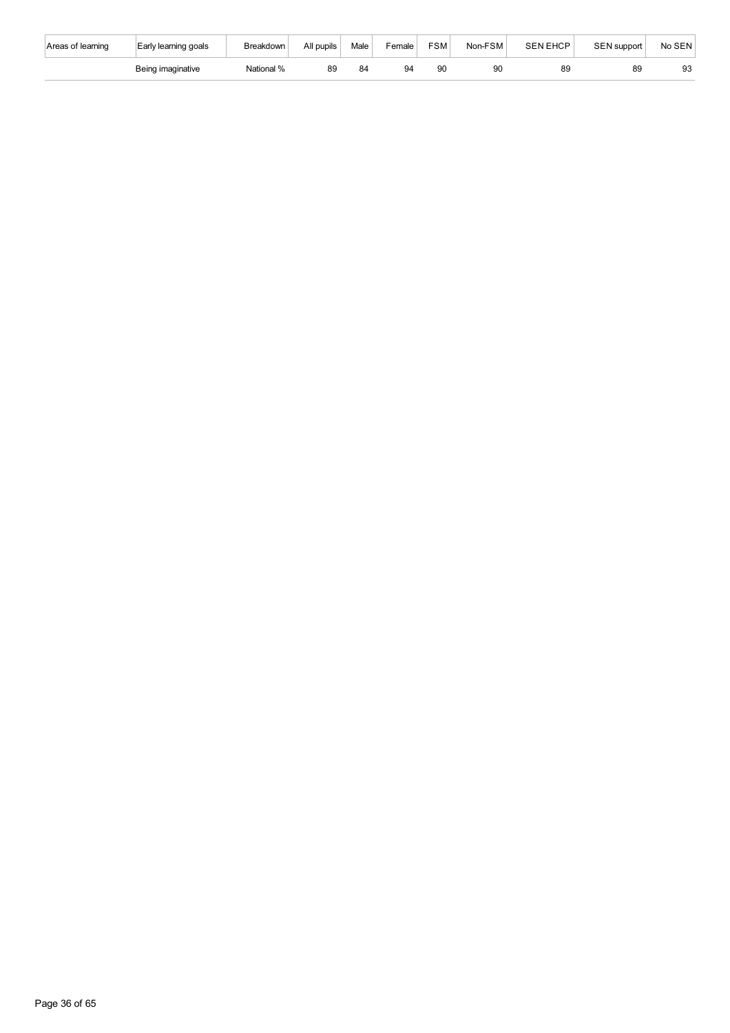| Areas of learning | Early learning goals | Breakdown  | All pupils | Male | Female | <b>FSM</b> | Non-FSM | SEN EHCP | SEN support | No SEN |
|-------------------|----------------------|------------|------------|------|--------|------------|---------|----------|-------------|--------|
|                   | Being imaginative    | National % | 89         | 84   | 94     | 90         | 90      | 89       | 89          | ಀ      |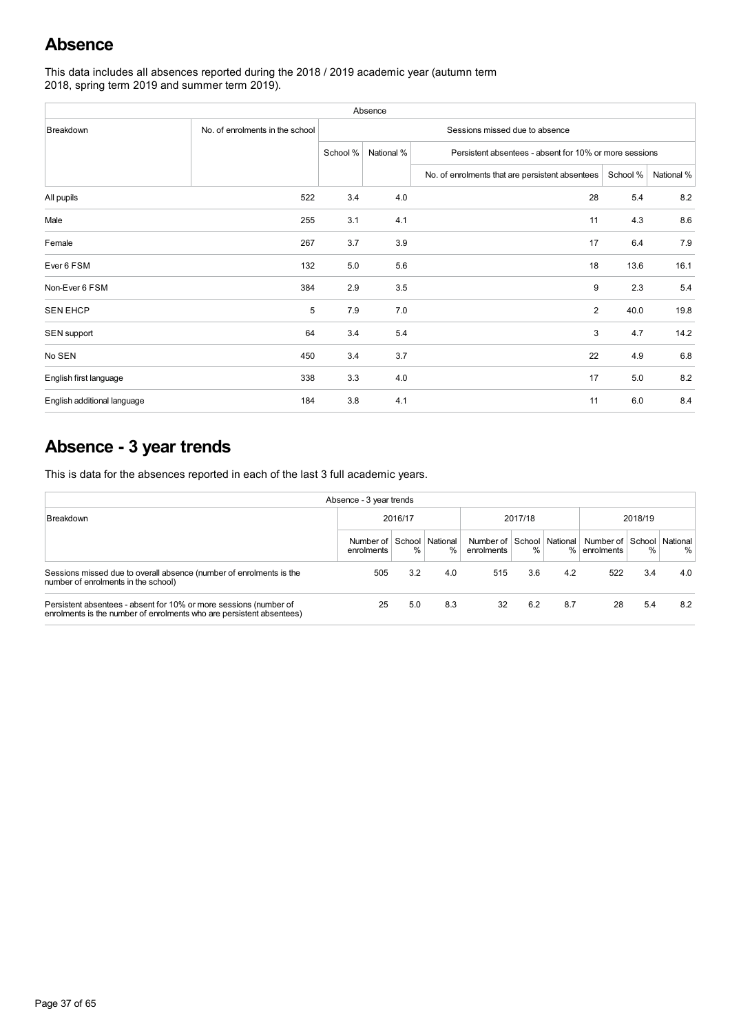## **Absence**

This data includes all absences reported during the 2018 / 2019 academic year (autumn term 2018, spring term 2019 and summer term 2019).

| Absence                     |                                 |          |                                                                      |                                                 |          |            |  |  |  |  |  |  |
|-----------------------------|---------------------------------|----------|----------------------------------------------------------------------|-------------------------------------------------|----------|------------|--|--|--|--|--|--|
| Breakdown                   | No. of enrolments in the school |          |                                                                      | Sessions missed due to absence                  |          |            |  |  |  |  |  |  |
|                             |                                 | School % | National %<br>Persistent absentees - absent for 10% or more sessions |                                                 |          |            |  |  |  |  |  |  |
|                             |                                 |          |                                                                      | No. of enrolments that are persistent absentees | School % | National % |  |  |  |  |  |  |
| All pupils                  | 522                             | 3.4      | 4.0                                                                  | 28                                              | 5.4      | 8.2        |  |  |  |  |  |  |
| Male                        | 255                             | 3.1      | 4.1                                                                  | 11                                              | 4.3      | 8.6        |  |  |  |  |  |  |
| Female                      | 267                             | 3.7      | 3.9                                                                  | 17                                              | 6.4      | 7.9        |  |  |  |  |  |  |
| Ever 6 FSM                  | 132                             | 5.0      | 5.6                                                                  | 18                                              | 13.6     | 16.1       |  |  |  |  |  |  |
| Non-Ever 6 FSM              | 384                             | 2.9      | 3.5                                                                  | 9                                               | 2.3      | 5.4        |  |  |  |  |  |  |
| <b>SEN EHCP</b>             | 5                               | 7.9      | 7.0                                                                  | 2                                               | 40.0     | 19.8       |  |  |  |  |  |  |
| SEN support                 | 64                              | 3.4      | 5.4                                                                  | 3                                               | 4.7      | 14.2       |  |  |  |  |  |  |
| No SEN                      | 450                             | 3.4      | 3.7                                                                  | 22                                              | 4.9      | 6.8        |  |  |  |  |  |  |
| English first language      | 338                             | 3.3      | 4.0                                                                  | 17                                              | 5.0      | 8.2        |  |  |  |  |  |  |
| English additional language | 184                             | 3.8      | 4.1                                                                  | 11                                              | 6.0      | 8.4        |  |  |  |  |  |  |

## **Absence - 3 year trends**

This is data for the absences reported in each of the last 3 full academic years.

| Absence - 3 year trends                                                                                                                   |                           |         |                         |                                         |         |     |                                         |      |     |  |  |
|-------------------------------------------------------------------------------------------------------------------------------------------|---------------------------|---------|-------------------------|-----------------------------------------|---------|-----|-----------------------------------------|------|-----|--|--|
| Breakdown                                                                                                                                 | 2016/17                   | 2017/18 |                         |                                         | 2018/19 |     |                                         |      |     |  |  |
|                                                                                                                                           | Number of I<br>enrolments | %       | School National<br>$\%$ | Number of School National<br>enrolments | $\%$    | %   | Number of School National<br>enrolments | $\%$ | %   |  |  |
| Sessions missed due to overall absence (number of enrolments is the<br>number of enrolments in the school)                                | 505                       | 3.2     | 4.0                     | 515                                     | 3.6     | 4.2 | 522                                     | 3.4  | 4.0 |  |  |
| Persistent absentees - absent for 10% or more sessions (number of<br>enrolments is the number of enrolments who are persistent absentees) | 25                        | 5.0     | 8.3                     | 32                                      | 6.2     | 8.7 | 28                                      | 5.4  | 8.2 |  |  |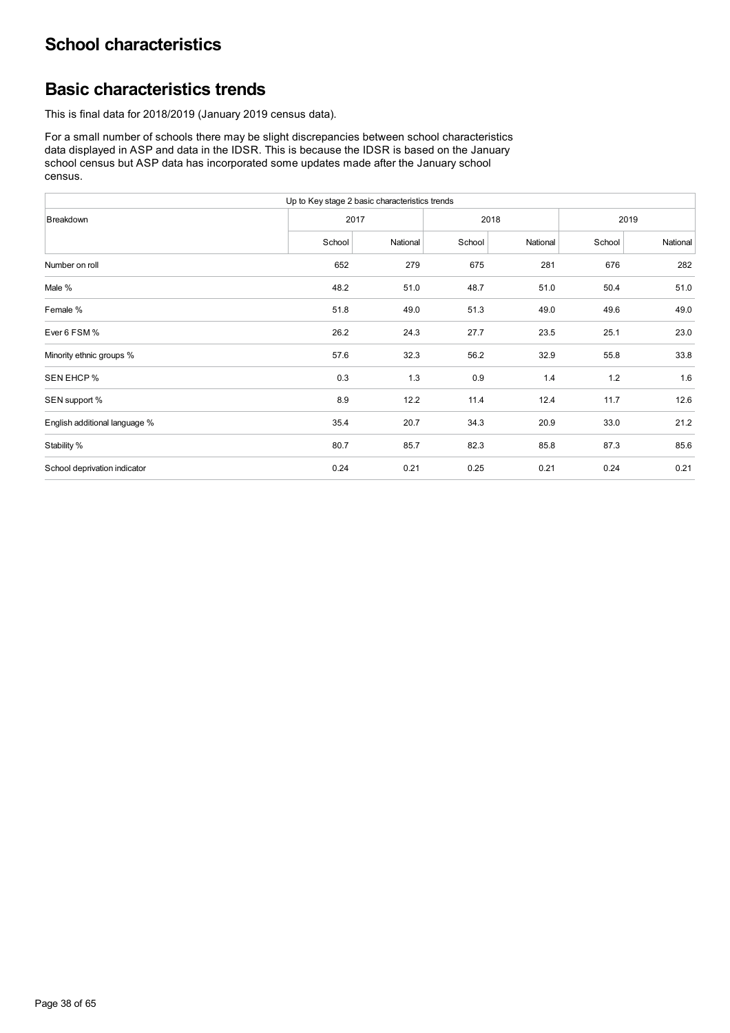## **Basic characteristics trends**

This is final data for 2018/2019 (January 2019 census data).

For a small number of schools there may be slight discrepancies between school characteristics data displayed in ASP and data in the IDSR. This is because the IDSR is based on the January school census but ASP data has incorporated some updates made after the January school census.

| Up to Key stage 2 basic characteristics trends |        |          |        |          |        |          |  |  |  |  |
|------------------------------------------------|--------|----------|--------|----------|--------|----------|--|--|--|--|
| Breakdown                                      |        | 2017     |        | 2018     | 2019   |          |  |  |  |  |
|                                                | School | National | School | National | School | National |  |  |  |  |
| Number on roll                                 | 652    | 279      | 675    | 281      | 676    | 282      |  |  |  |  |
| Male %                                         | 48.2   | 51.0     | 48.7   | 51.0     | 50.4   | 51.0     |  |  |  |  |
| Female %                                       | 51.8   | 49.0     | 51.3   | 49.0     | 49.6   | 49.0     |  |  |  |  |
| Ever 6 FSM %                                   | 26.2   | 24.3     | 27.7   | 23.5     | 25.1   | 23.0     |  |  |  |  |
| Minority ethnic groups %                       | 57.6   | 32.3     | 56.2   | 32.9     | 55.8   | 33.8     |  |  |  |  |
| SEN EHCP %                                     | 0.3    | 1.3      | 0.9    | 1.4      | 1.2    | 1.6      |  |  |  |  |
| SEN support %                                  | 8.9    | 12.2     | 11.4   | 12.4     | 11.7   | 12.6     |  |  |  |  |
| English additional language %                  | 35.4   | 20.7     | 34.3   | 20.9     | 33.0   | 21.2     |  |  |  |  |
| Stability %                                    | 80.7   | 85.7     | 82.3   | 85.8     | 87.3   | 85.6     |  |  |  |  |
| School deprivation indicator                   | 0.24   | 0.21     | 0.25   | 0.21     | 0.24   | 0.21     |  |  |  |  |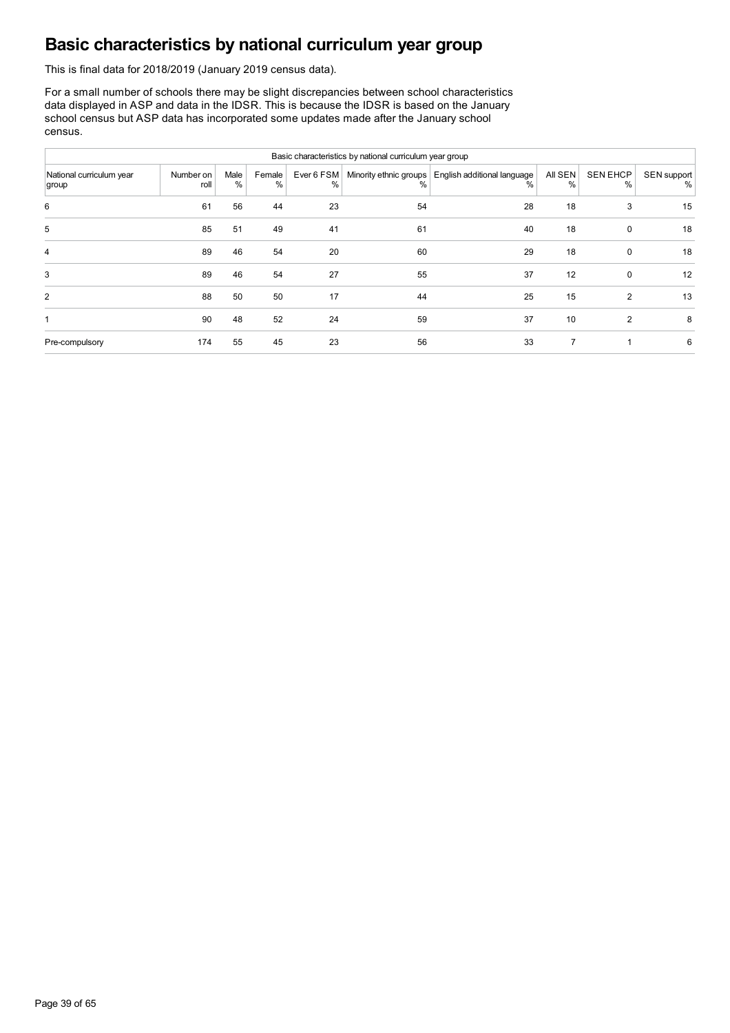## **Basic characteristics by national curriculum year group**

This is final data for 2018/2019 (January 2019 census data).

For a small number of schools there may be slight discrepancies between school characteristics data displayed in ASP and data in the IDSR. This is because the IDSR is based on the January school census but ASP data has incorporated some updates made after the January school census.

| Basic characteristics by national curriculum year group |                   |           |             |                 |    |                                                           |                 |                         |                  |  |  |  |  |
|---------------------------------------------------------|-------------------|-----------|-------------|-----------------|----|-----------------------------------------------------------|-----------------|-------------------------|------------------|--|--|--|--|
| National curriculum year<br>group                       | Number on<br>roll | Male<br>% | Female<br>% | Ever 6 FSM<br>% | %  | Minority ethnic groups   English additional language<br>% | All SEN<br>$\%$ | <b>SEN EHCP</b><br>$\%$ | SEN support<br>% |  |  |  |  |
| 6                                                       | 61                | 56        | 44          | 23              | 54 | 28                                                        | 18              | 3                       | 15               |  |  |  |  |
| 5                                                       | 85                | 51        | 49          | 41              | 61 | 40                                                        | 18              | 0                       | 18               |  |  |  |  |
| $\overline{4}$                                          | 89                | 46        | 54          | 20              | 60 | 29                                                        | 18              | $\mathbf 0$             | 18               |  |  |  |  |
| 3                                                       | 89                | 46        | 54          | 27              | 55 | 37                                                        | 12              | $\mathbf 0$             | 12               |  |  |  |  |
| 2                                                       | 88                | 50        | 50          | 17              | 44 | 25                                                        | 15              | 2                       | 13               |  |  |  |  |
| 1                                                       | 90                | 48        | 52          | 24              | 59 | 37                                                        | 10              | 2                       | 8                |  |  |  |  |
| Pre-compulsory                                          | 174               | 55        | 45          | 23              | 56 | 33                                                        |                 |                         | 6                |  |  |  |  |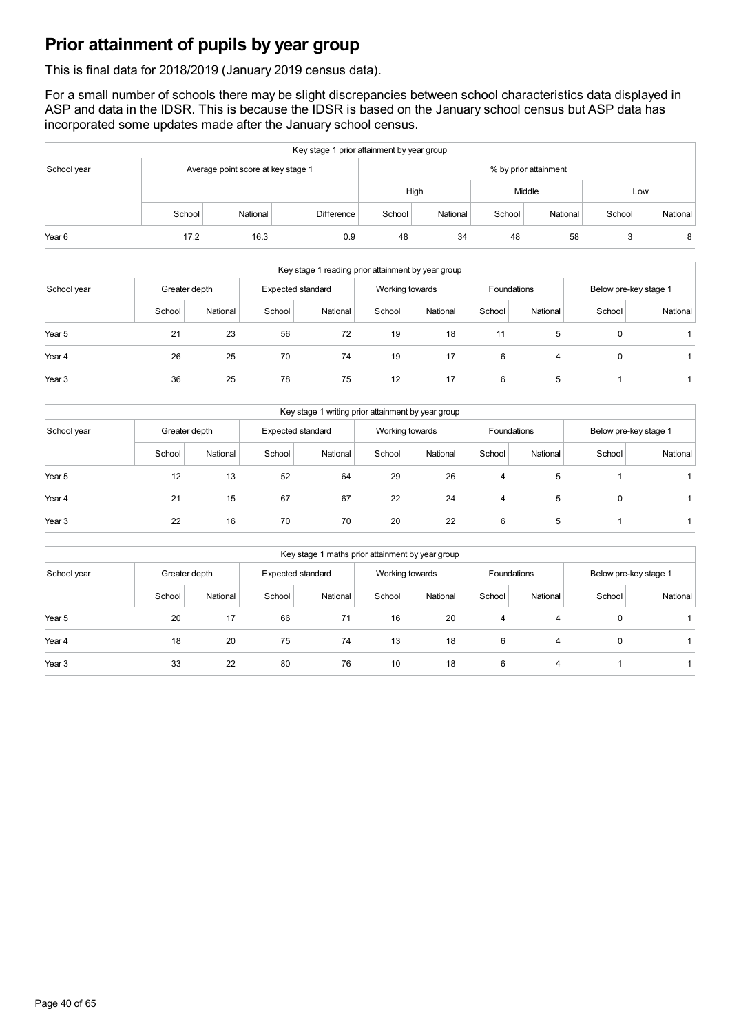## **Prior attainment of pupils by year group**

This is final data for 2018/2019 (January 2019 census data).

For a small number of schools there may be slight discrepancies between school characteristics data displayed in ASP and data in the IDSR. This is because the IDSR is based on the January school census but ASP data has incorporated some updates made after the January school census.

| Key stage 1 prior attainment by year group |        |                                    |                   |                       |          |        |          |        |          |  |  |
|--------------------------------------------|--------|------------------------------------|-------------------|-----------------------|----------|--------|----------|--------|----------|--|--|
| School year                                |        | Average point score at key stage 1 |                   | % by prior attainment |          |        |          |        |          |  |  |
|                                            |        |                                    |                   |                       | High     |        | Middle   | Low    |          |  |  |
|                                            | School | National                           | <b>Difference</b> | School                | National | School | National | School | National |  |  |
| Year <sub>6</sub>                          | 17.2   | 16.3                               | 0.9               | 48                    | 34       | 48     | 58       |        | 8        |  |  |

| Key stage 1 reading prior attainment by year group |        |               |        |                   |        |                 |        |             |                       |          |  |
|----------------------------------------------------|--------|---------------|--------|-------------------|--------|-----------------|--------|-------------|-----------------------|----------|--|
| School year                                        |        | Greater depth |        | Expected standard |        | Working towards |        | Foundations | Below pre-key stage 1 |          |  |
|                                                    | School | National      | School | National          | School | National        | School | National    | School                | National |  |
| Year 5                                             | 21     | 23            | 56     | 72                | 19     | 18              | 11     | 5           | $\Omega$              |          |  |
| Year 4                                             | 26     | 25            | 70     | 74                | 19     | 17              | 6      | 4           | $\Omega$              |          |  |
| Year <sub>3</sub>                                  | 36     | 25            | 78     | 75                | 12     | 17              | 6      | 5           |                       |          |  |

| Key stage 1 writing prior attainment by year group |        |               |        |                   |        |                 |        |             |                       |          |  |
|----------------------------------------------------|--------|---------------|--------|-------------------|--------|-----------------|--------|-------------|-----------------------|----------|--|
| School year                                        |        | Greater depth |        | Expected standard |        | Working towards |        | Foundations | Below pre-key stage 1 |          |  |
|                                                    | School | National      | School | National          | School | National        | School | National    | School                | National |  |
| Year 5                                             | 12     | 13            | 52     | 64                | 29     | 26              | 4      | 5           |                       |          |  |
| Year 4                                             | 21     | 15            | 67     | 67                | 22     | 24              | 4      | 5           | $\mathbf 0$           |          |  |
| Year <sub>3</sub>                                  | 22     | 16            | 70     | 70                | 20     | 22              | 6      | 5           |                       |          |  |

| Key stage 1 maths prior attainment by year group |        |               |        |                   |        |                 |        |             |                       |          |  |
|--------------------------------------------------|--------|---------------|--------|-------------------|--------|-----------------|--------|-------------|-----------------------|----------|--|
| School year                                      |        | Greater depth |        | Expected standard |        | Working towards |        | Foundations | Below pre-key stage 1 |          |  |
|                                                  | School | National      | School | National          | School | National        | School | National    | School                | National |  |
| Year 5                                           | 20     | 17            | 66     | 71                | 16     | 20              | 4      | 4           | $\mathbf 0$           |          |  |
| Year 4                                           | 18     | 20            | 75     | 74                | 13     | 18              | 6      | 4           | $\mathbf 0$           |          |  |
| Year <sub>3</sub>                                | 33     | 22            | 80     | 76                | 10     | 18              | 6      | 4           |                       |          |  |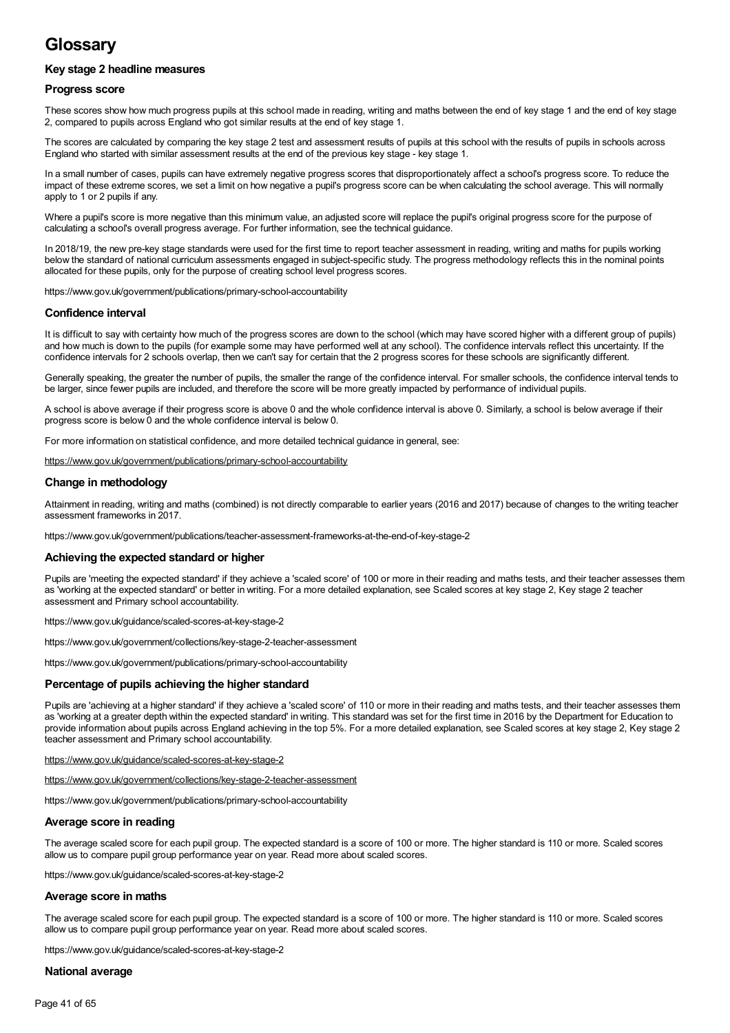## **Glossary**

## **Key stage 2 headline measures**

#### **Progress score**

These scores show how much progress pupils at this school made in reading, writing and maths between the end of key stage 1 and the end of key stage 2, compared to pupils across England who got similar results at the end of key stage 1.

The scores are calculated by comparing the key stage 2 test and assessment results of pupils at this school with the results of pupils in schools across England who started with similar assessment results at the end of the previous key stage - key stage 1.

In a small number of cases, pupils can have extremely negative progress scores that disproportionately affect a school's progress score. To reduce the impact of these extreme scores, we set a limit on how negative a pupil's progress score can be when calculating the school average. This will normally apply to 1 or 2 pupils if any.

Where a pupil's score is more negative than this minimum value, an adjusted score will replace the pupil's original progress score for the purpose of calculating a school's overall progress average. For further information, see the technical guidance.

In 2018/19, the new pre-key stage standards were used for the first time to report teacher assessment in reading, writing and maths for pupils working below the standard of national curriculum assessments engaged in subject-specific study. The progress methodology reflects this in the nominal points allocated for these pupils, only for the purpose of creating school level progress scores.

https://www.gov.uk/government/publications/primary-school-accountability

### **Confidence interval**

It is difficult to say with certainty how much of the progress scores are down to the school (which may have scored higher with a different group of pupils) and how much is down to the pupils (for example some may have performed well at any school). The confidence intervals reflect this uncertainty. If the confidence intervals for 2 schools overlap, then we can't say for certain that the 2 progress scores for these schools are significantly different.

Generally speaking, the greater the number of pupils, the smaller the range of the confidence interval. For smaller schools, the confidence interval tends to be larger, since fewer pupils are included, and therefore the score will be more greatly impacted by performance of individual pupils.

A school is above average if their progress score is above 0 and the whole confidence interval is above 0. Similarly, a school is below average if their progress score is below 0 and the whole confidence interval is below 0.

For more information on statistical confidence, and more detailed technical guidance in general, see:

<https://www.gov.uk/government/publications/primary-school-accountability>

### **Change in methodology**

Attainment in reading, writing and maths (combined) is not directly comparable to earlier years (2016 and 2017) because of changes to the writing teacher assessment frameworks in 2017.

https://www.gov.uk/government/publications/teacher-assessment-frameworks-at-the-end-of-key-stage-2

#### **Achieving the expected standard or higher**

Pupils are 'meeting the expected standard' if they achieve a 'scaled score' of 100 or more in their reading and maths tests, and their teacher assesses them as 'working at the expected standard' or better in writing. For a more detailed explanation, see Scaled scores at key stage 2, Key stage 2 teacher assessment and Primary school accountability.

https://www.gov.uk/guidance/scaled-scores-at-key-stage-2

https://www.gov.uk/government/collections/key-stage-2-teacher-assessment

https://www.gov.uk/government/publications/primary-school-accountability

#### **Percentage of pupils achieving the higher standard**

Pupils are 'achieving at a higher standard' if they achieve a 'scaled score' of 110 or more in their reading and maths tests, and their teacher assesses them as 'working at a greater depth within the expected standard' in writing. This standard was set for the first time in 2016 by the Department for Education to provide information about pupils across England achieving in the top 5%. For a more detailed explanation, see Scaled scores at key stage 2, Key stage 2 teacher assessment and Primary school accountability.

<https://www.gov.uk/guidance/scaled-scores-at-key-stage-2>

<https://www.gov.uk/government/collections/key-stage-2-teacher-assessment>

https://www.gov.uk/government/publications/primary-school-accountability

#### **Average score in reading**

The average scaled score for each pupil group. The expected standard is a score of 100 or more. The higher standard is 110 or more. Scaled scores allow us to compare pupil group performance year on year. Read more about scaled scores.

https://www.gov.uk/guidance/scaled-scores-at-key-stage-2

#### **Average score in maths**

The average scaled score for each pupil group. The expected standard is a score of 100 or more. The higher standard is 110 or more. Scaled scores allow us to compare pupil group performance year on year. Read more about scaled scores.

https://www.gov.uk/guidance/scaled-scores-at-key-stage-2

#### **National average**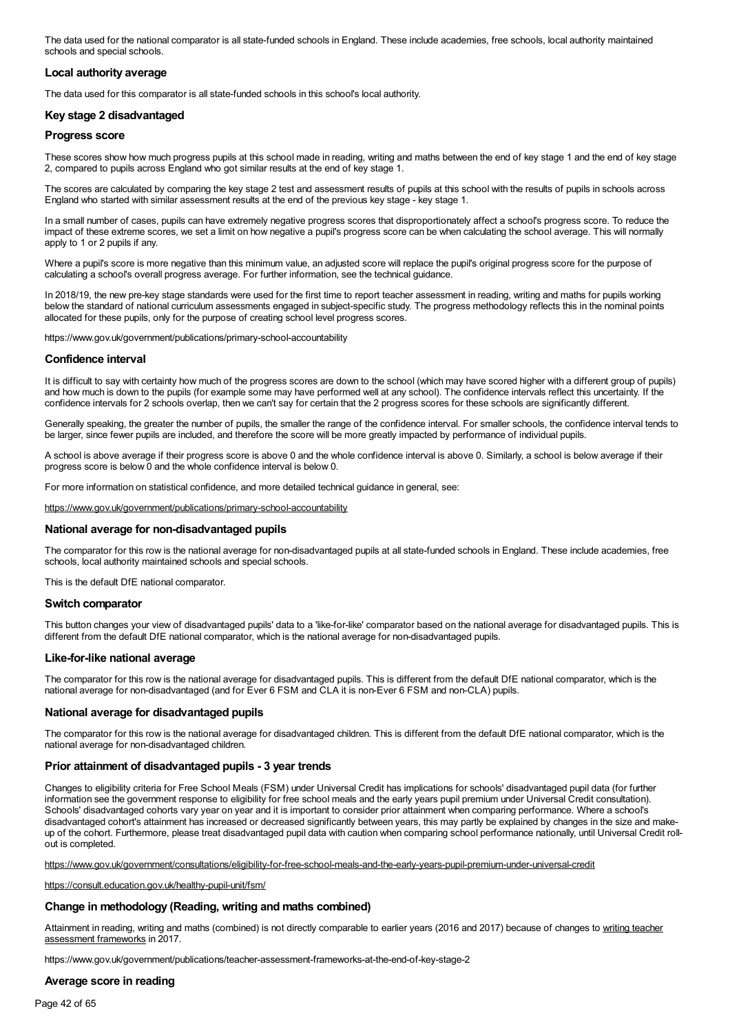The data used for the national comparator is all state-funded schools in England. These include academies, free schools, local authority maintained schools and special schools.

### **Local authority average**

The data used for this comparator is all state-funded schools in this school's local authority.

### **Key stage 2 disadvantaged**

#### **Progress score**

These scores show how much progress pupils at this school made in reading, writing and maths between the end of key stage 1 and the end of key stage 2, compared to pupils across England who got similar results at the end of key stage 1.

The scores are calculated by comparing the key stage 2 test and assessment results of pupils at this school with the results of pupils in schools across England who started with similar assessment results at the end of the previous key stage - key stage 1.

In a small number of cases, pupils can have extremely negative progress scores that disproportionately affect a school's progress score. To reduce the impact of these extreme scores, we set a limit on how negative a pupil's progress score can be when calculating the school average. This will normally apply to 1 or 2 pupils if any.

Where a pupil's score is more negative than this minimum value, an adjusted score will replace the pupil's original progress score for the purpose of calculating a school's overall progress average. For further information, see the technical guidance.

In 2018/19, the new pre-key stage standards were used for the first time to report teacher assessment in reading, writing and maths for pupils working below the standard of national curriculum assessments engaged in subject-specific study. The progress methodology reflects this in the nominal points allocated for these pupils, only for the purpose of creating school level progress scores.

https://www.gov.uk/government/publications/primary-school-accountability

#### **Confidence interval**

It is difficult to say with certainty how much of the progress scores are down to the school (which may have scored higher with a different group of pupils) and how much is down to the pupils (for example some may have performed well at any school). The confidence intervals reflect this uncertainty. If the confidence intervals for 2 schools overlap, then we can't say for certain that the 2 progress scores for these schools are significantly different.

Generally speaking, the greater the number of pupils, the smaller the range of the confidence interval. For smaller schools, the confidence interval tends to be larger, since fewer pupils are included, and therefore the score will be more greatly impacted by performance of individual pupils.

A school is above average if their progress score is above 0 and the whole confidence interval is above 0. Similarly, a school is below average if their progress score is below 0 and the whole confidence interval is below 0.

For more information on statistical confidence, and more detailed technical guidance in general, see:

<https://www.gov.uk/government/publications/primary-school-accountability>

#### **National average for non-disadvantaged pupils**

The comparator for this row is the national average for non-disadvantaged pupils at all state-funded schools in England. These include academies, free schools, local authority maintained schools and special schools.

This is the default DfE national comparator.

#### **Switch comparator**

This button changes your view of disadvantaged pupils' data to a 'like-for-like' comparator based on the national average for disadvantaged pupils. This is different from the default DfE national comparator, which is the national average for non-disadvantaged pupils.

#### **Like-for-like national average**

The comparator for this row is the national average for disadvantaged pupils. This is different from the default DfE national comparator, which is the national average for non-disadvantaged (and for Ever 6 FSM and CLA itis non-Ever 6 FSM and non-CLA) pupils.

#### **National average for disadvantaged pupils**

The comparator for this row is the national average for disadvantaged children. This is different from the default DfE national comparator, which is the national average for non-disadvantaged children.

#### **Prior attainment of disadvantaged pupils - 3 year trends**

Changes to eligibility criteria for Free School Meals (FSM) under Universal Credit has implications for schools' disadvantaged pupil data (for further information see the government response to eligibility for free school meals and the early years pupil premium under Universal Credit consultation). Schools' disadvantaged cohorts vary year on year and it is important to consider prior attainment when comparing performance. Where a school's disadvantaged cohort's attainment has increased or decreased significantly between years, this may partly be explained by changes in the size and make up of the cohort. Furthermore, please treat disadvantaged pupil data with caution when comparing school performance nationally, until Universal Credit roll out is completed.

<https://www.gov.uk/government/consultations/eligibility-for-free-school-meals-and-the-early-years-pupil-premium-under-universal-credit>

<https://consult.education.gov.uk/healthy-pupil-unit/fsm/>

## **Change in methodology (Reading, writing and maths combined)**

Attainment in reading, writing and maths (combined) is not directly comparable to earlier years (2016 and 2017) because of changes to writing teacher assessment frameworks in 2017.

https://www.gov.uk/government/publications/teacher-assessment-frameworks-at-the-end-of-key-stage-2

#### **Average score in reading**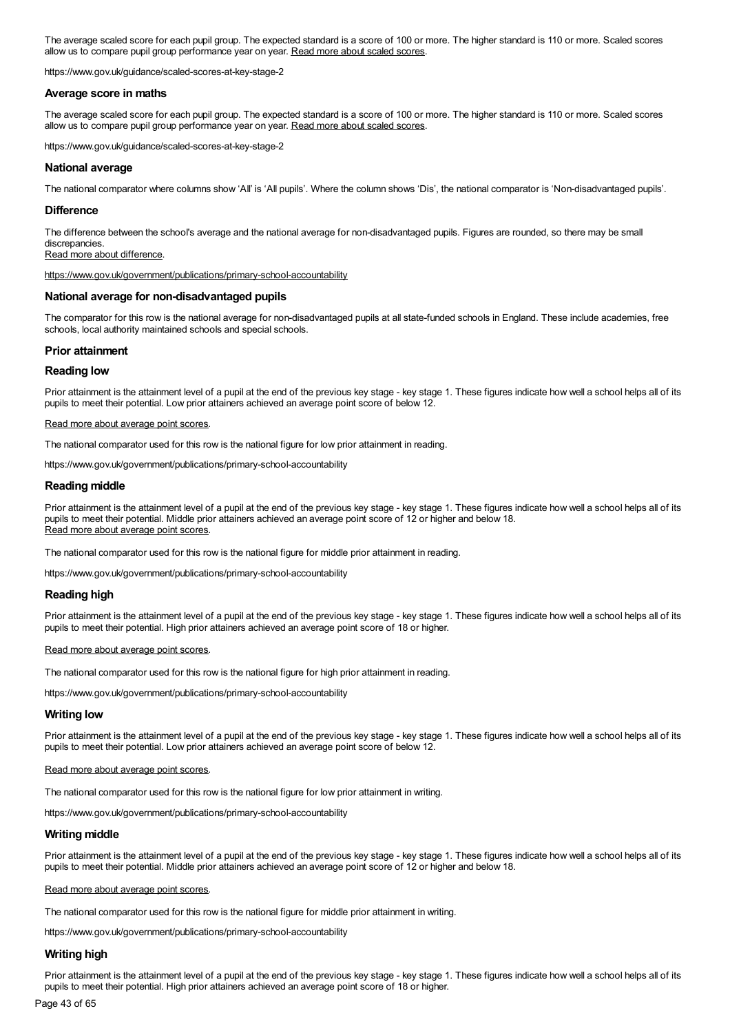The average scaled score for each pupil group. The expected standard is a score of 100 or more. The higher standard is 110 or more. Scaled scores allow us to compare pupil group performance year on year. Read more about scaled scores.

https://www.gov.uk/guidance/scaled-scores-at-key-stage-2

#### **Average score in maths**

The average scaled score for each pupil group. The expected standard is a score of 100 or more. The higher standard is 110 or more. Scaled scores allow us to compare pupil group performance year on year. Read more about scaled scores.

https://www.gov.uk/guidance/scaled-scores-at-key-stage-2

### **National average**

The national comparator where columns show 'All' is 'All pupils'. Where the column shows 'Dis', the national comparator is 'Non-disadvantaged pupils'.

#### **Difference**

The difference between the school's average and the national average for non-disadvantaged pupils. Figures are rounded, so there may be small discrepancies.

Read more about difference.

<https://www.gov.uk/government/publications/primary-school-accountability>

#### **National average for non-disadvantaged pupils**

The comparator for this row is the national average for non-disadvantaged pupils at all state-funded schools in England. These include academies, free schools, local authority maintained schools and special schools.

#### **Prior attainment**

#### **Reading low**

Prior attainment is the attainment level of a pupil at the end of the previous key stage - key stage 1. These figures indicate how well a school helps all of its pupils to meet their potential. Low prior attainers achieved an average point score of below 12.

#### Read more about average point scores.

The national comparator used for this row is the national figure for low prior attainment in reading.

https://www.gov.uk/government/publications/primary-school-accountability

#### **Reading middle**

Prior attainment is the attainment level of a pupil at the end of the previous key stage - key stage 1. These figures indicate how well a school helps all of its pupils to meet their potential. Middle prior attainers achieved an average point score of 12 or higher and below 18. Read more about average point scores.

The national comparator used for this row is the national figure for middle prior attainment in reading.

https://www.gov.uk/government/publications/primary-school-accountability

#### **Reading high**

Prior attainment is the attainment level of a pupil at the end of the previous key stage - key stage 1. These figures indicate how well a school helps all of its pupils to meet their potential. High prior attainers achieved an average point score of 18 or higher.

#### Read more about average point scores.

The national comparator used for this row is the national figure for high prior attainment in reading.

https://www.gov.uk/government/publications/primary-school-accountability

#### **Writing low**

Prior attainment is the attainment level of a pupil at the end of the previous key stage - key stage 1. These figures indicate how well a school helps all of its pupils to meet their potential. Low prior attainers achieved an average point score of below 12.

#### Read more about average point scores.

The national comparator used for this row is the national figure for low prior attainment in writing.

https://www.gov.uk/government/publications/primary-school-accountability

#### **Writing middle**

Prior attainment is the attainment level of a pupil at the end of the previous key stage - key stage 1. These figures indicate how well a school helps all of its pupils to meet their potential. Middle prior attainers achieved an average point score of 12 or higher and below 18.

#### Read more about average point scores.

The national comparator used for this row is the national figure for middle prior attainment in writing.

https://www.gov.uk/government/publications/primary-school-accountability

#### **Writing high**

Prior attainment is the attainment level of a pupil at the end of the previous key stage - key stage 1. These figures indicate how well a school helps all of its pupils to meet their potential. High prior attainers achieved an average point score of 18 or higher.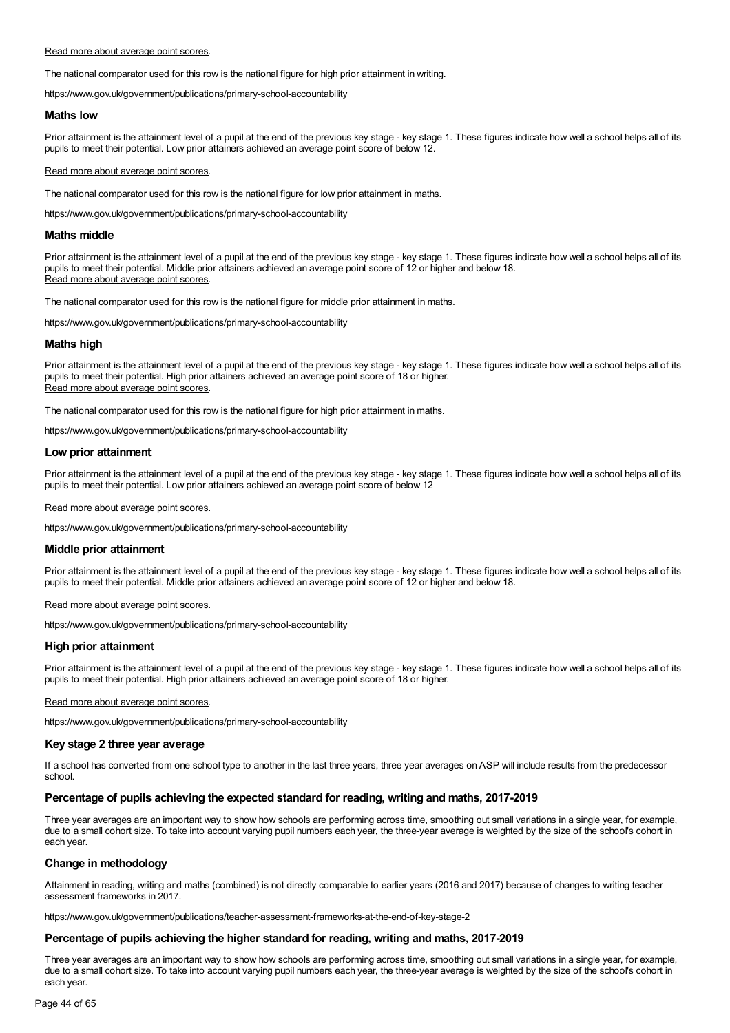#### Read more about average point scores.

The national comparator used for this row is the national figure for high prior attainment in writing.

https://www.gov.uk/government/publications/primary-school-accountability

#### **Maths low**

Prior attainment is the attainment level of a pupil at the end of the previous key stage - key stage 1. These figures indicate how well a school helps all of its pupils to meet their potential. Low prior attainers achieved an average point score of below 12.

#### Read more about average point scores.

The national comparator used for this row is the national figure for low prior attainment in maths.

https://www.gov.uk/government/publications/primary-school-accountability

#### **Maths middle**

Prior attainment is the attainment level of a pupil at the end of the previous key stage - key stage 1. These figures indicate how well a school helps all of its pupils to meet their potential. Middle prior attainers achieved an average point score of 12 or higher and below 18. Read more about average point scores.

The national comparator used for this row is the national figure for middle prior attainment in maths.

https://www.gov.uk/government/publications/primary-school-accountability

#### **Maths high**

Prior attainment is the attainment level of a pupil at the end of the previous key stage - key stage 1. These figures indicate how well a school helps all of its pupils to meet their potential. High prior attainers achieved an average point score of 18 or higher. Read more about average point scores.

The national comparator used for this row is the national figure for high prior attainment in maths.

https://www.gov.uk/government/publications/primary-school-accountability

#### **Low prior attainment**

Prior attainment is the attainment level of a pupil at the end of the previous key stage - key stage 1. These figures indicate how well a school helps all of its pupils to meet their potential. Low prior attainers achieved an average point score of below 12

#### Read more about average point scores.

https://www.gov.uk/government/publications/primary-school-accountability

#### **Middle prior attainment**

Prior attainment is the attainment level of a pupil at the end of the previous key stage - key stage 1. These figures indicate how well a school helps all of its pupils to meet their potential. Middle prior attainers achieved an average point score of 12 or higher and below 18.

#### Read more about average point scores.

https://www.gov.uk/government/publications/primary-school-accountability

#### **High prior attainment**

Prior attainment is the attainment level of a pupil at the end of the previous key stage - key stage 1. These figures indicate how well a school helps all of its pupils to meet their potential. High prior attainers achieved an average point score of 18 or higher.

#### Read more about average point scores.

https://www.gov.uk/government/publications/primary-school-accountability

### **Key stage 2 three year average**

If a school has converted from one school type to another in the last three years, three year averages on ASP will include results from the predecessor school.

### **Percentage of pupils achieving the expected standard for reading, writing and maths, 2017-2019**

Three year averages are an important way to show how schools are performing across time, smoothing out small variations in a single year, for example, due to a small cohort size. To take into account varying pupil numbers each year, the three-year average is weighted by the size of the school's cohort in each year.

### **Change in methodology**

Attainment in reading, writing and maths (combined) is not directly comparable to earlier years (2016 and 2017) because of changes to writing teacher assessment frameworks in 2017.

https://www.gov.uk/government/publications/teacher-assessment-frameworks-at-the-end-of-key-stage-2

#### **Percentage of pupils achieving the higher standard for reading, writing and maths, 2017-2019**

Three year averages are an important way to show how schools are performing across time, smoothing out small variations in a single year, for example, due to a small cohort size. To take into account varying pupil numbers each year, the three-year average is weighted by the size of the school's cohort in each year.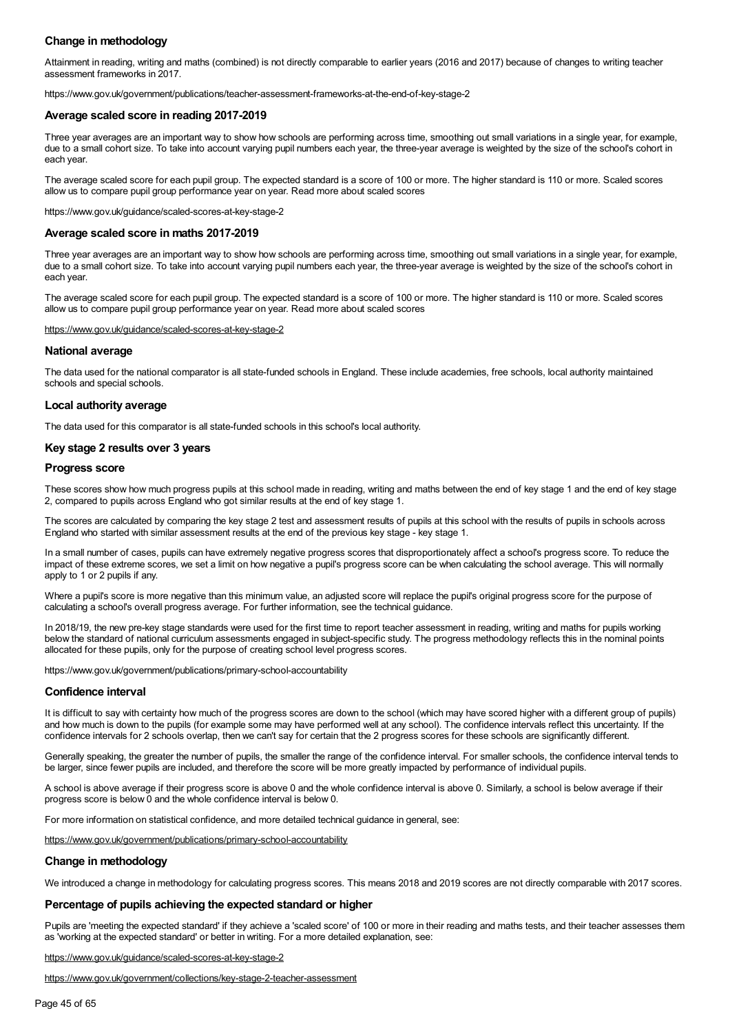## **Change in methodology**

Attainment in reading, writing and maths (combined) is not directly comparable to earlier years (2016 and 2017) because of changes to writing teacher assessment frameworks in 2017.

https://www.gov.uk/government/publications/teacher-assessment-frameworks-at-the-end-of-key-stage-2

#### **Average scaled score in reading 2017-2019**

Three year averages are an important way to show how schools are performing across time, smoothing out small variations in a single year, for example, due to a small cohort size. To take into account varying pupil numbers each year, the three-year average is weighted by the size of the school's cohort in each year.

The average scaled score for each pupil group. The expected standard is a score of 100 or more. The higher standard is 110 or more. Scaled scores allow us to compare pupil group performance year on year. Read more about scaled scores

https://www.gov.uk/guidance/scaled-scores-at-key-stage-2

#### **Average scaled score in maths 2017-2019**

Three year averages are an important way to show how schools are performing across time, smoothing out small variations in a single year, for example, due to a small cohort size. To take into account varying pupil numbers each year, the three-year average is weighted by the size of the school's cohort in each year.

The average scaled score for each pupil group. The expected standard is a score of 100 or more. The higher standard is 110 or more. Scaled scores allow us to compare pupil group performance year on year. Read more about scaled scores

#### <https://www.gov.uk/guidance/scaled-scores-at-key-stage-2>

#### **National average**

The data used for the national comparator is all state-funded schools in England. These include academies, free schools, local authority maintained schools and special schools.

#### **Local authority average**

The data used for this comparator is all state-funded schools in this school's local authority.

#### **Key stage 2 results over 3 years**

#### **Progress score**

These scores show how much progress pupils at this school made in reading, writing and maths between the end of key stage 1 and the end of key stage 2, compared to pupils across England who got similar results at the end of key stage 1.

The scores are calculated by comparing the key stage 2 test and assessment results of pupils at this school with the results of pupils in schools across England who started with similar assessment results at the end of the previous key stage - key stage 1.

In a small number of cases, pupils can have extremely negative progress scores that disproportionately affect a school's progress score. To reduce the impact of these extreme scores, we set a limit on how negative a pupil's progress score can be when calculating the school average. This will normally apply to 1 or 2 pupils if any.

Where a pupil's score is more negative than this minimum value, an adjusted score will replace the pupil's original progress score for the purpose of calculating a school's overall progress average. For further information, see the technical guidance.

In 2018/19, the new pre-key stage standards were used for the first time to report teacher assessment in reading, writing and maths for pupils working below the standard of national curriculum assessments engaged in subject-specific study. The progress methodology reflects this in the nominal points allocated for these pupils, only for the purpose of creating school level progress scores.

https://www.gov.uk/government/publications/primary-school-accountability

#### **Confidence interval**

It is difficult to say with certainty how much of the progress scores are down to the school (which may have scored higher with a different group of pupils) and how much is down to the pupils (for example some may have performed well at any school). The confidence intervals reflect this uncertainty. If the confidence intervals for 2 schools overlap, then we can't say for certain that the 2 progress scores for these schools are significantly different.

Generally speaking, the greater the number of pupils, the smaller the range of the confidence interval. For smaller schools, the confidence interval tends to be larger, since fewer pupils are included, and therefore the score will be more greatly impacted by performance of individual pupils.

A school is above average if their progress score is above 0 and the whole confidence interval is above 0. Similarly, a school is below average if their progress score is below 0 and the whole confidence interval is below 0.

For more information on statistical confidence, and more detailed technical guidance in general, see:

<https://www.gov.uk/government/publications/primary-school-accountability>

#### **Change in methodology**

We introduced a change in methodology for calculating progress scores. This means 2018 and 2019 scores are not directly comparable with 2017 scores.

#### **Percentage of pupils achieving the expected standard or higher**

Pupils are 'meeting the expected standard' if they achieve a 'scaled score' of 100 or more in their reading and maths tests, and their teacher assesses them as 'working at the expected standard' or better in writing. For a more detailed explanation, see:

<https://www.gov.uk/guidance/scaled-scores-at-key-stage-2>

<https://www.gov.uk/government/collections/key-stage-2-teacher-assessment>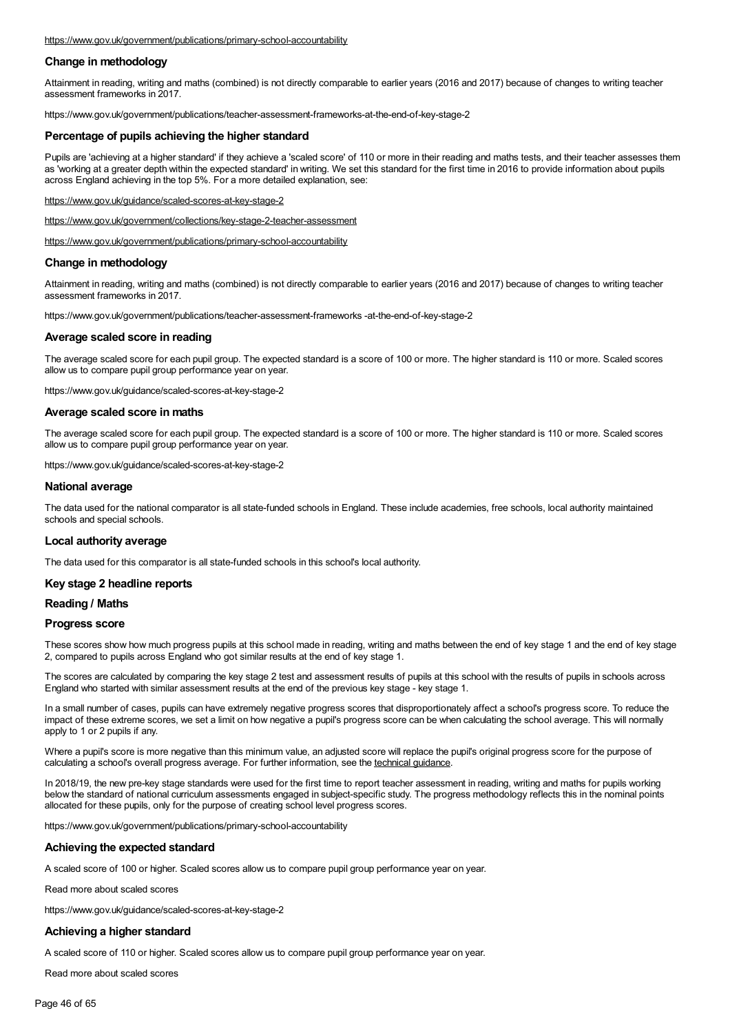## **Change in methodology**

Attainment in reading, writing and maths (combined) is not directly comparable to earlier years (2016 and 2017) because of changes to writing teacher assessment frameworks in 2017.

https://www.gov.uk/government/publications/teacher-assessment-frameworks-at-the-end-of-key-stage-2

#### **Percentage of pupils achieving the higher standard**

Pupils are 'achieving at a higher standard' if they achieve a 'scaled score' of 110 or more in their reading and maths tests, and their teacher assesses them as 'working at a greater depth within the expected standard' in writing. We set this standard for the first time in 2016 to provide information about pupils across England achieving in the top 5%. For a more detailed explanation, see:

<https://www.gov.uk/guidance/scaled-scores-at-key-stage-2>

<https://www.gov.uk/government/collections/key-stage-2-teacher-assessment>

<https://www.gov.uk/government/publications/primary-school-accountability>

#### **Change in methodology**

Attainment in reading, writing and maths (combined) is not directly comparable to earlier years (2016 and 2017) because of changes to writing teacher assessment frameworks in 2017.

https://www.gov.uk/government/publications/teacher-assessment-frameworks -at-the-end-of-key-stage-2

#### **Average scaled score in reading**

The average scaled score for each pupil group. The expected standard is a score of 100 or more. The higher standard is 110 or more. Scaled scores allow us to compare pupil group performance year on year.

https://www.gov.uk/guidance/scaled-scores-at-key-stage-2

#### **Average scaled score in maths**

The average scaled score for each pupil group. The expected standard is a score of 100 or more. The higher standard is 110 or more. Scaled scores allow us to compare pupil group performance year on year.

https://www.gov.uk/guidance/scaled-scores-at-key-stage-2

#### **National average**

The data used for the national comparator is all state-funded schools in England. These include academies, free schools, local authority maintained schools and special schools.

#### **Local authority average**

The data used for this comparator is all state-funded schools in this school's local authority.

#### **Key stage 2 headline reports**

#### **Reading / Maths**

#### **Progress score**

These scores show how much progress pupils at this school made in reading, writing and maths between the end of key stage 1 and the end of key stage 2, compared to pupils across England who got similar results at the end of key stage 1.

The scores are calculated by comparing the key stage 2 test and assessment results of pupils at this school with the results of pupils in schools across England who started with similar assessment results at the end of the previous key stage - key stage 1.

In a small number of cases, pupils can have extremely negative progress scores that disproportionately affect a school's progress score. To reduce the impact of these extreme scores, we set a limit on how negative a pupil's progress score can be when calculating the school average. This will normally apply to 1 or 2 pupils if any.

Where a pupil's score is more negative than this minimum value, an adjusted score will replace the pupil's original progress score for the purpose of calculating a school's overall progress average. For further information, see the technical guidance.

In 2018/19, the new pre-key stage standards were used for the first time to report teacher assessment in reading, writing and maths for pupils working below the standard of national curriculum assessments engaged in subject-specific study. The progress methodology reflects this in the nominal points allocated for these pupils, only for the purpose of creating school level progress scores.

https://www.gov.uk/government/publications/primary-school-accountability

#### **Achieving the expected standard**

A scaled score of 100 or higher. Scaled scores allow us to compare pupil group performance year on year.

Read more about scaled scores

https://www.gov.uk/guidance/scaled-scores-at-key-stage-2

#### **Achieving a higher standard**

A scaled score of 110 or higher. Scaled scores allow us to compare pupil group performance year on year.

Read more about scaled scores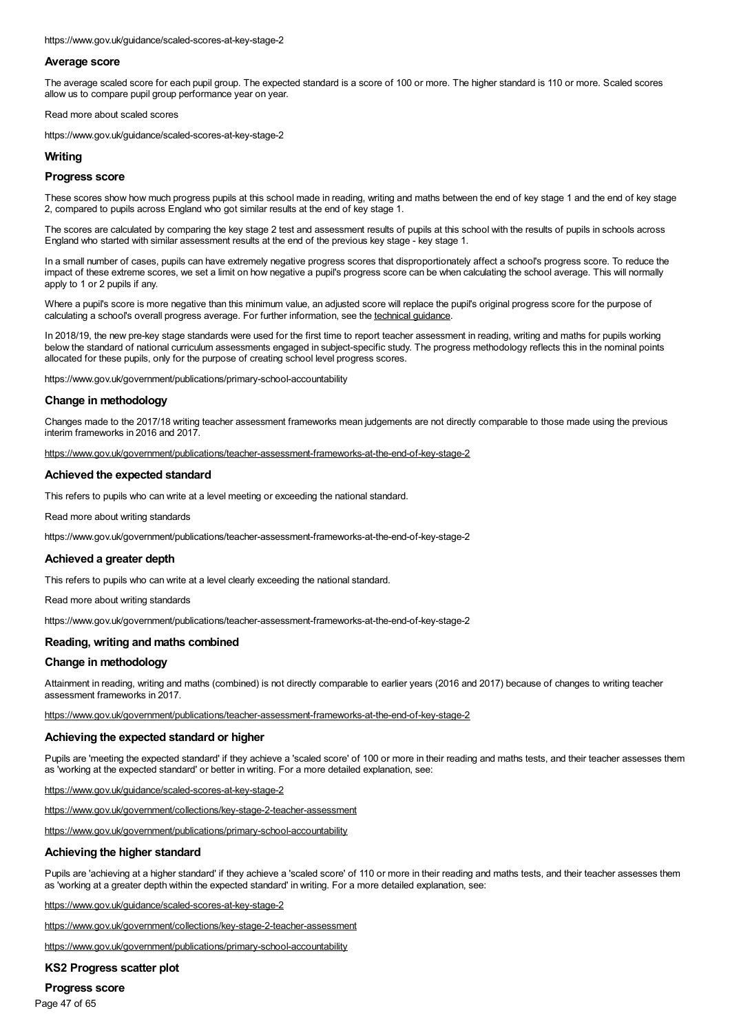https://www.gov.uk/guidance/scaled-scores-at-key-stage-2

### **Average score**

The average scaled score for each pupil group. The expected standard is a score of 100 or more. The higher standard is 110 or more. Scaled scores allow us to compare pupil group performance year on year.

Read more about scaled scores

https://www.gov.uk/guidance/scaled-scores-at-key-stage-2

#### **Writing**

#### **Progress score**

These scores show how much progress pupils at this school made in reading, writing and maths between the end of key stage 1 and the end of key stage 2, compared to pupils across England who got similar results at the end of key stage 1.

The scores are calculated by comparing the key stage 2 test and assessment results of pupils at this school with the results of pupils in schools across England who started with similar assessment results at the end of the previous key stage - key stage 1.

In a small number of cases, pupils can have extremely negative progress scores that disproportionately affect a school's progress score. To reduce the impact of these extreme scores, we set a limit on how negative a pupil's progress score can be when calculating the school average. This will normally apply to 1 or 2 pupils if any.

Where a pupil's score is more negative than this minimum value, an adjusted score will replace the pupil's original progress score for the purpose of calculating a school's overall progress average. For further information, see the technical guidance

In 2018/19, the new pre-key stage standards were used for the first time to report teacher assessment in reading, writing and maths for pupils working below the standard of national curriculum assessments engaged in subject-specific study. The progress methodology reflects this in the nominal points allocated for these pupils, only for the purpose of creating school level progress scores.

https://www.gov.uk/government/publications/primary-school-accountability

#### **Change in methodology**

Changes made to the 2017/18 writing teacher assessment frameworks mean judgements are not directly comparable to those made using the previous interim frameworks in 2016 and 2017.

<https://www.gov.uk/government/publications/teacher-assessment-frameworks-at-the-end-of-key-stage-2>

#### **Achieved the expected standard**

This refers to pupils who can write at a level meeting or exceeding the national standard.

Read more about writing standards

https://www.gov.uk/government/publications/teacher-assessment-frameworks-at-the-end-of-key-stage-2

#### **Achieved a greater depth**

This refers to pupils who can write at a level clearly exceeding the national standard.

Read more about writing standards

https://www.gov.uk/government/publications/teacher-assessment-frameworks-at-the-end-of-key-stage-2

#### **Reading, writing and maths combined**

#### **Change in methodology**

Attainment in reading, writing and maths (combined) is not directly comparable to earlier years (2016 and 2017) because of changes to writing teacher assessment frameworks in 2017.

<https://www.gov.uk/government/publications/teacher-assessment-frameworks-at-the-end-of-key-stage-2>

#### **Achieving the expected standard or higher**

Pupils are 'meeting the expected standard' if they achieve a 'scaled score' of 100 or more in their reading and maths tests, and their teacher assesses them as 'working at the expected standard' or better in writing. For a more detailed explanation, see:

<https://www.gov.uk/guidance/scaled-scores-at-key-stage-2>

<https://www.gov.uk/government/collections/key-stage-2-teacher-assessment>

<https://www.gov.uk/government/publications/primary-school-accountability>

#### **Achieving the higher standard**

Pupils are 'achieving at a higher standard' if they achieve a 'scaled score' of 110 or more in their reading and maths tests, and their teacher assesses them as 'working at a greater depth within the expected standard' in writing. For a more detailed explanation, see:

<https://www.gov.uk/guidance/scaled-scores-at-key-stage-2>

<https://www.gov.uk/government/collections/key-stage-2-teacher-assessment>

<https://www.gov.uk/government/publications/primary-school-accountability>

#### **KS2 Progress scatter plot**

**Progress score**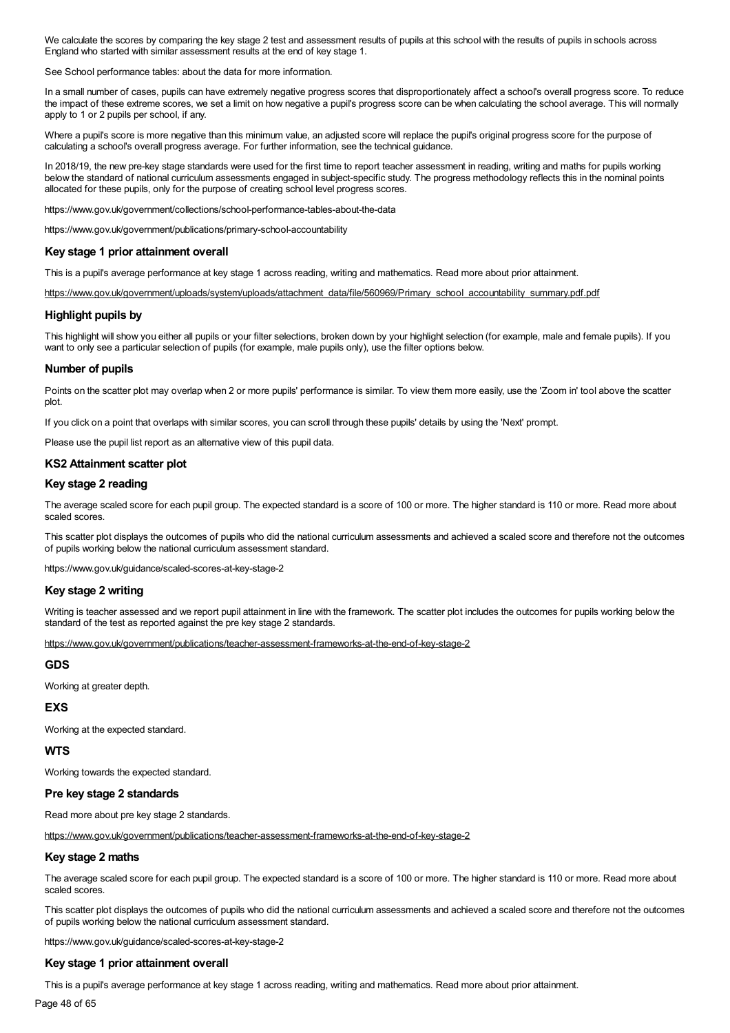We calculate the scores by comparing the key stage 2 test and assessment results of pupils at this school with the results of pupils in schools across England who started with similar assessment results at the end of key stage 1.

See School performance tables: about the data for more information.

In a small number of cases, pupils can have extremely negative progress scores that disproportionately affect a school's overall progress score. To reduce the impact of these extreme scores, we set a limit on how negative a pupil's progress score can be when calculating the school average. This will normally apply to 1 or 2 pupils per school, if any.

Where a pupil's score is more negative than this minimum value, an adjusted score will replace the pupil's original progress score for the purpose of calculating a school's overall progress average. For further information, see the technical guidance.

In 2018/19, the new pre-key stage standards were used for the first time to report teacher assessment in reading, writing and maths for pupils working below the standard of national curriculum assessments engaged in subject-specific study. The progress methodology reflects this in the nominal points allocated for these pupils, only for the purpose of creating school level progress scores.

https://www.gov.uk/government/collections/school-performance-tables-about-the-data

https://www.gov.uk/government/publications/primary-school-accountability

#### **Key stage 1 prior attainment overall**

This is a pupil's average performance at key stage 1 across reading, writing and mathematics. Read more about prior attainment.

[https://www.gov.uk/government/uploads/system/uploads/attachment\\_data/file/560969/Primary\\_school\\_accountability\\_summary.pdf.pdf](https://www.gov.uk/government/uploads/system/uploads/attachment_data/file/560969/Primary_school_accountability_summary.pdf.pdf)

#### **Highlight pupils by**

This highlight will show you either all pupils or your filter selections, broken down by your highlight selection (for example, male and female pupils). If you want to only see a particular selection of pupils (for example, male pupils only), use the filter options below.

#### **Number of pupils**

Points on the scatter plot may overlap when 2 or more pupils' performance is similar. To view them more easily, use the 'Zoom in' tool above the scatter plot.

If you click on a point that overlaps with similar scores, you can scroll through these pupils' details by using the 'Next' prompt.

Please use the pupil list report as an alternative view of this pupil data.

#### **KS2 Attainment scatter plot**

#### **Key stage 2 reading**

The average scaled score for each pupil group. The expected standard is a score of 100 or more. The higher standard is 110 or more. Read more about scaled scores.

This scatter plot displays the outcomes of pupils who did the national curriculum assessments and achieved a scaled score and therefore not the outcomes of pupils working below the national curriculum assessment standard.

https://www.gov.uk/guidance/scaled-scores-at-key-stage-2

#### **Key stage 2 writing**

Writing is teacher assessed and we report pupil attainment in line with the framework. The scatter plot includes the outcomes for pupils working below the standard of the test as reported against the pre key stage 2 standards.

<https://www.gov.uk/government/publications/teacher-assessment-frameworks-at-the-end-of-key-stage-2>

#### **GDS**

Working at greater depth.

#### **EXS**

Working at the expected standard.

#### **WTS**

Working towards the expected standard.

#### **Pre key stage 2 standards**

Read more about pre key stage 2 standards.

<https://www.gov.uk/government/publications/teacher-assessment-frameworks-at-the-end-of-key-stage-2>

#### **Key stage 2 maths**

The average scaled score for each pupil group. The expected standard is a score of 100 or more. The higher standard is 110 or more. Read more about scaled scores.

This scatter plot displays the outcomes of pupils who did the national curriculum assessments and achieved a scaled score and therefore not the outcomes of pupils working below the national curriculum assessment standard.

https://www.gov.uk/guidance/scaled-scores-at-key-stage-2

#### **Key stage 1 prior attainment overall**

This is a pupil's average performance at key stage 1 across reading, writing and mathematics. Read more about prior attainment.

Page 48 of 65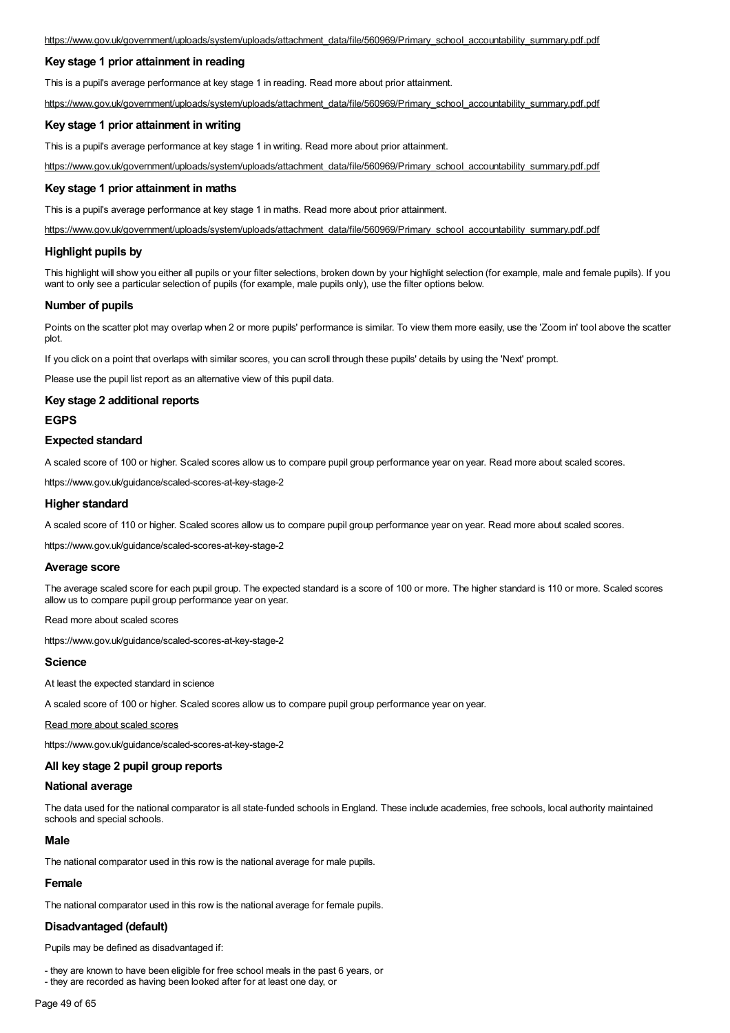## **Key stage 1 prior attainment in reading**

This is a pupil's average performance at key stage 1 in reading. Read more about prior attainment.

[https://www.gov.uk/government/uploads/system/uploads/attachment\\_data/file/560969/Primary\\_school\\_accountability\\_summary.pdf.pdf](https://www.gov.uk/government/uploads/system/uploads/attachment_data/file/560969/Primary_school_accountability_summary.pdf.pdf)

#### **Key stage 1 prior attainment in writing**

This is a pupil's average performance at key stage 1 in writing. Read more about prior attainment.

[https://www.gov.uk/government/uploads/system/uploads/attachment\\_data/file/560969/Primary\\_school\\_accountability\\_summary.pdf.pdf](https://www.gov.uk/government/uploads/system/uploads/attachment_data/file/560969/Primary_school_accountability_summary.pdf.pdf)

#### **Key stage 1 prior attainment in maths**

This is a pupil's average performance at key stage 1 in maths. Read more about prior attainment.

[https://www.gov.uk/government/uploads/system/uploads/attachment\\_data/file/560969/Primary\\_school\\_accountability\\_summary.pdf.pdf](https://www.gov.uk/government/uploads/system/uploads/attachment_data/file/560969/Primary_school_accountability_summary.pdf.pdf)

#### **Highlight pupils by**

This highlight will show you either all pupils or your filter selections, broken down by your highlight selection (for example, male and female pupils). If you want to only see a particular selection of pupils (for example, male pupils only), use the filter options below.

#### **Number of pupils**

Points on the scatter plot may overlap when 2 or more pupils' performance is similar. To view them more easily, use the 'Zoom in' tool above the scatter plot.

If you click on a point that overlaps with similar scores, you can scroll through these pupils' details by using the 'Next' prompt.

Please use the pupil list report as an alternative view of this pupil data.

### **Key stage 2 additional reports**

#### **EGPS**

#### **Expected standard**

A scaled score of 100 or higher. Scaled scores allow us to compare pupil group performance year on year. Read more about scaled scores.

https://www.gov.uk/guidance/scaled-scores-at-key-stage-2

#### **Higher standard**

A scaled score of 110 or higher. Scaled scores allow us to compare pupil group performance year on year. Read more about scaled scores.

https://www.gov.uk/guidance/scaled-scores-at-key-stage-2

#### **Average score**

The average scaled score for each pupil group. The expected standard is a score of 100 or more. The higher standard is 110 or more. Scaled scores allow us to compare pupil group performance year on year.

Read more about scaled scores

https://www.gov.uk/guidance/scaled-scores-at-key-stage-2

### **Science**

At least the expected standard in science

A scaled score of 100 or higher. Scaled scores allow us to compare pupil group performance year on year.

Read more about scaled scores

https://www.gov.uk/guidance/scaled-scores-at-key-stage-2

#### **All key stage 2 pupil group reports**

### **National average**

The data used for the national comparator is all state-funded schools in England. These include academies, free schools, local authority maintained schools and special schools.

## **Male**

The national comparator used in this row is the national average for male pupils.

#### **Female**

The national comparator used in this row is the national average for female pupils.

#### **Disadvantaged (default)**

Pupils may be defined as disadvantaged if:

- they are known to have been eligible for free school meals in the past 6 years, or

- they are recorded as having been looked after for at least one day, or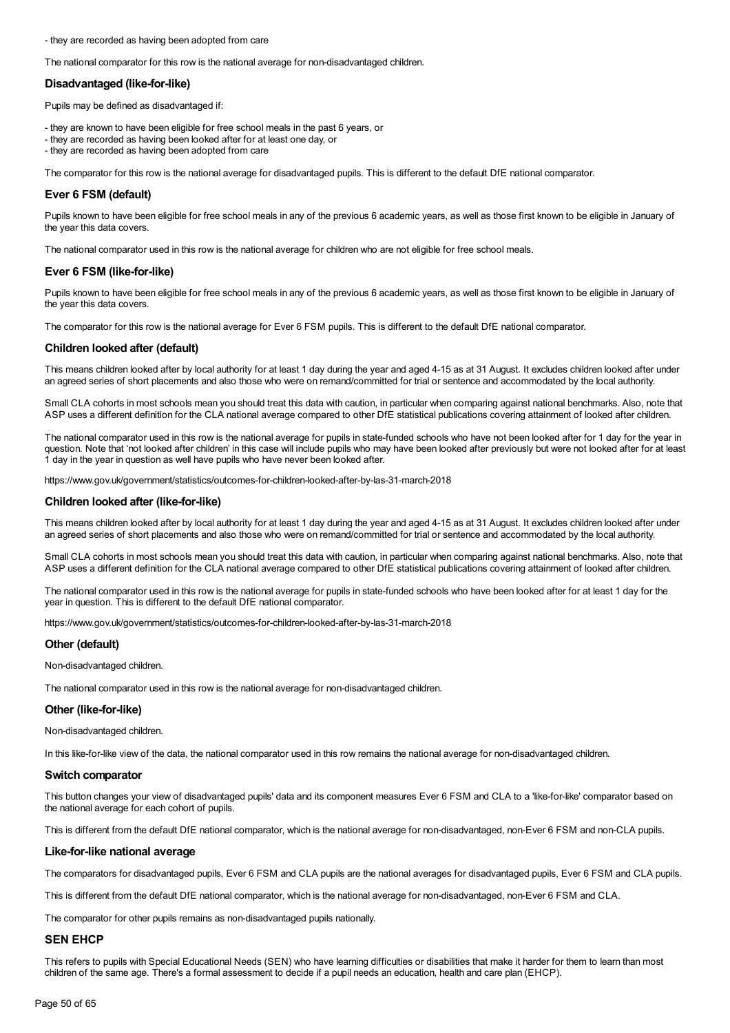- they are recorded as having been adopted from care

The national comparator for this row is the national average for non-disadvantaged children.

#### **Disadvantaged (like-for-like)**

Pupils may be defined as disadvantaged if:

- they are known to have been eligible for free school meals in the past 6 years, or
- they are recorded as having been looked after for at least one day, or
- they are recorded as having been adopted from care

The comparator for this row is the national average for disadvantaged pupils. This is different to the default DfE national comparator.

### **Ever 6 FSM (default)**

Pupils known to have been eligible for free school meals in any of the previous 6 academic years, as well as those first known to be eligible in January of the year this data covers.

The national comparator used in this row is the national average for children who are not eligible for free school meals.

#### **Ever 6 FSM (like-for-like)**

Pupils known to have been eligible for free school meals in any of the previous 6 academic years, as well as those first known to be eligible in January of the year this data covers.

The comparator for this row is the national average for Ever 6 FSM pupils. This is different to the default DfE national comparator.

#### **Children looked after (default)**

This means children looked after by local authority for at least 1 day during the year and aged 4-15 as at 31 August. It excludes children looked after under an agreed series of short placements and also those who were on remand/committed for trial or sentence and accommodated by the local authority.

Small CLA cohorts in most schools mean you should treat this data with caution, in particular when comparing against national benchmarks. Also, note that ASP uses a different definition for the CLA national average compared to other DfE statistical publications covering attainment of looked after children.

The national comparator used in this row is the national average for pupils in state-funded schools who have not been looked after for 1 day for the year in question. Note that 'not looked after children' in this case will include pupils who may have been looked after previously but were not looked after for at least 1 day in the year in question as well have pupils who have never been looked after.

https://www.gov.uk/government/statistics/outcomes-for-children-looked-after-by-las-31-march-2018

#### **Children looked after (like-for-like)**

This means children looked after by local authority for at least 1 day during the year and aged 4-15 as at 31 August. It excludes children looked after under an agreed series of short placements and also those who were on remand/committed for trial or sentence and accommodated by the local authority.

Small CLA cohorts in most schools mean you should treat this data with caution, in particular when comparing against national benchmarks. Also, note that ASP uses a different definition for the CLA national average compared to other DfE statistical publications covering attainment of looked after children.

The national comparator used in this row is the national average for pupils in state-funded schools who have been looked after for at least 1 day for the year in question. This is different to the default DfE national comparator.

https://www.gov.uk/government/statistics/outcomes-for-children-looked-after-by-las-31-march-2018

#### **Other (default)**

Non-disadvantaged children.

The national comparator used in this row is the national average for non-disadvantaged children.

#### **Other (like-for-like)**

Non-disadvantaged children.

In this like-for-like view of the data, the national comparator used in this row remains the national average for non-disadvantaged children.

#### **Switch comparator**

This button changes your view of disadvantaged pupils' data and its component measures Ever 6 FSM and CLA to a 'like-for-like' comparator based on the national average for each cohort of pupils.

This is different from the default DfE national comparator, which is the national average for non-disadvantaged, non-Ever 6 FSM and non-CLA pupils.

#### **Like-for-like national average**

The comparators for disadvantaged pupils, Ever 6 FSM and CLA pupils are the national averages for disadvantaged pupils, Ever 6 FSM and CLA pupils.

This is different from the default DfE national comparator, which is the national average for non-disadvantaged, non-Ever 6 FSM and CLA.

The comparator for other pupils remains as non-disadvantaged pupils nationally.

#### **SEN EHCP**

This refers to pupils with Special Educational Needs (SEN) who have learning difficulties or disabilities that make it harder for them to learn than most children of the same age. There's a formal assessment to decide if a pupil needs an education, health and care plan (EHCP).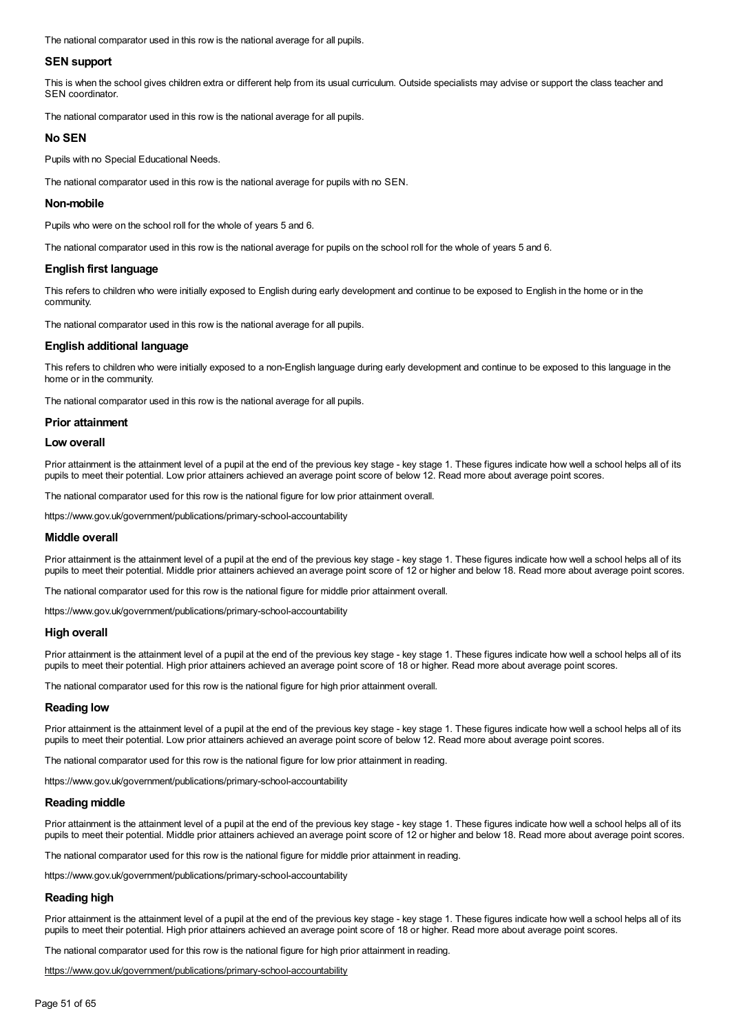The national comparator used in this row is the national average for all pupils.

#### **SEN support**

This is when the school gives children extra or different help from its usual curriculum. Outside specialists may advise or support the class teacher and SEN coordinator.

The national comparator used in this row is the national average for all pupils.

#### **No SEN**

Pupils with no Special Educational Needs.

The national comparator used in this row is the national average for pupils with no SEN.

#### **Non-mobile**

Pupils who were on the school roll for the whole of years 5 and 6.

The national comparator used in this row is the national average for pupils on the school roll for the whole of years 5 and 6.

#### **English first language**

This refers to children who were initially exposed to English during early development and continue to be exposed to English in the home or in the community.

The national comparator used in this row is the national average for all pupils.

#### **English additional language**

This refers to children who were initially exposed to a non-English language during early development and continue to be exposed to this language in the home or in the community.

The national comparator used in this row is the national average for all pupils.

#### **Prior attainment**

#### **Low overall**

Prior attainment is the attainment level of a pupil at the end of the previous key stage - key stage 1. These figures indicate how well a school helps all of its pupils to meet their potential. Low prior attainers achieved an average point score of below 12. Read more about average point scores.

The national comparator used for this row is the national figure for low prior attainment overall.

https://www.gov.uk/government/publications/primary-school-accountability

#### **Middle overall**

Prior attainment is the attainment level of a pupil at the end of the previous key stage - key stage 1. These figures indicate how well a school helps all of its pupils to meet their potential. Middle prior attainers achieved an average point score of 12 or higher and below 18. Read more about average point scores.

The national comparator used for this row is the national figure for middle prior attainment overall.

https://www.gov.uk/government/publications/primary-school-accountability

#### **High overall**

Prior attainment is the attainment level of a pupil at the end of the previous key stage - key stage 1. These figures indicate how well a school helps all of its pupils to meet their potential. High prior attainers achieved an average point score of 18 or higher. Read more about average point scores.

The national comparator used for this row is the national figure for high prior attainment overall.

#### **Reading low**

Prior attainment is the attainment level of a pupil at the end of the previous key stage - key stage 1. These figures indicate how well a school helps all of its pupils to meet their potential. Low prior attainers achieved an average point score of below 12. Read more about average point scores.

The national comparator used for this row is the national figure for low prior attainment in reading.

https://www.gov.uk/government/publications/primary-school-accountability

#### **Reading middle**

Prior attainment is the attainment level of a pupil at the end of the previous key stage - key stage 1. These figures indicate how well a school helps all of its pupils to meet their potential. Middle prior attainers achieved an average point score of 12 or higher and below 18. Read more about average point scores.

The national comparator used for this row is the national figure for middle prior attainment in reading.

https://www.gov.uk/government/publications/primary-school-accountability

#### **Reading high**

Prior attainment is the attainment level of a pupil at the end of the previous key stage - key stage 1. These figures indicate how well a school helps all of its pupils to meet their potential. High prior attainers achieved an average point score of 18 or higher. Read more about average point scores.

The national comparator used for this row is the national figure for high prior attainment in reading.

<https://www.gov.uk/government/publications/primary-school-accountability>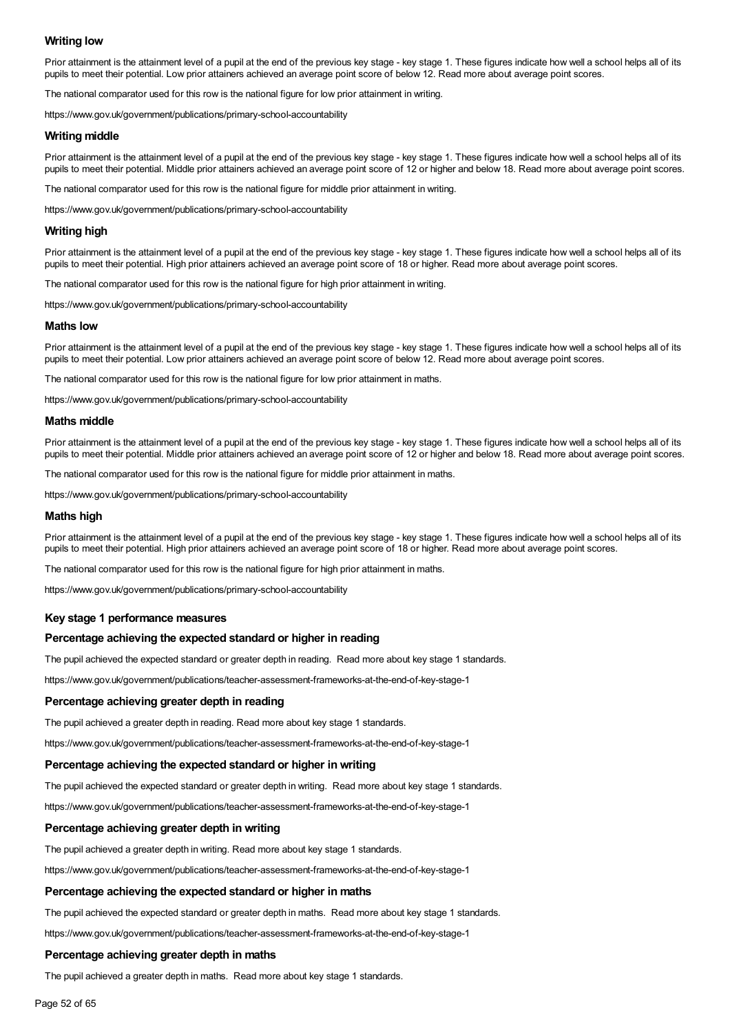## **Writing low**

Prior attainment is the attainment level of a pupil at the end of the previous key stage - key stage 1. These figures indicate how well a school helps all of its pupils to meet their potential. Low prior attainers achieved an average point score of below 12. Read more about average point scores.

The national comparator used for this row is the national figure for low prior attainment in writing.

https://www.gov.uk/government/publications/primary-school-accountability

#### **Writing middle**

Prior attainment is the attainment level of a pupil at the end of the previous key stage - key stage 1. These figures indicate how well a school helps all of its pupils to meet their potential. Middle prior attainers achieved an average point score of 12 or higher and below 18. Read more about average point scores.

The national comparator used for this row is the national figure for middle prior attainment in writing.

https://www.gov.uk/government/publications/primary-school-accountability

#### **Writing high**

Prior attainment is the attainment level of a pupil at the end of the previous key stage - key stage 1. These figures indicate how well a school helps all of its pupils to meet their potential. High prior attainers achieved an average point score of 18 or higher. Read more about average point scores.

The national comparator used for this row is the national figure for high prior attainment in writing.

https://www.gov.uk/government/publications/primary-school-accountability

#### **Maths low**

Prior attainment is the attainment level of a pupil at the end of the previous key stage - key stage 1. These figures indicate how well a school helps all of its pupils to meet their potential. Low prior attainers achieved an average point score of below 12. Read more about average point scores.

The national comparator used for this row is the national figure for low prior attainment in maths.

https://www.gov.uk/government/publications/primary-school-accountability

#### **Maths middle**

Prior attainment is the attainment level of a pupil at the end of the previous key stage - key stage 1. These figures indicate how well a school helps all of its pupils to meet their potential. Middle prior attainers achieved an average point score of 12 or higher and below 18. Read more about average point scores.

The national comparator used for this row is the national figure for middle prior attainment in maths.

https://www.gov.uk/government/publications/primary-school-accountability

#### **Maths high**

Prior attainment is the attainment level of a pupil at the end of the previous key stage - key stage 1. These figures indicate how well a school helps all of its pupils to meet their potential. High prior attainers achieved an average point score of 18 or higher. Read more about average point scores.

The national comparator used for this row is the national figure for high prior attainment in maths.

https://www.gov.uk/government/publications/primary-school-accountability

#### **Key stage 1 performance measures**

#### **Percentage achieving the expected standard or higher in reading**

The pupil achieved the expected standard or greater depth in reading. Read more about key stage 1 standards.

https://www.gov.uk/government/publications/teacher-assessment-frameworks-at-the-end-of-key-stage-1

#### **Percentage achieving greater depth in reading**

The pupil achieved a greater depth in reading. Read more about key stage 1 standards.

https://www.gov.uk/government/publications/teacher-assessment-frameworks-at-the-end-of-key-stage-1

#### **Percentage achieving the expected standard or higher in writing**

The pupil achieved the expected standard or greater depth in writing. Read more about key stage 1 standards.

https://www.gov.uk/government/publications/teacher-assessment-frameworks-at-the-end-of-key-stage-1

#### **Percentage achieving greater depth in writing**

The pupil achieved a greater depth in writing. Read more about key stage 1 standards.

https://www.gov.uk/government/publications/teacher-assessment-frameworks-at-the-end-of-key-stage-1

#### **Percentage achieving the expected standard or higher in maths**

The pupil achieved the expected standard or greater depth in maths. Read more about key stage 1 standards.

https://www.gov.uk/government/publications/teacher-assessment-frameworks-at-the-end-of-key-stage-1

#### **Percentage achieving greater depth in maths**

The pupil achieved a greater depth in maths. Read more about key stage 1 standards.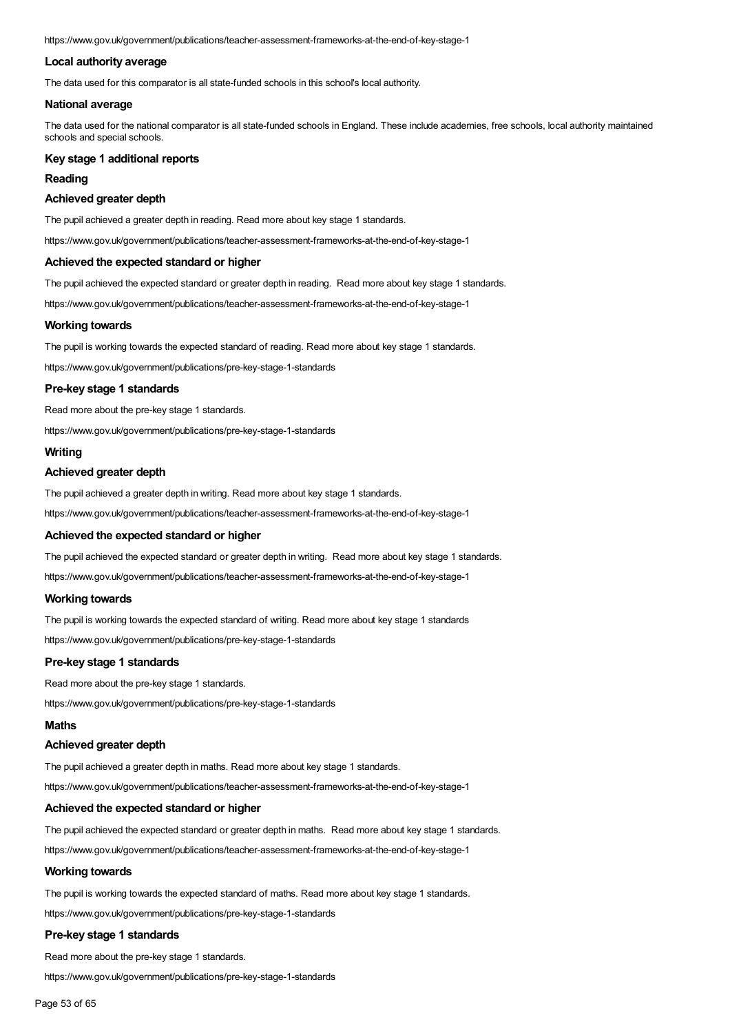https://www.gov.uk/government/publications/teacher-assessment-frameworks-at-the-end-of-key-stage-1

### **Local authority average**

The data used for this comparator is all state-funded schools in this school's local authority.

#### **National average**

The data used for the national comparator is all state-funded schools in England. These include academies, free schools, local authority maintained schools and special schools.

### **Key stage 1 additional reports**

#### **Reading**

#### **Achieved greater depth**

The pupil achieved a greater depth in reading. Read more about key stage 1 standards.

https://www.gov.uk/government/publications/teacher-assessment-frameworks-at-the-end-of-key-stage-1

#### **Achieved the expected standard or higher**

The pupil achieved the expected standard or greater depth in reading. Read more about key stage 1 standards.

https://www.gov.uk/government/publications/teacher-assessment-frameworks-at-the-end-of-key-stage-1

#### **Working towards**

The pupil is working towards the expected standard of reading. Read more about key stage 1 standards.

https://www.gov.uk/government/publications/pre-key-stage-1-standards

#### **Pre-key stage 1 standards**

Read more about the pre-key stage 1 standards.

https://www.gov.uk/government/publications/pre-key-stage-1-standards

## **Writing**

#### **Achieved greater depth**

The pupil achieved a greater depth in writing. Read more about key stage 1 standards.

https://www.gov.uk/government/publications/teacher-assessment-frameworks-at-the-end-of-key-stage-1

#### **Achieved the expected standard or higher**

The pupil achieved the expected standard or greater depth in writing. Read more about key stage 1 standards.

https://www.gov.uk/government/publications/teacher-assessment-frameworks-at-the-end-of-key-stage-1

#### **Working towards**

The pupil is working towards the expected standard of writing. Read more about key stage 1 standards

https://www.gov.uk/government/publications/pre-key-stage-1-standards

### **Pre-key stage 1 standards**

Read more about the pre-key stage 1 standards.

https://www.gov.uk/government/publications/pre-key-stage-1-standards

## **Maths**

## **Achieved greater depth**

The pupil achieved a greater depth in maths. Read more about key stage 1 standards.

https://www.gov.uk/government/publications/teacher-assessment-frameworks-at-the-end-of-key-stage-1

## **Achieved the expected standard or higher**

The pupil achieved the expected standard or greater depth in maths. Read more about key stage 1 standards.

https://www.gov.uk/government/publications/teacher-assessment-frameworks-at-the-end-of-key-stage-1

## **Working towards**

The pupil is working towards the expected standard of maths. Read more about key stage 1 standards.

https://www.gov.uk/government/publications/pre-key-stage-1-standards

## **Pre-key stage 1 standards**

Read more about the pre-key stage 1 standards.

https://www.gov.uk/government/publications/pre-key-stage-1-standards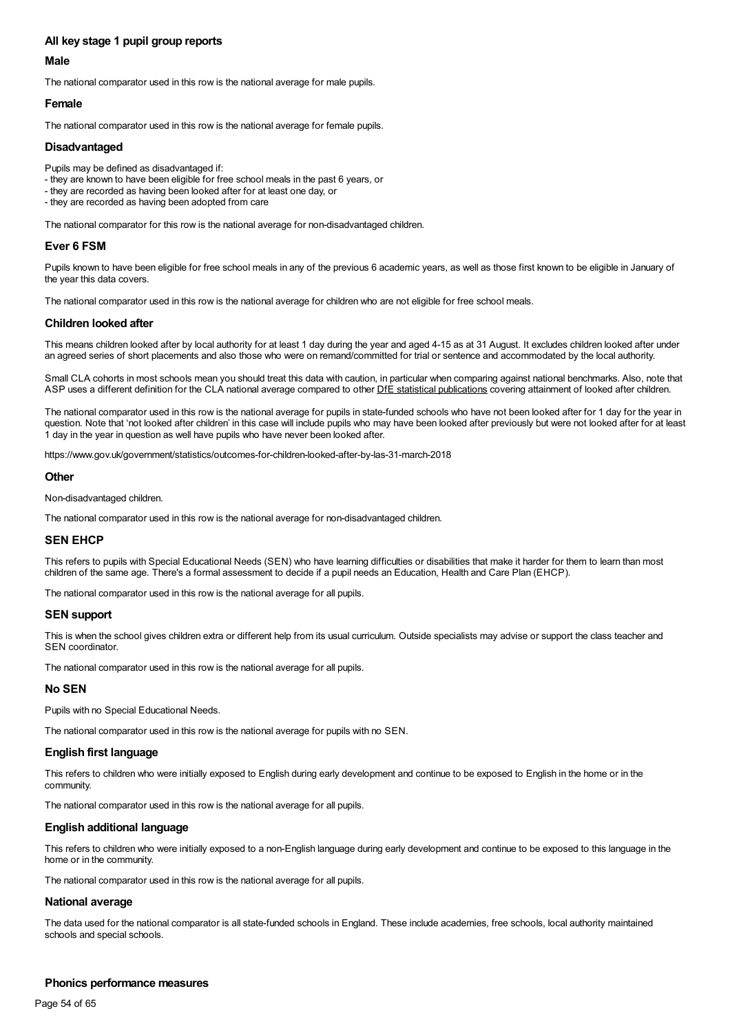## **All key stage 1 pupil group reports**

## **Male**

The national comparator used in this row is the national average for male pupils.

## **Female**

The national comparator used in this row is the national average for female pupils.

## **Disadvantaged**

- Pupils may be defined as disadvantaged if:
- they are known to have been eligible for free school meals in the past 6 years, or
- they are recorded as having been looked after for at least one day, or
- they are recorded as having been adopted from care

The national comparator for this row is the national average for non-disadvantaged children.

## **Ever 6 FSM**

Pupils known to have been eligible for free school meals in any of the previous 6 academic years, as well as those first known to be eligible in January of the year this data covers.

The national comparator used in this row is the national average for children who are not eligible for free school meals.

## **Children looked after**

This means children looked after by local authority for at least 1 day during the year and aged 4-15 as at 31 August. It excludes children looked after under an agreed series of short placements and also those who were on remand/committed for trial or sentence and accommodated by the local authority.

Small CLA cohorts in most schools mean you should treat this data with caution, in particular when comparing against national benchmarks. Also, note that ASP uses a different definition for the CLA national average compared to other DfE statistical publications covering attainment of looked after children.

The national comparator used in this row is the national average for pupils in state-funded schools who have not been looked after for 1 day for the year in question. Note that 'not looked after children' in this case will include pupils who may have been looked after previously but were not looked after for at least 1 day in the year in question as well have pupils who have never been looked after.

https://www.gov.uk/government/statistics/outcomes-for-children-looked-after-by-las-31-march-2018

### **Other**

Non-disadvantaged children.

The national comparator used in this row is the national average for non-disadvantaged children.

## **SEN EHCP**

This refers to pupils with Special Educational Needs (SEN) who have learning difficulties or disabilities that make it harder for them to learn than most children of the same age. There's a formal assessment to decide if a pupil needs an Education, Health and Care Plan (EHCP).

The national comparator used in this row is the national average for all pupils.

## **SEN support**

This is when the school gives children extra or different help from its usual curriculum. Outside specialists may advise or support the class teacher and SEN coordinator.

The national comparator used in this row is the national average for all pupils.

## **No SEN**

Pupils with no Special Educational Needs.

The national comparator used in this row is the national average for pupils with no SEN.

## **English first language**

This refers to children who were initially exposed to English during early development and continue to be exposed to English in the home or in the community.

The national comparator used in this row is the national average for all pupils.

## **English additional language**

This refers to children who were initially exposed to a non-English language during early development and continue to be exposed to this language in the home or in the community.

The national comparator used in this row is the national average for all pupils.

#### **National average**

The data used for the national comparator is all state-funded schools in England. These include academies, free schools, local authority maintained schools and special schools.

## **Phonics performance measures**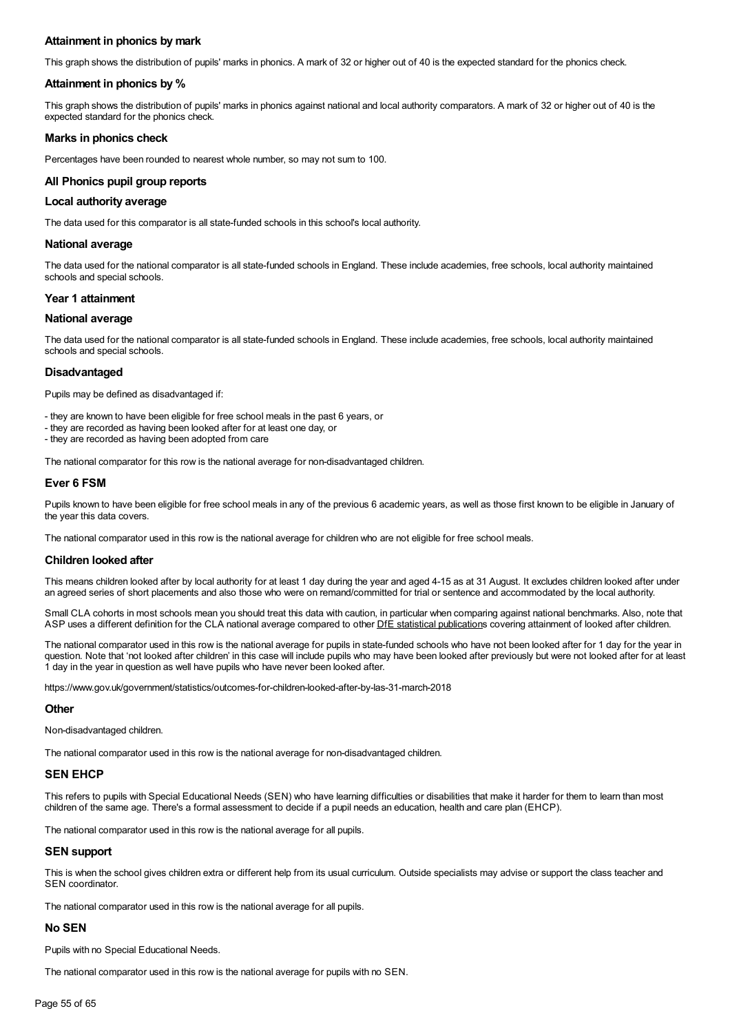## **Attainment in phonics by mark**

This graph shows the distribution of pupils' marks in phonics. A mark of 32 or higher out of 40 is the expected standard for the phonics check.

#### **Attainment in phonics by %**

This graph shows the distribution of pupils' marks in phonics against national and local authority comparators. A mark of 32 or higher out of 40 is the expected standard for the phonics check.

### **Marks in phonics check**

Percentages have been rounded to nearest whole number, so may not sum to 100.

### **All Phonics pupil group reports**

#### **Local authority average**

The data used for this comparator is all state-funded schools in this school's local authority.

#### **National average**

The data used for the national comparator is all state-funded schools in England. These include academies, free schools, local authority maintained schools and special schools.

#### **Year 1 attainment**

#### **National average**

The data used for the national comparator is all state-funded schools in England. These include academies, free schools, local authority maintained schools and special schools.

## **Disadvantaged**

Pupils may be defined as disadvantaged if:

- they are known to have been eligible for free school meals in the past 6 years, or
- they are recorded as having been looked after for at least one day, or

- they are recorded as having been adopted from care

The national comparator for this row is the national average for non-disadvantaged children.

## **Ever 6 FSM**

Pupils known to have been eligible for free school meals in any of the previous 6 academic years, as well as those first known to be eligible in January of the year this data covers.

The national comparator used in this row is the national average for children who are not eligible for free school meals.

#### **Children looked after**

This means children looked after by local authority for at least 1 day during the year and aged 4-15 as at 31 August. It excludes children looked after under an agreed series of short placements and also those who were on remand/committed for trial or sentence and accommodated by the local authority.

Small CLA cohorts in most schools mean you should treat this data with caution, in particular when comparing against national benchmarks. Also, note that ASP uses a different definition for the CLA national average compared to other DfE statistical publications covering attainment of looked after children.

The national comparator used in this row is the national average for pupils in state-funded schools who have not been looked after for 1 day for the year in question. Note that 'not looked after children' in this case will include pupils who may have been looked after previously but were not looked after for at least 1 day in the year in question as well have pupils who have never been looked after.

https://www.gov.uk/government/statistics/outcomes-for-children-looked-after-by-las-31-march-2018

#### **Other**

Non-disadvantaged children.

The national comparator used in this row is the national average for non-disadvantaged children.

#### **SEN EHCP**

This refers to pupils with Special Educational Needs (SEN) who have learning difficulties or disabilities that make it harder for them to learn than most children of the same age. There's a formal assessment to decide if a pupil needs an education, health and care plan (EHCP).

The national comparator used in this row is the national average for all pupils.

## **SEN support**

This is when the school gives children extra or different help from its usual curriculum. Outside specialists may advise or support the class teacher and SEN coordinator.

The national comparator used in this row is the national average for all pupils.

## **No SEN**

Pupils with no Special Educational Needs.

The national comparator used in this row is the national average for pupils with no SEN.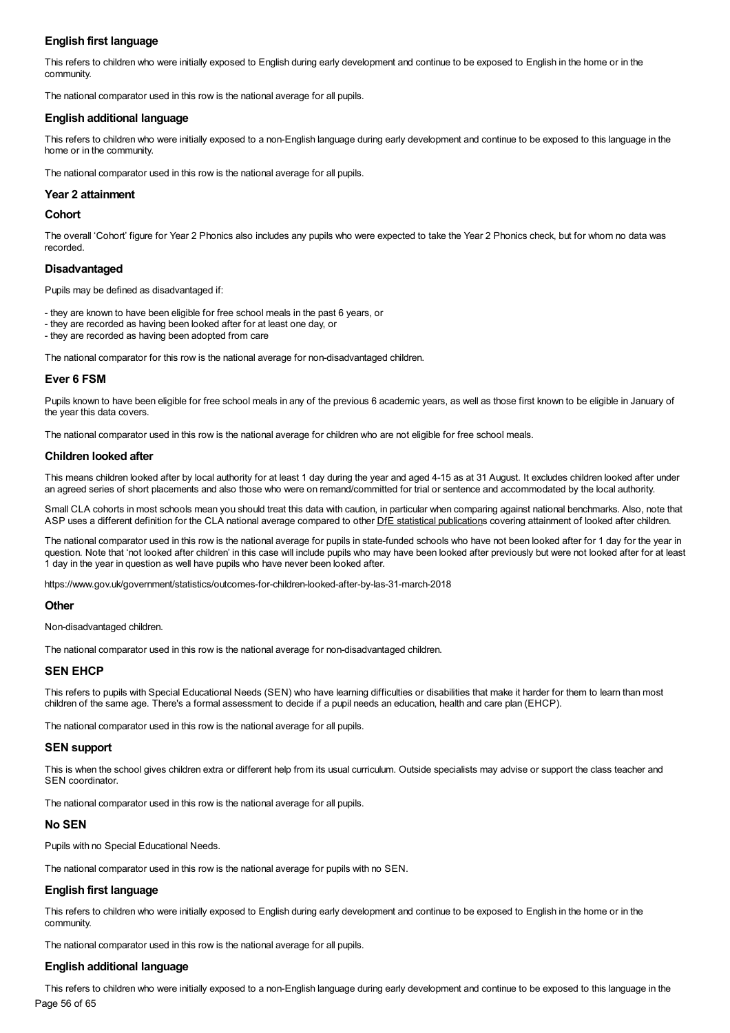## **English first language**

This refers to children who were initially exposed to English during early development and continue to be exposed to English in the home or in the community.

The national comparator used in this row is the national average for all pupils.

## **English additional language**

This refers to children who were initially exposed to a non-English language during early development and continue to be exposed to this language in the home or in the community.

The national comparator used in this row is the national average for all pupils.

### **Year 2 attainment**

#### **Cohort**

The overall 'Cohort' figure for Year 2 Phonics also includes any pupils who were expected to take the Year 2 Phonics check, but for whom no data was recorded.

### **Disadvantaged**

Pupils may be defined as disadvantaged if:

- they are known to have been eligible for free school meals in the past 6 years, or
- they are recorded as having been looked after for at least one day, or
- they are recorded as having been adopted from care

The national comparator for this row is the national average for non-disadvantaged children.

### **Ever 6 FSM**

Pupils known to have been eligible for free school meals in any of the previous 6 academic years, as well as those first known to be eligible in January of the year this data covers.

The national comparator used in this row is the national average for children who are not eligible for free school meals.

### **Children looked after**

This means children looked after by local authority for at least 1 day during the year and aged 4-15 as at 31 August. It excludes children looked after under an agreed series of short placements and also those who were on remand/committed for trial or sentence and accommodated by the local authority.

Small CLA cohorts in most schools mean you should treat this data with caution, in particular when comparing against national benchmarks. Also, note that ASP uses a different definition for the CLA national average compared to other DfE statistical publications covering attainment of looked after children.

The national comparator used in this row is the national average for pupils in state-funded schools who have not been looked after for 1 day for the year in question. Note that 'not looked after children' in this case will include pupils who may have been looked after previously but were not looked after for at least 1 day in the year in question as well have pupils who have never been looked after.

https://www.gov.uk/government/statistics/outcomes-for-children-looked-after-by-las-31-march-2018

#### **Other**

Non-disadvantaged children.

The national comparator used in this row is the national average for non-disadvantaged children.

#### **SEN EHCP**

This refers to pupils with Special Educational Needs (SEN) who have learning difficulties or disabilities that make it harder for them to learn than most children of the same age. There's a formal assessment to decide if a pupil needs an education, health and care plan (EHCP).

The national comparator used in this row is the national average for all pupils.

#### **SEN support**

This is when the school gives children extra or different help from its usual curriculum. Outside specialists may advise or support the class teacher and SEN coordinator.

The national comparator used in this row is the national average for all pupils.

#### **No SEN**

Pupils with no Special Educational Needs.

The national comparator used in this row is the national average for pupils with no SEN.

## **English first language**

This refers to children who were initially exposed to English during early development and continue to be exposed to English in the home or in the community.

The national comparator used in this row is the national average for all pupils.

#### **English additional language**

This refers to children who were initially exposed to a non-English language during early development and continue to be exposed to this language in the Page 56 of 65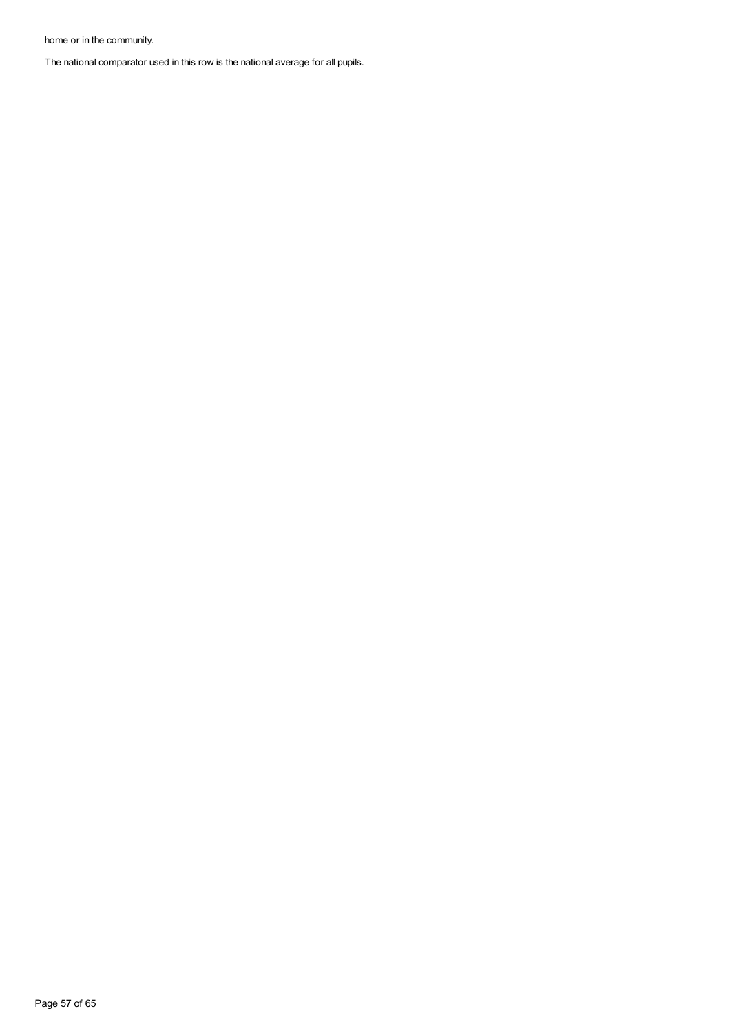home or in the community.

The national comparator used in this row is the national average for all pupils.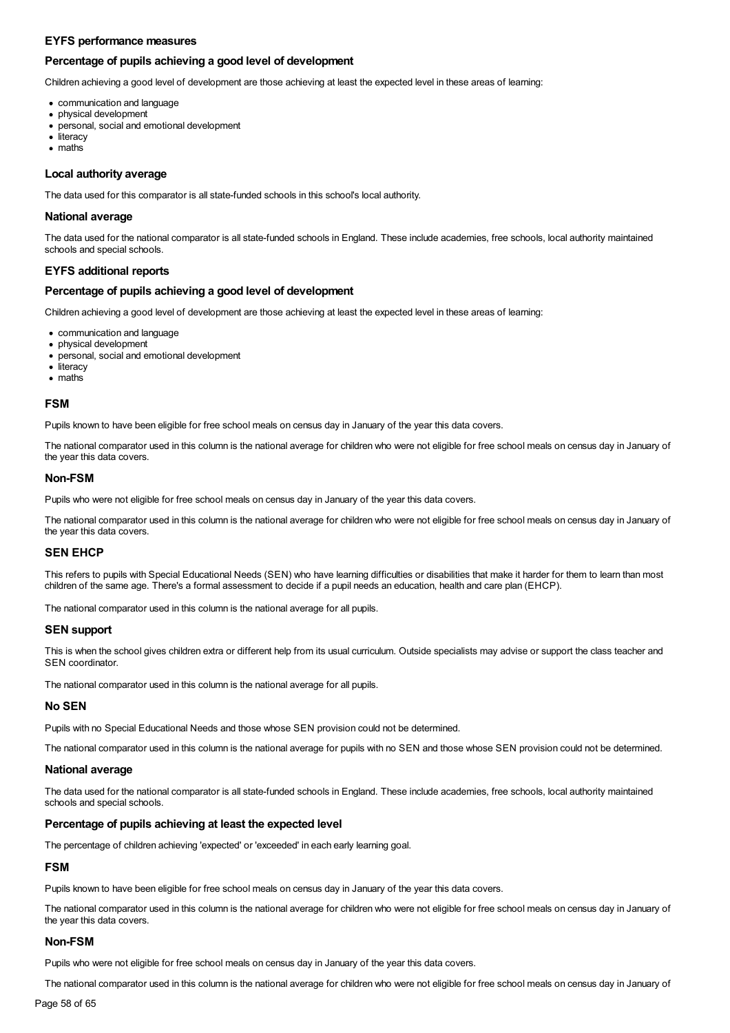### **EYFS performance measures**

### **Percentage of pupils achieving a good level of development**

Children achieving a good level of development are those achieving at least the expected level in these areas of learning:

- communication and language
- physical development
- personal, social and emotional development
- literacy
- maths

#### **Local authority average**

The data used for this comparator is all state-funded schools in this school's local authority.

#### **National average**

The data used for the national comparator is all state-funded schools in England. These include academies, free schools, local authority maintained schools and special schools.

### **EYFS additional reports**

#### **Percentage of pupils achieving a good level of development**

Children achieving a good level of development are those achieving at least the expected level in these areas of learning:

- communication and language
- physical development
- personal, social and emotional development
- literacy
- maths

#### **FSM**

Pupils known to have been eligible for free school meals on census day in January of the year this data covers.

The national comparator used in this column is the national average for children who were not eligible for free school meals on census day in January of the year this data covers.

#### **Non-FSM**

Pupils who were not eligible for free school meals on census day in January of the year this data covers.

The national comparator used in this column is the national average for children who were not eligible for free school meals on census day in January of the year this data covers.

#### **SEN EHCP**

This refers to pupils with Special Educational Needs (SEN) who have learning difficulties or disabilities that make it harder for them to learn than most children of the same age. There's a formal assessment to decide if a pupil needs an education, health and care plan (EHCP).

The national comparator used in this column is the national average for all pupils.

#### **SEN support**

This is when the school gives children extra or different help from its usual curriculum. Outside specialists may advise or support the class teacher and SEN coordinator.

The national comparator used in this column is the national average for all pupils.

## **No SEN**

Pupils with no Special Educational Needs and those whose SEN provision could not be determined.

The national comparator used in this column is the national average for pupils with no SEN and those whose SEN provision could not be determined.

#### **National average**

The data used for the national comparator is all state-funded schools in England. These include academies, free schools, local authority maintained schools and special schools.

### **Percentage of pupils achieving at least the expected level**

The percentage of children achieving 'expected' or 'exceeded' in each early learning goal.

## **FSM**

Pupils known to have been eligible for free school meals on census day in January of the year this data covers.

The national comparator used in this column is the national average for children who were not eligible for free school meals on census day in January of the year this data covers.

#### **Non-FSM**

Pupils who were not eligible for free school meals on census day in January of the year this data covers.

The national comparator used in this column is the national average for children who were not eligible for free school meals on census day in January of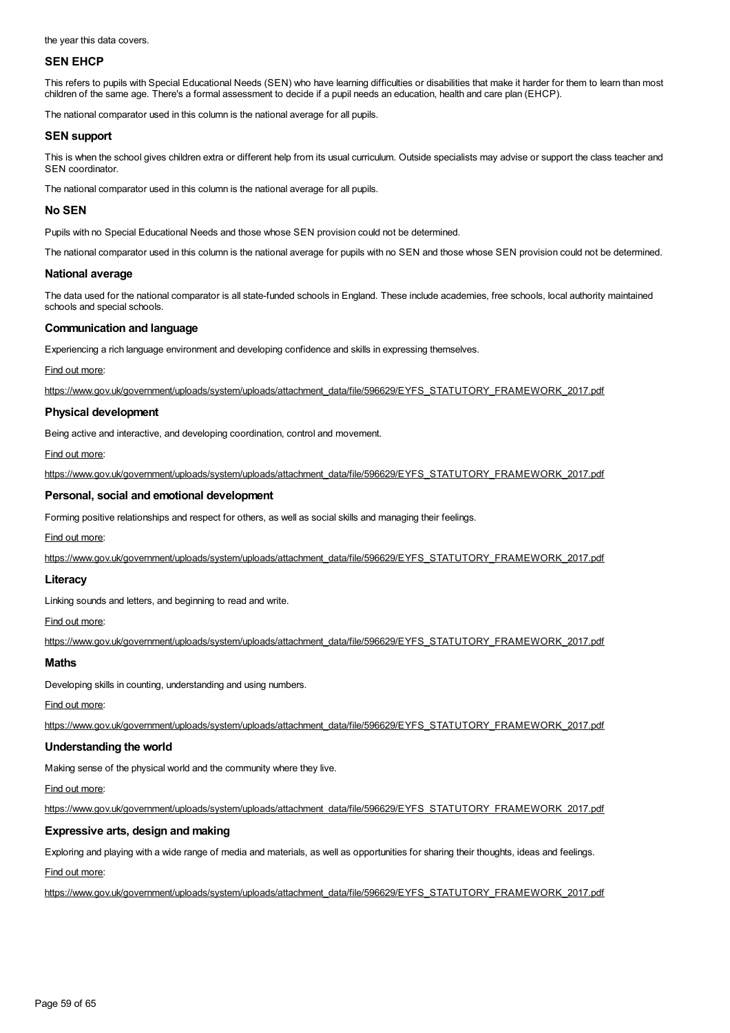the year this data covers.

## **SEN EHCP**

This refers to pupils with Special Educational Needs (SEN) who have learning difficulties or disabilities that make it harder for them to learn than most children of the same age. There's a formal assessment to decide if a pupil needs an education, health and care plan (EHCP).

The national comparator used in this column is the national average for all pupils.

### **SEN support**

This is when the school gives children extra or different help from its usual curriculum. Outside specialists may advise or support the class teacher and SEN coordinator.

The national comparator used in this column is the national average for all pupils.

### **No SEN**

Pupils with no Special Educational Needs and those whose SEN provision could not be determined.

The national comparator used in this column is the national average for pupils with no SEN and those whose SEN provision could not be determined.

### **National average**

The data used for the national comparator is all state-funded schools in England. These include academies, free schools, local authority maintained schools and special schools.

### **Communication and language**

Experiencing a rich language environment and developing confidence and skills in expressing themselves.

#### Find out more:

[https://www.gov.uk/government/uploads/system/uploads/attachment\\_data/file/596629/EYFS\\_STATUTORY\\_FRAMEWORK\\_2017.pdf](https://www.gov.uk/government/uploads/system/uploads/attachment_data/file/596629/EYFS_STATUTORY_FRAMEWORK_2017.pdf)

### **Physical development**

Being active and interactive, and developing coordination, control and movement.

Find out more:

[https://www.gov.uk/government/uploads/system/uploads/attachment\\_data/file/596629/EYFS\\_STATUTORY\\_FRAMEWORK\\_2017.pdf](https://www.gov.uk/government/uploads/system/uploads/attachment_data/file/596629/EYFS_STATUTORY_FRAMEWORK_2017.pdf)

### **Personal, social and emotional development**

Forming positive relationships and respect for others, as well as social skills and managing their feelings.

#### Find out more:

[https://www.gov.uk/government/uploads/system/uploads/attachment\\_data/file/596629/EYFS\\_STATUTORY\\_FRAMEWORK\\_2017.pdf](https://www.gov.uk/government/uploads/system/uploads/attachment_data/file/596629/EYFS_STATUTORY_FRAMEWORK_2017.pdf)

#### **Literacy**

Linking sounds and letters, and beginning to read and write.

#### Find out more:

[https://www.gov.uk/government/uploads/system/uploads/attachment\\_data/file/596629/EYFS\\_STATUTORY\\_FRAMEWORK\\_2017.pdf](https://www.gov.uk/government/uploads/system/uploads/attachment_data/file/596629/EYFS_STATUTORY_FRAMEWORK_2017.pdf)

## **Maths**

Developing skills in counting, understanding and using numbers.

Find out more:

[https://www.gov.uk/government/uploads/system/uploads/attachment\\_data/file/596629/EYFS\\_STATUTORY\\_FRAMEWORK\\_2017.pdf](https://www.gov.uk/government/uploads/system/uploads/attachment_data/file/596629/EYFS_STATUTORY_FRAMEWORK_2017.pdf)

## **Understanding the world**

Making sense of the physical world and the community where they live.

Find out more:

[https://www.gov.uk/government/uploads/system/uploads/attachment\\_data/file/596629/EYFS\\_STATUTORY\\_FRAMEWORK\\_2017.pdf](https://www.gov.uk/government/uploads/system/uploads/attachment_data/file/596629/EYFS_STATUTORY_FRAMEWORK_2017.pdf)

## **Expressive arts, design and making**

Exploring and playing with a wide range of media and materials, as well as opportunities for sharing their thoughts, ideas and feelings.

Find out more:

[https://www.gov.uk/government/uploads/system/uploads/attachment\\_data/file/596629/EYFS\\_STATUTORY\\_FRAMEWORK\\_2017.pdf](https://www.gov.uk/government/uploads/system/uploads/attachment_data/file/596629/EYFS_STATUTORY_FRAMEWORK_2017.pdf)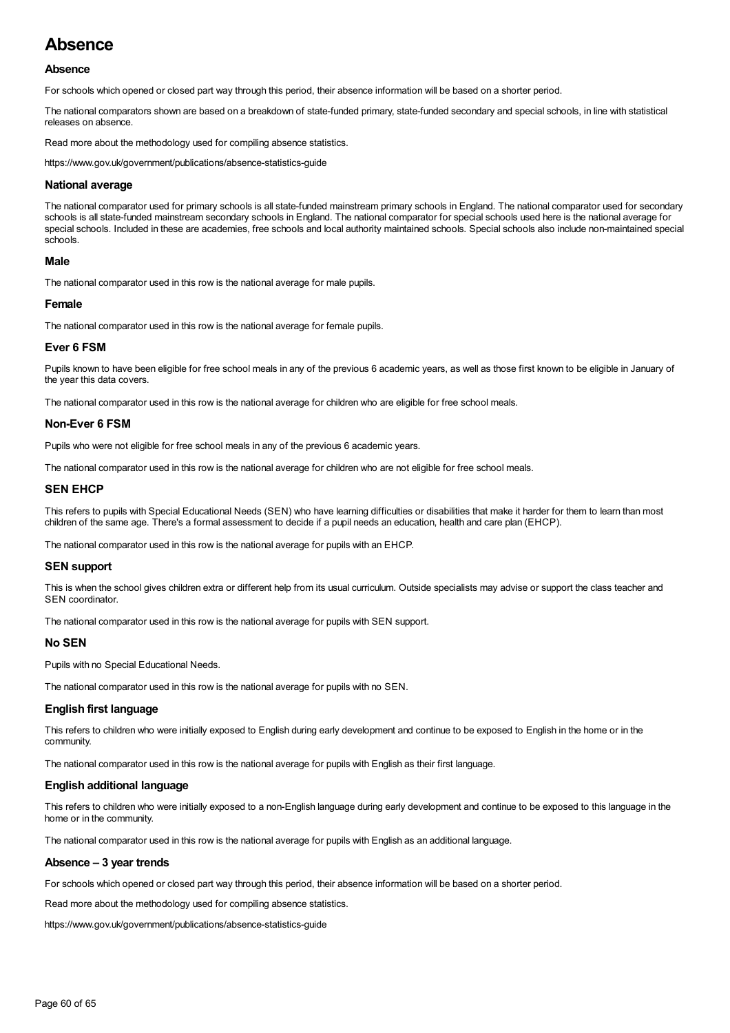## **Absence**

## **Absence**

For schools which opened or closed part way through this period, their absence information will be based on a shorter period.

The national comparators shown are based on a breakdown of state-funded primary, state-funded secondary and special schools, in line with statistical releases on absence.

Read more about the methodology used for compiling absence statistics.

https://www.gov.uk/government/publications/absence-statistics-guide

#### **National average**

The national comparator used for primary schools is all state-funded mainstream primary schools in England. The national comparator used for secondary schools is all state-funded mainstream secondary schools in England. The national comparator for special schools used here is the national average for special schools. Included in these are academies, free schools and local authority maintained schools. Special schools also include non-maintained special schools.

### **Male**

The national comparator used in this row is the national average for male pupils.

#### **Female**

The national comparator used in this row is the national average for female pupils.

#### **Ever 6 FSM**

Pupils known to have been eligible for free school meals in any of the previous 6 academic years, as well as those first known to be eligible in January of the year this data covers.

The national comparator used in this row is the national average for children who are eligible for free school meals.

### **Non-Ever 6 FSM**

Pupils who were not eligible for free school meals in any of the previous 6 academic years.

The national comparator used in this row is the national average for children who are not eligible for free school meals.

#### **SEN EHCP**

This refers to pupils with Special Educational Needs (SEN) who have learning difficulties or disabilities that make it harder for them to learn than most children of the same age. There's a formal assessment to decide if a pupil needs an education, health and care plan (EHCP).

The national comparator used in this row is the national average for pupils with an EHCP.

#### **SEN support**

This is when the school gives children extra or different help from its usual curriculum. Outside specialists may advise or support the class teacher and SEN coordinator.

The national comparator used in this row is the national average for pupils with SEN support.

#### **No SEN**

Pupils with no Special Educational Needs.

The national comparator used in this row is the national average for pupils with no SEN.

#### **English first language**

This refers to children who were initially exposed to English during early development and continue to be exposed to English in the home or in the community.

The national comparator used in this row is the national average for pupils with English as their first language.

### **English additional language**

This refers to children who were initially exposed to a non-English language during early development and continue to be exposed to this language in the home or in the community.

The national comparator used in this row is the national average for pupils with English as an additional language.

#### **Absence – 3 year trends**

For schools which opened or closed part way through this period, their absence information will be based on a shorter period.

Read more about the methodology used for compiling absence statistics.

https://www.gov.uk/government/publications/absence-statistics-guide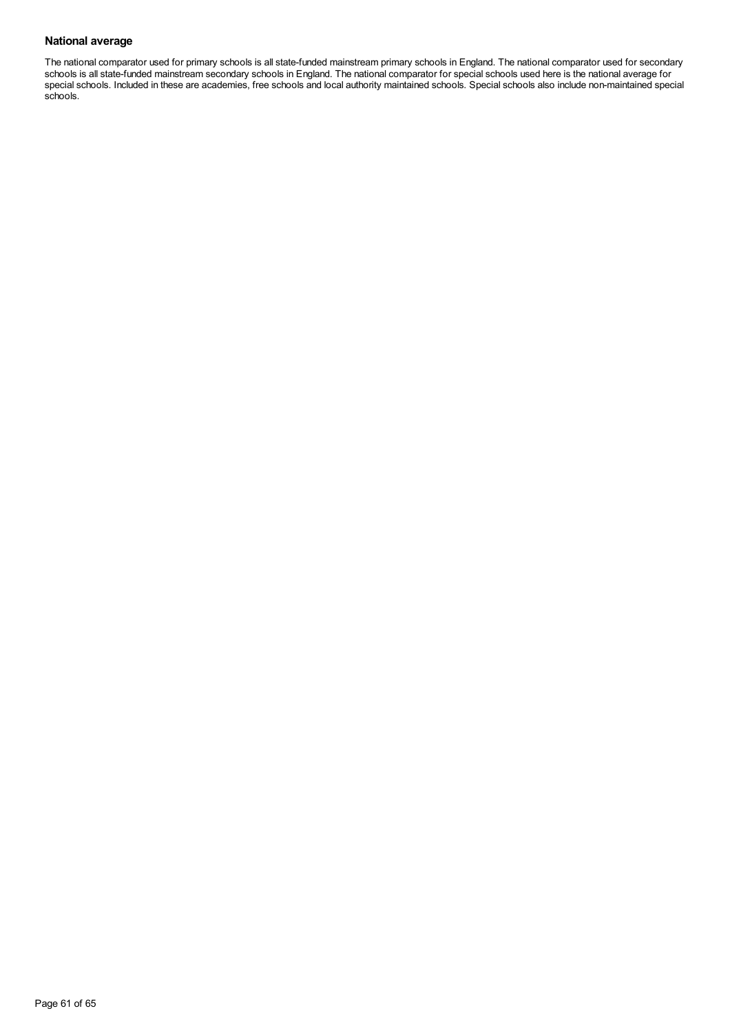## **National average**

The national comparator used for primary schools is all state-funded mainstream primary schools in England. The national comparator used for secondary schools is all state-funded mainstream secondary schools in England. The national comparator for special schools used here is the national average for special schools. Included in these are academies, free schools and local authority maintained schools. Special schools also include non-maintained special schools.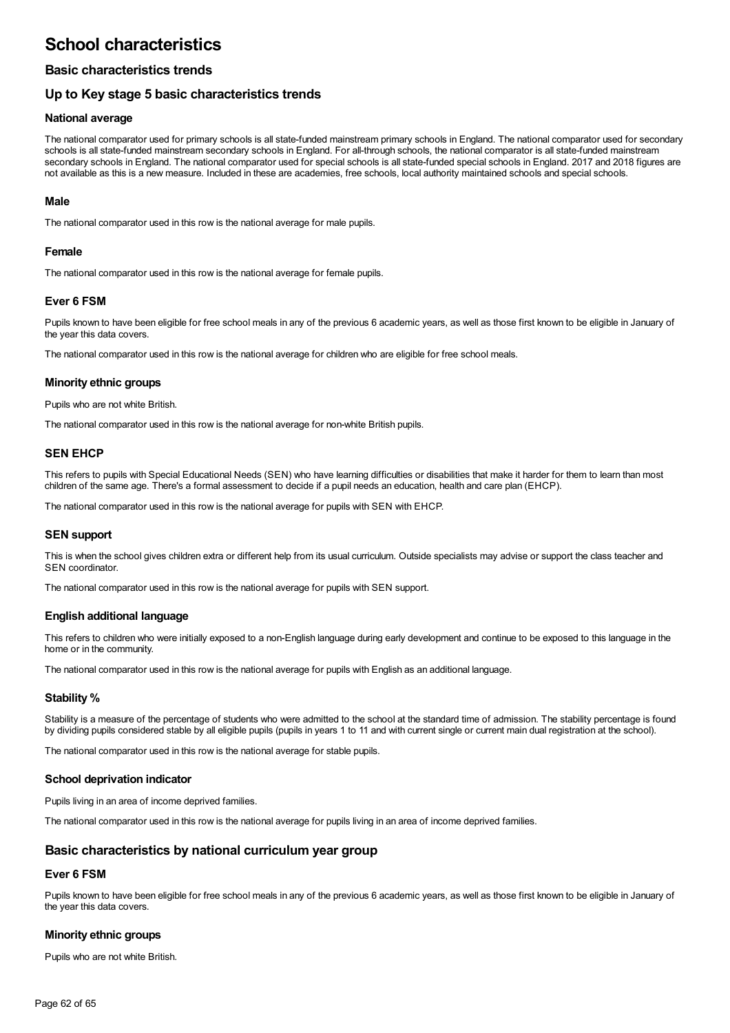## **School characteristics**

## **Basic characteristics trends**

## **Up to Key stage 5 basic characteristics trends**

## **National average**

The national comparator used for primary schools is all state-funded mainstream primary schools in England. The national comparator used for secondary schools is all state-funded mainstream secondary schools in England. For all-through schools, the national comparator is all state-funded mainstream secondary schools in England. The national comparator used for special schools is all state-funded special schools in England. 2017 and 2018 figures are not available as this is a new measure. Included in these are academies, free schools, local authority maintained schools and special schools.

## **Male**

The national comparator used in this row is the national average for male pupils.

## **Female**

The national comparator used in this row is the national average for female pupils.

## **Ever 6 FSM**

Pupils known to have been eligible for free school meals in any of the previous 6 academic years, as well as those first known to be eligible in January of the year this data covers.

The national comparator used in this row is the national average for children who are eligible for free school meals.

## **Minority ethnic groups**

Pupils who are not white British.

The national comparator used in this row is the national average for non-white British pupils.

## **SEN EHCP**

This refers to pupils with Special Educational Needs (SEN) who have learning difficulties or disabilities that make it harder for them to learn than most children of the same age. There's a formal assessment to decide if a pupil needs an education, health and care plan (EHCP).

The national comparator used in this row is the national average for pupils with SEN with EHCP.

## **SEN support**

This is when the school gives children extra or different help from its usual curriculum. Outside specialists may advise or support the class teacher and SEN coordinator.

The national comparator used in this row is the national average for pupils with SEN support.

## **English additional language**

This refers to children who were initially exposed to a non-English language during early development and continue to be exposed to this language in the home or in the community.

The national comparator used in this row is the national average for pupils with English as an additional language.

## **Stability %**

Stability is a measure of the percentage of students who were admitted to the school at the standard time of admission. The stability percentage is found by dividing pupils considered stable by all eligible pupils (pupils in years 1 to 11 and with current single or current main dual registration at the school).

The national comparator used in this row is the national average for stable pupils.

## **School deprivation indicator**

Pupils living in an area of income deprived families.

The national comparator used in this row is the national average for pupils living in an area of income deprived families.

## **Basic characteristics by national curriculum year group**

## **Ever 6 FSM**

Pupils known to have been eligible for free school meals in any of the previous 6 academic years, as well as those first known to be eligible in January of the year this data covers.

## **Minority ethnic groups**

Pupils who are not white British.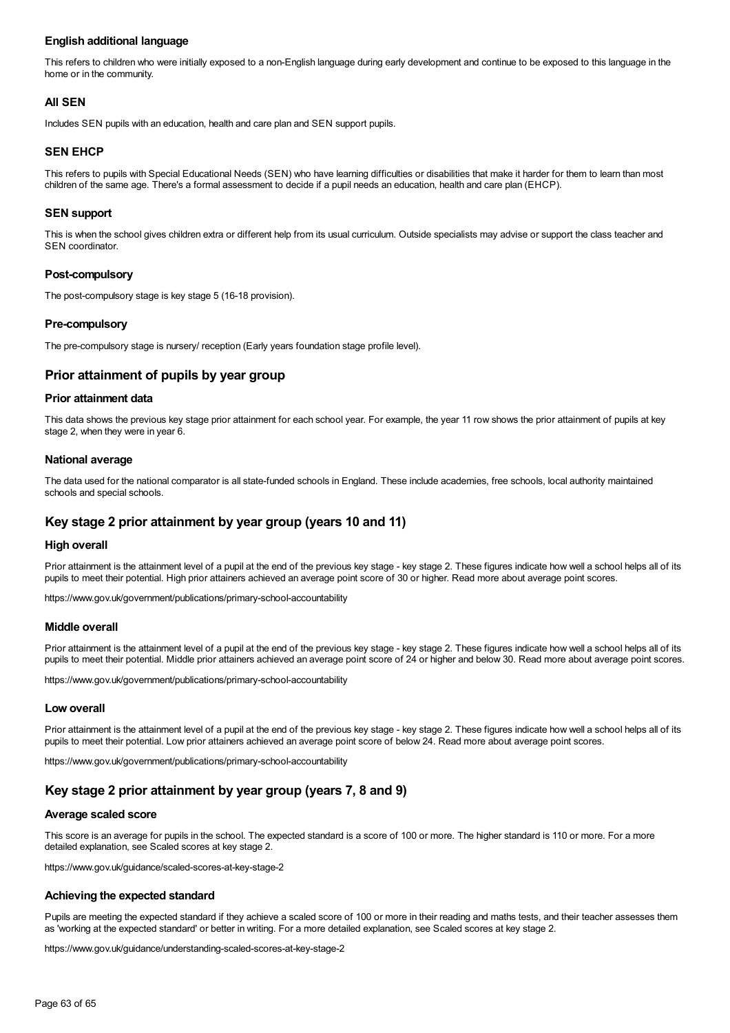## **English additional language**

This refers to children who were initially exposed to a non-English language during early development and continue to be exposed to this language in the home or in the community.

## **All SEN**

Includes SEN pupils with an education, health and care plan and SEN support pupils.

## **SEN EHCP**

This refers to pupils with Special Educational Needs (SEN) who have learning difficulties or disabilities that make it harder for them to learn than most children of the same age. There's a formal assessment to decide if a pupil needs an education, health and care plan (EHCP).

## **SEN support**

This is when the school gives children extra or different help from its usual curriculum. Outside specialists may advise or support the class teacher and SEN coordinator.

## **Post-compulsory**

The post-compulsory stage is key stage 5 (16-18 provision).

## **Pre-compulsory**

The pre-compulsory stage is nursery/ reception (Early years foundation stage profile level).

## **Prior attainment of pupils by year group**

## **Prior attainment data**

This data shows the previous key stage prior attainment for each school year. For example, the year 11 row shows the prior attainment of pupils at key stage 2, when they were in year 6.

## **National average**

The data used for the national comparator is all state-funded schools in England. These include academies, free schools, local authority maintained schools and special schools.

## **Key stage 2 prior attainment by year group (years 10 and 11)**

## **High overall**

Prior attainment is the attainment level of a pupil at the end of the previous key stage - key stage 2. These figures indicate how well a school helps all of its pupils to meet their potential. High prior attainers achieved an average point score of 30 or higher. Read more about average point scores.

https://www.gov.uk/government/publications/primary-school-accountability

#### **Middle overall**

Prior attainment is the attainment level of a pupil at the end of the previous key stage - key stage 2. These figures indicate how well a school helps all of its pupils to meet their potential. Middle prior attainers achieved an average point score of 24 or higher and below 30. Read more about average point scores.

https://www.gov.uk/government/publications/primary-school-accountability

## **Low overall**

Prior attainment is the attainment level of a pupil at the end of the previous key stage - key stage 2. These figures indicate how well a school helps all of its pupils to meet their potential. Low prior attainers achieved an average point score of below 24. Read more about average point scores.

https://www.gov.uk/government/publications/primary-school-accountability

## **Key stage 2 prior attainment by year group (years 7, 8 and 9)**

## **Average scaled score**

This score is an average for pupils in the school. The expected standard is a score of 100 or more. The higher standard is 110 or more. For a more detailed explanation, see Scaled scores at key stage 2.

https://www.gov.uk/guidance/scaled-scores-at-key-stage-2

#### **Achieving the expected standard**

Pupils are meeting the expected standard if they achieve a scaled score of 100 or more in their reading and maths tests, and their teacher assesses them as 'working at the expected standard' or better in writing. For a more detailed explanation, see Scaled scores at key stage 2.

https://www.gov.uk/guidance/understanding-scaled-scores-at-key-stage-2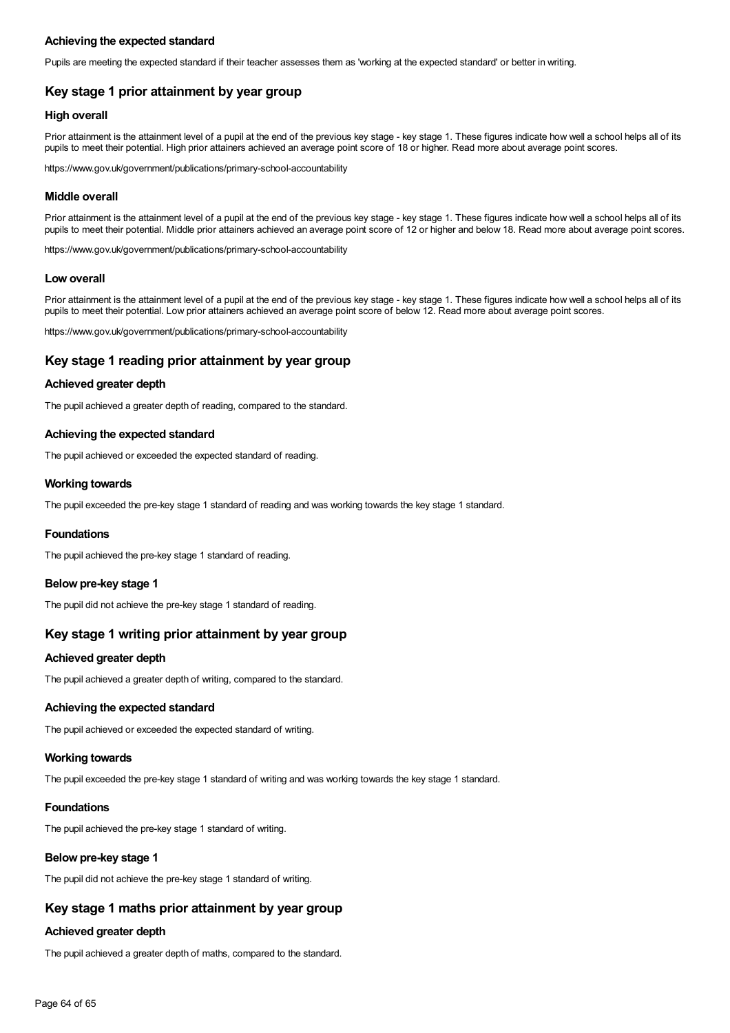## **Achieving the expected standard**

Pupils are meeting the expected standard if their teacher assesses them as 'working at the expected standard' or better in writing.

## **Key stage 1 prior attainment by year group**

## **High overall**

Prior attainment is the attainment level of a pupil at the end of the previous key stage - key stage 1. These figures indicate how well a school helps all of its pupils to meet their potential. High prior attainers achieved an average point score of 18 or higher. Read more about average point scores.

https://www.gov.uk/government/publications/primary-school-accountability

## **Middle overall**

Prior attainment is the attainment level of a pupil at the end of the previous key stage - key stage 1. These figures indicate how well a school helps all of its pupils to meet their potential. Middle prior attainers achieved an average point score of 12 or higher and below 18. Read more about average point scores.

https://www.gov.uk/government/publications/primary-school-accountability

### **Low overall**

Prior attainment is the attainment level of a pupil at the end of the previous key stage - key stage 1. These figures indicate how well a school helps all of its pupils to meet their potential. Low prior attainers achieved an average point score of below 12. Read more about average point scores.

https://www.gov.uk/government/publications/primary-school-accountability

## **Key stage 1 reading prior attainment by year group**

## **Achieved greater depth**

The pupil achieved a greater depth of reading, compared to the standard.

## **Achieving the expected standard**

The pupil achieved or exceeded the expected standard of reading.

### **Working towards**

The pupil exceeded the pre-key stage 1 standard of reading and was working towards the key stage 1 standard.

#### **Foundations**

The pupil achieved the pre-key stage 1 standard of reading.

#### **Below pre-key stage 1**

The pupil did not achieve the pre-key stage 1 standard of reading.

## **Key stage 1 writing prior attainment by year group**

## **Achieved greater depth**

The pupil achieved a greater depth of writing, compared to the standard.

## **Achieving the expected standard**

The pupil achieved or exceeded the expected standard of writing.

## **Working towards**

The pupil exceeded the pre-key stage 1 standard of writing and was working towards the key stage 1 standard.

## **Foundations**

The pupil achieved the pre-key stage 1 standard of writing.

## **Below pre-key stage 1**

The pupil did not achieve the pre-key stage 1 standard of writing.

## **Key stage 1 maths prior attainment by year group**

## **Achieved greater depth**

The pupil achieved a greater depth of maths, compared to the standard.